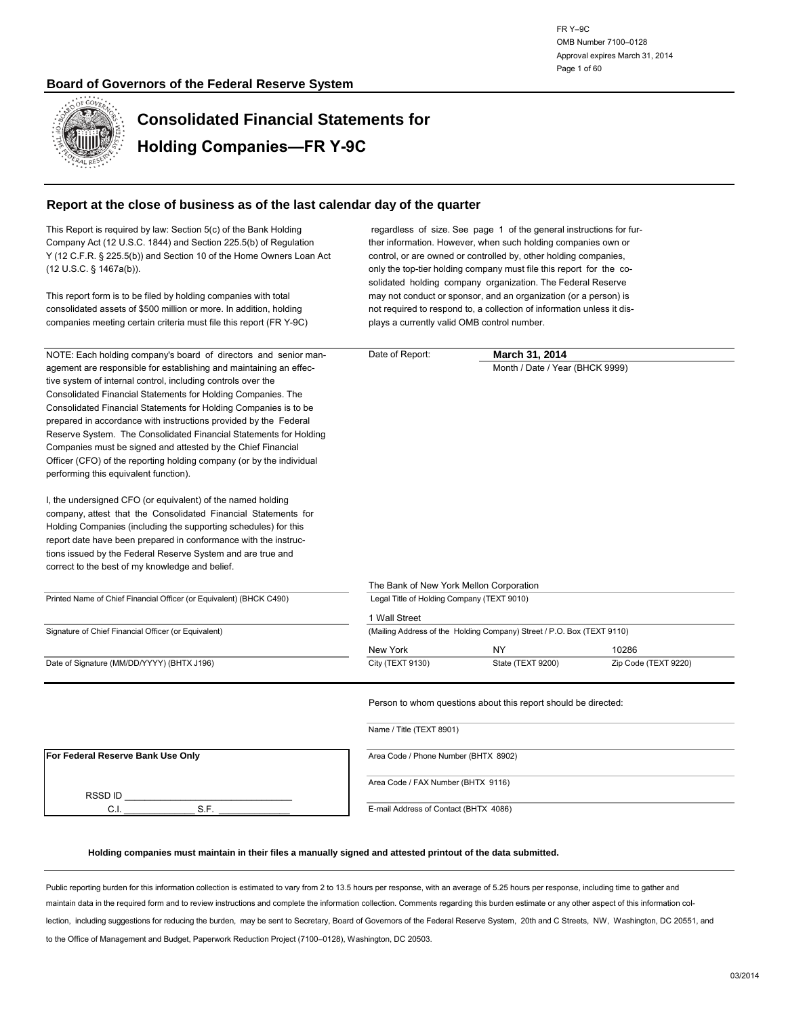

**Consolidated Financial Statements for Holding Companies—FR Y-9C**

#### **Report at the close of business as of the last calendar day of the quarter**

| This Report is required by law: Section 5(c) of the Bank Holding<br>Company Act (12 U.S.C. 1844) and Section 225.5(b) of Regulation<br>Y (12 C.F.R. § 225.5(b)) and Section 10 of the Home Owners Loan Act<br>(12 U.S.C. § 1467a(b)).<br>This report form is to be filed by holding companies with total<br>consolidated assets of \$500 million or more. In addition, holding                                                                                                                                                                                                                                                                                                                                                                                                                                                                                                                                                                                                            | regardless of size. See page 1 of the general instructions for fur-<br>ther information. However, when such holding companies own or<br>control, or are owned or controlled by, other holding companies,<br>only the top-tier holding company must file this report for the co-<br>solidated holding company organization. The Federal Reserve<br>may not conduct or sponsor, and an organization (or a person) is<br>not required to respond to, a collection of information unless it dis- |                                                                        |                      |  |  |  |  |
|-------------------------------------------------------------------------------------------------------------------------------------------------------------------------------------------------------------------------------------------------------------------------------------------------------------------------------------------------------------------------------------------------------------------------------------------------------------------------------------------------------------------------------------------------------------------------------------------------------------------------------------------------------------------------------------------------------------------------------------------------------------------------------------------------------------------------------------------------------------------------------------------------------------------------------------------------------------------------------------------|----------------------------------------------------------------------------------------------------------------------------------------------------------------------------------------------------------------------------------------------------------------------------------------------------------------------------------------------------------------------------------------------------------------------------------------------------------------------------------------------|------------------------------------------------------------------------|----------------------|--|--|--|--|
| companies meeting certain criteria must file this report (FR Y-9C)                                                                                                                                                                                                                                                                                                                                                                                                                                                                                                                                                                                                                                                                                                                                                                                                                                                                                                                        | plays a currently valid OMB control number.                                                                                                                                                                                                                                                                                                                                                                                                                                                  |                                                                        |                      |  |  |  |  |
| NOTE: Each holding company's board of directors and senior man-                                                                                                                                                                                                                                                                                                                                                                                                                                                                                                                                                                                                                                                                                                                                                                                                                                                                                                                           | Date of Report:                                                                                                                                                                                                                                                                                                                                                                                                                                                                              | March 31, 2014                                                         |                      |  |  |  |  |
| agement are responsible for establishing and maintaining an effec-<br>tive system of internal control, including controls over the<br>Consolidated Financial Statements for Holding Companies. The<br>Consolidated Financial Statements for Holding Companies is to be<br>prepared in accordance with instructions provided by the Federal<br>Reserve System. The Consolidated Financial Statements for Holding<br>Companies must be signed and attested by the Chief Financial<br>Officer (CFO) of the reporting holding company (or by the individual<br>performing this equivalent function).<br>I, the undersigned CFO (or equivalent) of the named holding<br>company, attest that the Consolidated Financial Statements for<br>Holding Companies (including the supporting schedules) for this<br>report date have been prepared in conformance with the instruc-<br>tions issued by the Federal Reserve System and are true and<br>correct to the best of my knowledge and belief. |                                                                                                                                                                                                                                                                                                                                                                                                                                                                                              | Month / Date / Year (BHCK 9999)                                        |                      |  |  |  |  |
|                                                                                                                                                                                                                                                                                                                                                                                                                                                                                                                                                                                                                                                                                                                                                                                                                                                                                                                                                                                           | The Bank of New York Mellon Corporation                                                                                                                                                                                                                                                                                                                                                                                                                                                      |                                                                        |                      |  |  |  |  |
| Printed Name of Chief Financial Officer (or Equivalent) (BHCK C490)                                                                                                                                                                                                                                                                                                                                                                                                                                                                                                                                                                                                                                                                                                                                                                                                                                                                                                                       | Legal Title of Holding Company (TEXT 9010)                                                                                                                                                                                                                                                                                                                                                                                                                                                   |                                                                        |                      |  |  |  |  |
|                                                                                                                                                                                                                                                                                                                                                                                                                                                                                                                                                                                                                                                                                                                                                                                                                                                                                                                                                                                           | 1 Wall Street                                                                                                                                                                                                                                                                                                                                                                                                                                                                                |                                                                        |                      |  |  |  |  |
| Signature of Chief Financial Officer (or Equivalent)                                                                                                                                                                                                                                                                                                                                                                                                                                                                                                                                                                                                                                                                                                                                                                                                                                                                                                                                      |                                                                                                                                                                                                                                                                                                                                                                                                                                                                                              | (Mailing Address of the Holding Company) Street / P.O. Box (TEXT 9110) |                      |  |  |  |  |
|                                                                                                                                                                                                                                                                                                                                                                                                                                                                                                                                                                                                                                                                                                                                                                                                                                                                                                                                                                                           | New York                                                                                                                                                                                                                                                                                                                                                                                                                                                                                     | NY.                                                                    | 10286                |  |  |  |  |
| Date of Signature (MM/DD/YYYY) (BHTX J196)                                                                                                                                                                                                                                                                                                                                                                                                                                                                                                                                                                                                                                                                                                                                                                                                                                                                                                                                                | City (TEXT 9130)                                                                                                                                                                                                                                                                                                                                                                                                                                                                             | State (TEXT 9200)                                                      | Zip Code (TEXT 9220) |  |  |  |  |
|                                                                                                                                                                                                                                                                                                                                                                                                                                                                                                                                                                                                                                                                                                                                                                                                                                                                                                                                                                                           | Name / Title (TEXT 8901)                                                                                                                                                                                                                                                                                                                                                                                                                                                                     | Person to whom questions about this report should be directed:         |                      |  |  |  |  |
| For Federal Reserve Bank Use Only                                                                                                                                                                                                                                                                                                                                                                                                                                                                                                                                                                                                                                                                                                                                                                                                                                                                                                                                                         | Area Code / Phone Number (BHTX 8902)                                                                                                                                                                                                                                                                                                                                                                                                                                                         |                                                                        |                      |  |  |  |  |
|                                                                                                                                                                                                                                                                                                                                                                                                                                                                                                                                                                                                                                                                                                                                                                                                                                                                                                                                                                                           |                                                                                                                                                                                                                                                                                                                                                                                                                                                                                              |                                                                        |                      |  |  |  |  |
| RSSD ID                                                                                                                                                                                                                                                                                                                                                                                                                                                                                                                                                                                                                                                                                                                                                                                                                                                                                                                                                                                   | Area Code / FAX Number (BHTX 9116)                                                                                                                                                                                                                                                                                                                                                                                                                                                           |                                                                        |                      |  |  |  |  |
| S.F.<br>C.I.                                                                                                                                                                                                                                                                                                                                                                                                                                                                                                                                                                                                                                                                                                                                                                                                                                                                                                                                                                              | E-mail Address of Contact (BHTX 4086)                                                                                                                                                                                                                                                                                                                                                                                                                                                        |                                                                        |                      |  |  |  |  |

#### **Holding companies must maintain in their files a manually signed and attested printout of the data submitted.**

Public reporting burden for this information collection is estimated to vary from 2 to 13.5 hours per response, with an average of 5.25 hours per response, including time to gather and maintain data in the required form and to review instructions and complete the information collection. Comments regarding this burden estimate or any other aspect of this information collection, including suggestions for reducing the burden, may be sent to Secretary, Board of Governors of the Federal Reserve System, 20th and C Streets, NW, Washington, DC 20551, and to the Office of Management and Budget, Paperwork Reduction Project (7100–0128), Washington, DC 20503.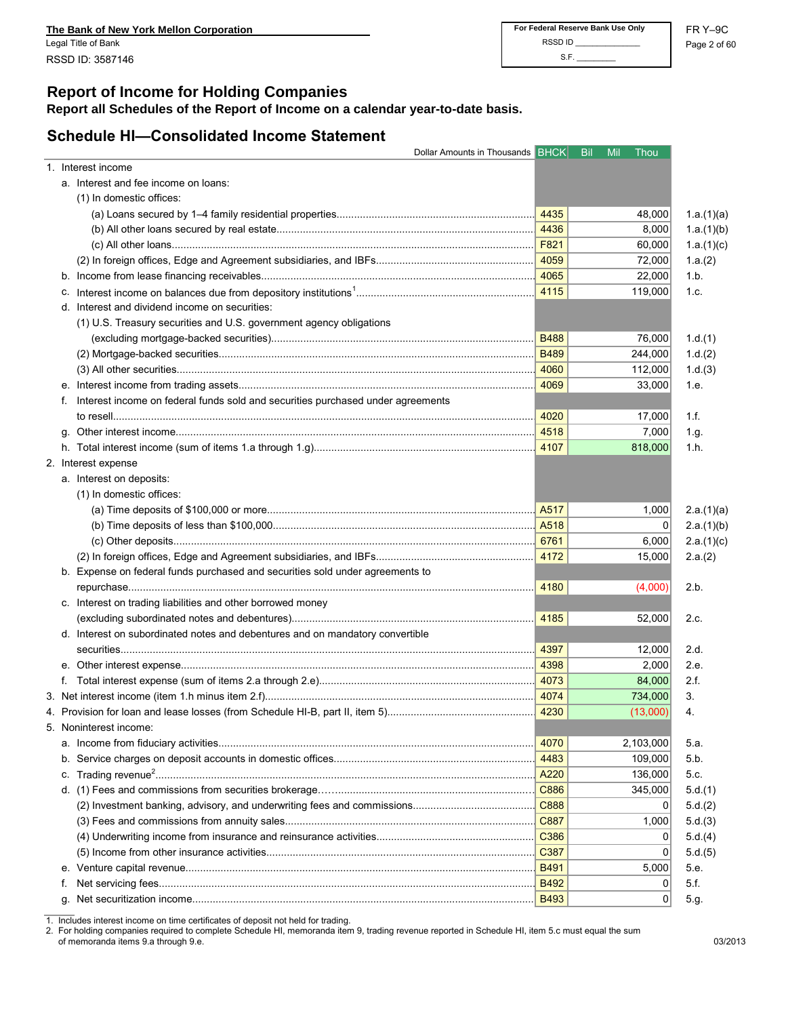# **Report of Income for Holding Companies**

**Report all Schedules of the Report of Income on a calendar year-to-date basis.**

# **Schedule HI—Consolidated Income Statement**

|    | Dollar Amounts in Thousands BHCK                                                |             | <b>Bil</b><br>Mil | Thou      |
|----|---------------------------------------------------------------------------------|-------------|-------------------|-----------|
|    | 1. Interest income                                                              |             |                   |           |
|    | a. Interest and fee income on loans:                                            |             |                   |           |
|    | (1) In domestic offices:                                                        |             |                   |           |
|    |                                                                                 | 4435        |                   | 48,000    |
|    |                                                                                 | 4436        |                   | 8,000     |
|    |                                                                                 | F821        |                   | 60,000    |
|    |                                                                                 | 4059        |                   | 72,000    |
|    |                                                                                 | 4065        |                   | 22,000    |
|    |                                                                                 | 4115        |                   | 119,000   |
|    | d. Interest and dividend income on securities:                                  |             |                   |           |
|    | (1) U.S. Treasury securities and U.S. government agency obligations             |             |                   |           |
|    |                                                                                 | <b>B488</b> |                   | 76,000    |
|    |                                                                                 | <b>B489</b> |                   | 244,000   |
|    |                                                                                 | 4060        |                   | 112,000   |
|    |                                                                                 | 4069        |                   | 33,000    |
| t. | Interest income on federal funds sold and securities purchased under agreements |             |                   |           |
|    |                                                                                 | 4020        |                   | 17,000    |
|    |                                                                                 | 4518        |                   | 7,000     |
|    |                                                                                 |             |                   | 818,000   |
|    | 2. Interest expense                                                             |             |                   |           |
|    | a. Interest on deposits:                                                        |             |                   |           |
|    | (1) In domestic offices:                                                        |             |                   |           |
|    |                                                                                 | A517        |                   | 1,000     |
|    |                                                                                 |             |                   | 0         |
|    |                                                                                 | 6761        |                   | 6,000     |
|    |                                                                                 | 4172        |                   | 15,000    |
|    | b. Expense on federal funds purchased and securities sold under agreements to   |             |                   |           |
|    |                                                                                 | 4180        |                   | (4,000)   |
|    | c. Interest on trading liabilities and other borrowed money                     |             |                   |           |
|    |                                                                                 | 4185        |                   | 52,000    |
|    | d. Interest on subordinated notes and debentures and on mandatory convertible   |             |                   |           |
|    |                                                                                 | 4397        |                   | 12,000    |
|    |                                                                                 | 4398        |                   | 2,000     |
|    |                                                                                 | 4073        |                   | 84,000    |
|    |                                                                                 | 4074        |                   | 734,000   |
|    |                                                                                 |             |                   | (13,000)  |
|    | 5. Noninterest income:                                                          |             |                   |           |
|    |                                                                                 | 4070        |                   | 2,103,000 |
|    |                                                                                 | 4483        |                   | 109,000   |
|    |                                                                                 | A220        |                   | 136,000   |
|    |                                                                                 | C886        |                   | 345,000   |
|    |                                                                                 | C888        |                   | 0         |
|    |                                                                                 | C887        |                   | 1,000     |
|    |                                                                                 | C386        |                   | 0         |
|    |                                                                                 | C387        |                   | 0         |
|    |                                                                                 | <b>B491</b> |                   | 5,000     |
|    |                                                                                 | <b>B492</b> |                   | 0         |
|    |                                                                                 | <b>B493</b> |                   | 0         |
|    |                                                                                 |             |                   |           |

1. Includes interest income on time certificates of deposit not held for trading.

2. For holding companies required to complete Schedule HI, memoranda item 9, trading revenue reported in Schedule HI, item 5.c must equal the sum of memoranda items 9.a through 9.e. 03/2013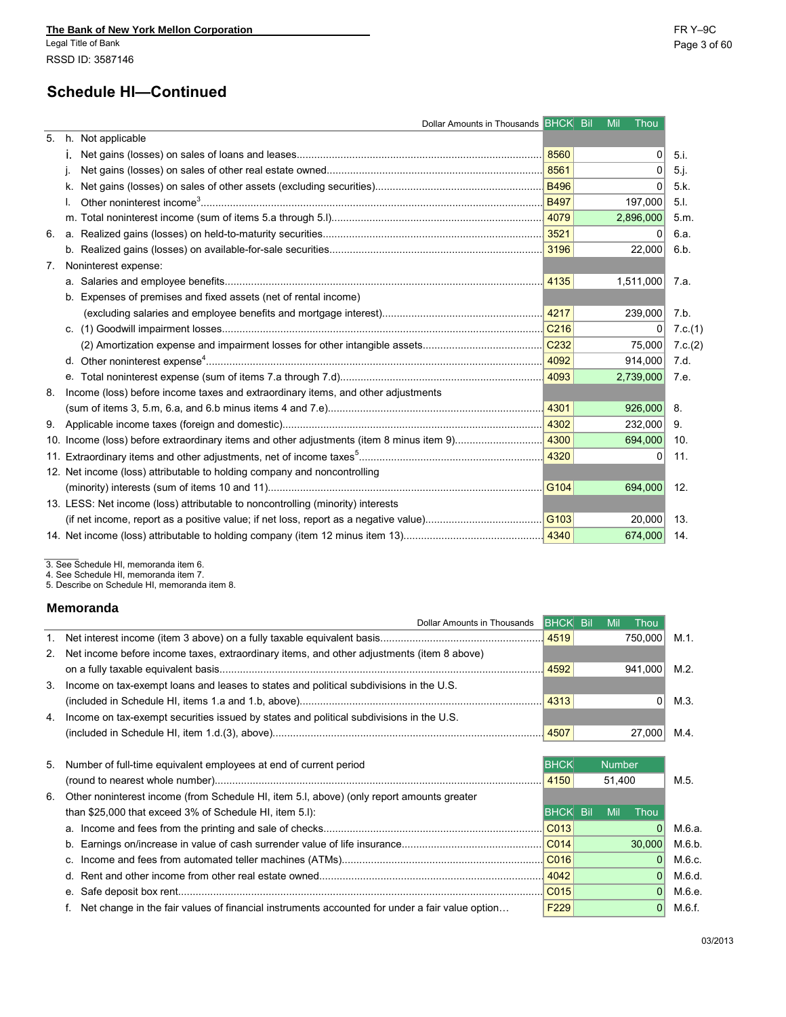|       | 5. h. Not applicable                                                             |      |           |                |
|-------|----------------------------------------------------------------------------------|------|-----------|----------------|
|       |                                                                                  | 8560 | $\Omega$  | $5i$ .         |
|       |                                                                                  |      | $\Omega$  | $5j$ .         |
|       |                                                                                  |      | 0         | 5k             |
|       |                                                                                  |      | 197,000   | 5 <sub>1</sub> |
|       |                                                                                  |      | 2,896,000 | 5.m.           |
| 6. a. |                                                                                  |      |           | 6.a.           |
|       |                                                                                  |      | 22,000    | 6.b.           |
|       | 7. Noninterest expense:                                                          |      |           |                |
|       |                                                                                  |      | 1,511,000 | 7.a.           |
|       | b. Expenses of premises and fixed assets (net of rental income)                  |      |           |                |
|       |                                                                                  |      | 239,000   | 7.b.           |
|       |                                                                                  |      | 0         | 7.c.(1)        |
|       |                                                                                  |      | 75,000    | 7.c.(2)        |
|       |                                                                                  |      | 914,000   | 7.d.           |
|       | е.                                                                               |      | 2,739,000 | 7.e.           |
| 8.    | Income (loss) before income taxes and extraordinary items, and other adjustments |      |           |                |
|       |                                                                                  |      | 926,000   | 8.             |
|       |                                                                                  |      | 232,000   | 9.             |
|       |                                                                                  |      | 694,000   | 10.            |
|       |                                                                                  |      | 0         | 11.            |
|       | 12. Net income (loss) attributable to holding company and noncontrolling         |      |           |                |
|       |                                                                                  |      | 694,000   | 12.            |
|       | 13. LESS: Net income (loss) attributable to noncontrolling (minority) interests  |      |           |                |
|       |                                                                                  |      | 20,000    | 13.            |
|       |                                                                                  |      | 674,000   | 14.            |
|       |                                                                                  |      |           |                |

3. See Schedule HI, memoranda item 6. 4. See Schedule HI, memoranda item 7. 5. Describe on Schedule HI, memoranda item 8.

#### **Memoranda**

| 111611101 an Iua                                                                             |      |                    |      |
|----------------------------------------------------------------------------------------------|------|--------------------|------|
| Dollar Amounts in Thousands BHCK Bil                                                         |      | Thou<br><b>Mil</b> |      |
|                                                                                              |      | 750.000            | M.1. |
| 2. Net income before income taxes, extraordinary items, and other adjustments (item 8 above) |      |                    |      |
|                                                                                              | 4592 | 941.000            | M.2. |
| 3. Income on tax-exempt loans and leases to states and political subdivisions in the U.S.    |      |                    |      |
|                                                                                              | 4313 |                    | M.3. |
| 4. Income on tax-exempt securities issued by states and political subdivisions in the U.S.   |      |                    |      |
|                                                                                              |      | 27,000             | M.4. |
|                                                                                              |      |                    |      |

| 5. Number of full-time equivalent employees at end of current period                           | <b>BHCK</b><br><b>Number</b> |  |        |          |        |
|------------------------------------------------------------------------------------------------|------------------------------|--|--------|----------|--------|
|                                                                                                |                              |  | 51.400 |          | M.5.   |
| 6. Other noninterest income (from Schedule HI, item 5.I, above) (only report amounts greater   |                              |  |        |          |        |
| than \$25,000 that exceed 3% of Schedule HI, item 5.I):                                        | <b>BHCK Bil</b>              |  | Mil    | Thou     |        |
|                                                                                                | CO13                         |  |        |          | M.6.a. |
|                                                                                                | CO14                         |  |        | 30.000   | M.6.b. |
|                                                                                                |                              |  |        |          | M.6.c. |
|                                                                                                | 4042                         |  |        | $\Omega$ | M.6.d. |
|                                                                                                | CO15                         |  |        | $\Omega$ | M.6.e. |
| Net change in the fair values of financial instruments accounted for under a fair value option | F <sub>229</sub>             |  |        | $\Omega$ | M.6.f. |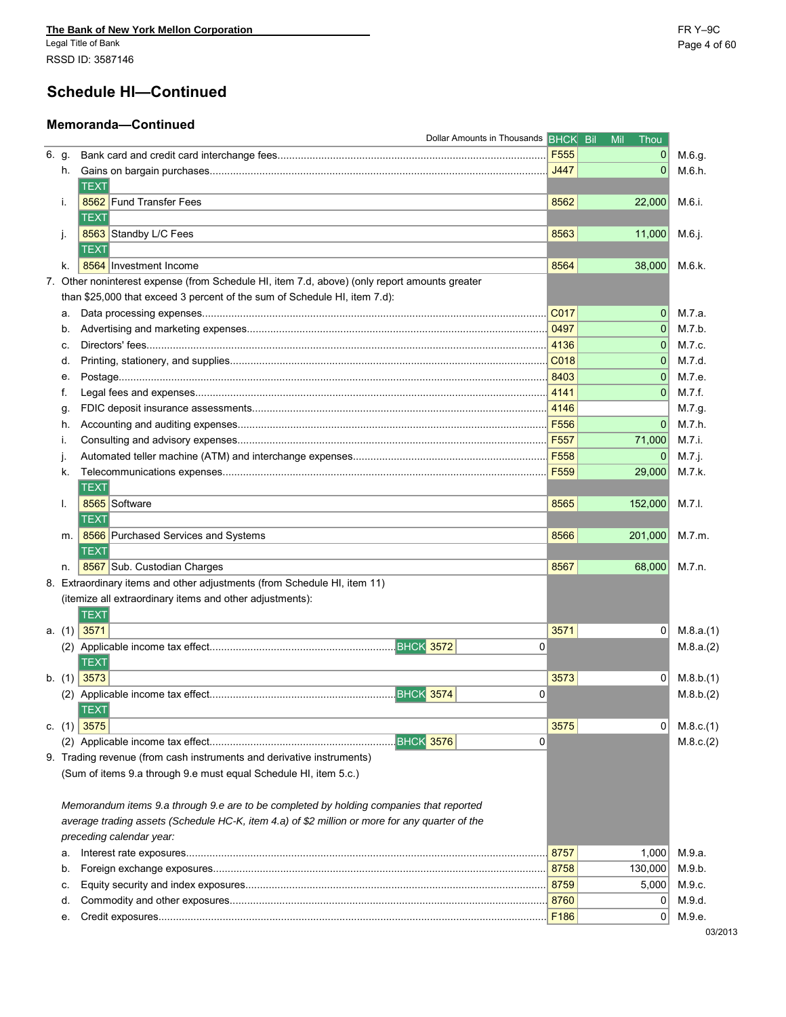# **Schedule HI—Continued**

### **Memoranda—Continued**

|       |    | Dollar Amounts in Thousands BHCK Bil                                                           |                  | Mil<br>Thou  |            |
|-------|----|------------------------------------------------------------------------------------------------|------------------|--------------|------------|
| 6. g. |    |                                                                                                | F555             | 0            | M.6.g.     |
|       | h. |                                                                                                | J447             | $\mathbf 0$  | M.6.h.     |
|       |    | <b>TEXT</b>                                                                                    |                  |              |            |
|       | i. | 8562 Fund Transfer Fees                                                                        | 8562             | 22,000       | M.6.i.     |
|       |    | <b>TEXT</b>                                                                                    |                  |              |            |
|       | j. | 8563 Standby L/C Fees                                                                          | 8563             | 11,000       | M.6.j.     |
|       |    | TEXT                                                                                           |                  |              |            |
|       | k. | 8564 Investment Income                                                                         | 8564             | 38,000       | M.6 k.     |
|       |    | 7. Other noninterest expense (from Schedule HI, item 7.d, above) (only report amounts greater  |                  |              |            |
|       |    | than \$25,000 that exceed 3 percent of the sum of Schedule HI, item 7.d):                      |                  |              |            |
|       | а. |                                                                                                | C017             | 0            | M.7.a.     |
|       | b. |                                                                                                | 0497             | $\mathbf{0}$ | M.7.b.     |
|       | c. |                                                                                                | 4136             | $\mathbf 0$  | M.7 c.     |
|       | d. |                                                                                                | C018             | $\mathbf 0$  | M.7.d.     |
|       | е. |                                                                                                | 8403             | $\Omega$     | M.7 e.     |
|       | f. |                                                                                                | 4141             | $\Omega$     | M.7.f.     |
|       | g. |                                                                                                | 4146             |              | M.7.g.     |
|       | h. |                                                                                                | F556             | $\mathbf{0}$ | M.7.h.     |
|       | i. |                                                                                                | F <sub>557</sub> | 71,000       | M.7.i.     |
|       |    |                                                                                                | F558             | $\mathbf 0$  | $M.7.$ j.  |
|       | k. |                                                                                                | F559             | 29,000       | M.7 k.     |
|       |    | <b>TEXT</b>                                                                                    |                  |              |            |
|       | I. | 8565 Software                                                                                  | 8565             | 152,000      | M.7.I.     |
|       |    | <b>TEXT</b>                                                                                    |                  |              |            |
|       | m. | 8566 Purchased Services and Systems                                                            | 8566             | 201,000      | M.7.m.     |
|       |    | TEXT                                                                                           |                  |              |            |
|       | n. | 8567 Sub. Custodian Charges                                                                    | 8567             | 68,000       | M.7.n.     |
|       |    | 8. Extraordinary items and other adjustments (from Schedule HI, item 11)                       |                  |              |            |
|       |    | (itemize all extraordinary items and other adjustments):                                       |                  |              |            |
|       |    | <b>TEXT</b>                                                                                    |                  |              |            |
|       |    | a. $(1)$ 3571                                                                                  | 3571             | 0            | M.8.a.(1)  |
|       |    | 0                                                                                              |                  |              | M.8.a.(2)  |
|       |    | TEXT                                                                                           |                  |              |            |
|       |    | b. $(1)$ 3573                                                                                  | 3573             | 0            | M.8.b. (1) |
|       |    | 0                                                                                              |                  |              | M.8.b.(2)  |
|       |    | <b>TEXT</b>                                                                                    |                  |              |            |
|       |    | c. $(1)$ 3575                                                                                  | 3575             | 0            | M.8.c.(1)  |
|       |    | BHCK 3576<br>$\mathbf 0$                                                                       |                  |              | M.8.c.(2)  |
|       |    | 9. Trading revenue (from cash instruments and derivative instruments)                          |                  |              |            |
|       |    | (Sum of items 9.a through 9.e must equal Schedule HI, item 5.c.)                               |                  |              |            |
|       |    |                                                                                                |                  |              |            |
|       |    | Memorandum items 9.a through 9.e are to be completed by holding companies that reported        |                  |              |            |
|       |    | average trading assets (Schedule HC-K, item 4.a) of \$2 million or more for any quarter of the |                  |              |            |
|       |    | preceding calendar year:                                                                       |                  |              |            |
|       | а. |                                                                                                | 8757             | 1,000        | M.9.a.     |
|       | b. |                                                                                                | 8758             | 130,000      | M.9.b.     |
|       | c. |                                                                                                | 8759             | 5,000        | M.9.c.     |
|       | d. |                                                                                                | 8760             | 0            | M.9.d.     |
|       | е. |                                                                                                | F186             | 0            | M.9.e.     |
|       |    |                                                                                                |                  |              |            |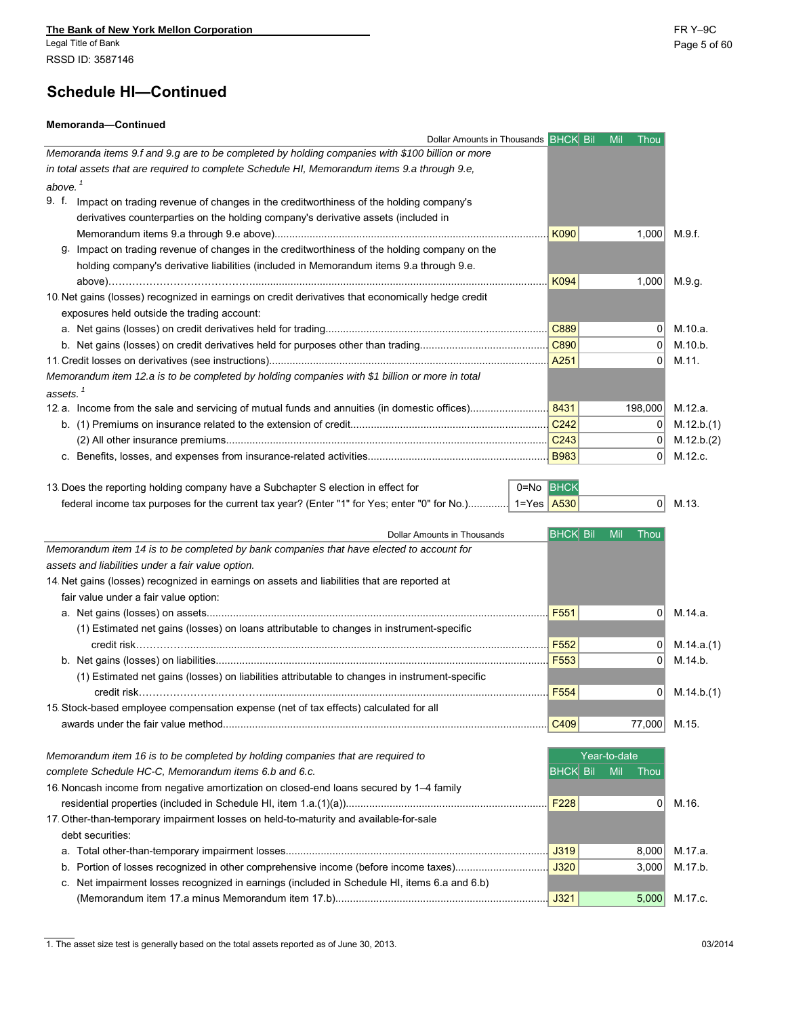#### **Memoranda—Continued**

| Dollar Amounts in Thousands BHCK Bil                                                               |                  | <b>Mil</b><br>Thou |            |
|----------------------------------------------------------------------------------------------------|------------------|--------------------|------------|
| Memoranda items 9.f and 9.g are to be completed by holding companies with \$100 billion or more    |                  |                    |            |
| in total assets that are required to complete Schedule HI, Memorandum items 9.a through 9.e,       |                  |                    |            |
| above. $^1$                                                                                        |                  |                    |            |
| 9. f.<br>Impact on trading revenue of changes in the creditworthiness of the holding company's     |                  |                    |            |
| derivatives counterparties on the holding company's derivative assets (included in                 |                  |                    |            |
|                                                                                                    | K090             | 1,000              | M.9.f.     |
| Impact on trading revenue of changes in the creditworthiness of the holding company on the<br>g.   |                  |                    |            |
| holding company's derivative liabilities (included in Memorandum items 9.a through 9.e.            |                  |                    |            |
|                                                                                                    | K094             | 1,000              | M.9.g.     |
| 10. Net gains (losses) recognized in earnings on credit derivatives that economically hedge credit |                  |                    |            |
| exposures held outside the trading account:                                                        |                  |                    |            |
|                                                                                                    | C889             |                    | M.10.a.    |
|                                                                                                    | C890             | $\Omega$           | M.10.b.    |
|                                                                                                    | A251             | 0                  | M.11.      |
| Memorandum item 12.a is to be completed by holding companies with \$1 billion or more in total     |                  |                    |            |
| assets. $^\dagger$                                                                                 |                  |                    |            |
|                                                                                                    | 8431             | 198,000            | M.12.a.    |
|                                                                                                    | C <sub>242</sub> |                    | M.12.b.(1) |
|                                                                                                    | C <sub>243</sub> | $\Omega$           | M.12.b.(2) |
|                                                                                                    | <b>B983</b>      | $\Omega$           | M.12.c.    |

| 13. Does the reporting holding company have a Subchapter S election in effect for                         | 0=No BHCK |  |          |
|-----------------------------------------------------------------------------------------------------------|-----------|--|----------|
| federal income tax purposes for the current tax year? (Enter "1" for Yes; enter "0" for No.) 1=Yes   A530 |           |  | $0$ M.13 |

|                                                                                                | <b>BHCK Bil</b><br>Dollar Amounts in Thousands | Thou<br>Mil    |               |
|------------------------------------------------------------------------------------------------|------------------------------------------------|----------------|---------------|
| Memorandum item 14 is to be completed by bank companies that have elected to account for       |                                                |                |               |
| assets and liabilities under a fair value option.                                              |                                                |                |               |
| 14. Net gains (losses) recognized in earnings on assets and liabilities that are reported at   |                                                |                |               |
| fair value under a fair value option:                                                          |                                                |                |               |
|                                                                                                | F <sub>551</sub>                               | $\Omega$       | M.14.a.       |
| (1) Estimated net gains (losses) on loans attributable to changes in instrument-specific       |                                                |                |               |
|                                                                                                | F552                                           | 0 <sup>1</sup> | M.14.a.(1)    |
|                                                                                                |                                                | $\Omega$       | M.14.b.       |
| (1) Estimated net gains (losses) on liabilities attributable to changes in instrument-specific |                                                |                |               |
|                                                                                                | F554                                           | 0 <sup>1</sup> | M.14 b. (1)   |
| 15. Stock-based employee compensation expense (net of tax effects) calculated for all          |                                                |                |               |
|                                                                                                | C409                                           | 77,000         | M.15.         |
| Memorandum item 16 is to be completed by holding companies that are required to                |                                                | Year-to-date   |               |
| complete Schedule HC-C, Memorandum items 6.b and 6.c.                                          | <b>BHCK Bil</b>                                | Mil<br>Thou    |               |
| 16. Noncash income from negative amortization on closed-end loans secured by 1-4 family        |                                                |                |               |
|                                                                                                |                                                | $\overline{0}$ | M.16.         |
| 17. Other-than-temporary impairment losses on held-to-maturity and available-for-sale          |                                                |                |               |
| debt securities:                                                                               |                                                |                |               |
|                                                                                                | J319                                           | 8,000          | M.17.a.       |
| b. Portion of losses recognized in other comprehensive income (before income taxes)            | J320                                           | 3,000          | M.17.b.       |
| c. Net impairment losses recognized in earnings (included in Schedule HI, items 6.a and 6.b)   |                                                |                |               |
|                                                                                                | J321                                           |                | 5,000 M.17.c. |

1. The asset size test is generally based on the total assets reported as of June 30, 2013. 03/2014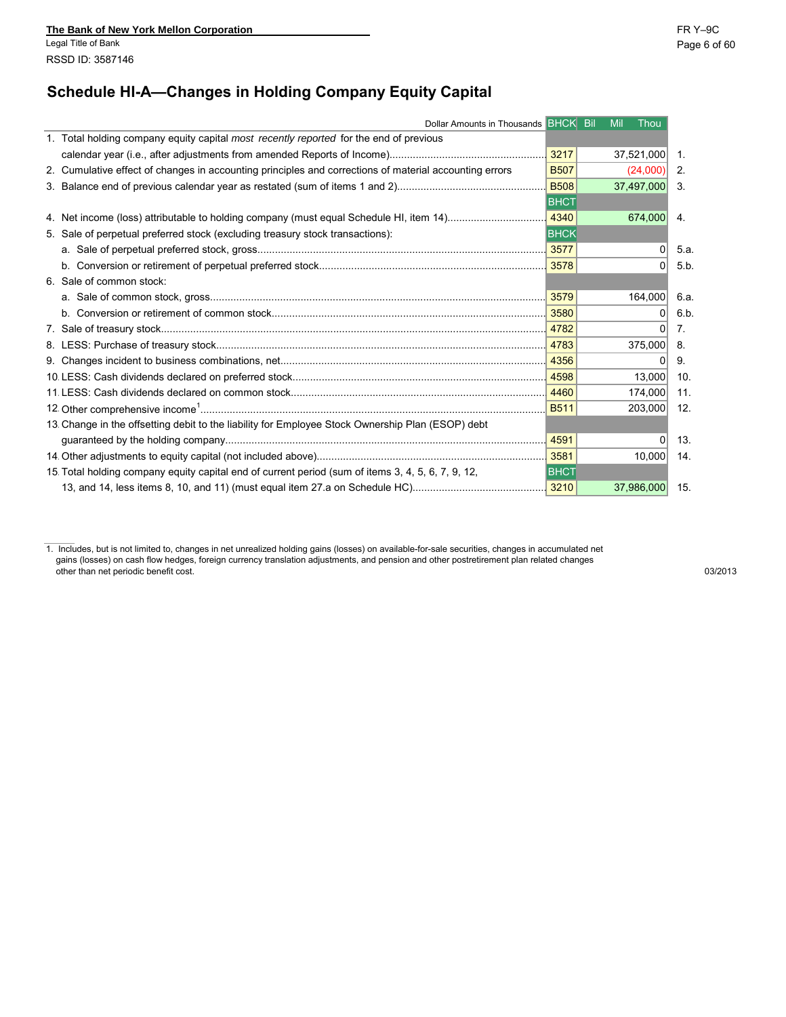# **Schedule HI-A—Changes in Holding Company Equity Capital**

| Dollar Amounts in Thousands BHCK Bil                                                                   |             | <b>Mil</b> | Thou          |
|--------------------------------------------------------------------------------------------------------|-------------|------------|---------------|
| 1. Total holding company equity capital most recently reported for the end of previous                 |             |            |               |
|                                                                                                        | 3217        |            | 37,521,000 1. |
| 2. Cumulative effect of changes in accounting principles and corrections of material accounting errors | <b>B507</b> |            | $(24,000)$ 2. |
|                                                                                                        | <b>B508</b> |            | 37,497,000 3. |
|                                                                                                        | <b>BHCT</b> |            |               |
|                                                                                                        | 4340        |            | 674,000 4.    |
| 5. Sale of perpetual preferred stock (excluding treasury stock transactions):                          | <b>BHCK</b> |            |               |
|                                                                                                        |             |            | $\Omega$      |
|                                                                                                        |             |            |               |
| 6. Sale of common stock:                                                                               |             |            |               |
|                                                                                                        |             |            | 164,000       |
|                                                                                                        |             |            | 01            |
|                                                                                                        |             |            | 01            |
|                                                                                                        |             |            | $375,000$ 8.  |
|                                                                                                        |             |            | 0             |
|                                                                                                        |             |            | 13,000        |
|                                                                                                        | 4460        |            | 174,000       |
|                                                                                                        | <b>B511</b> |            | 203,000       |
| 13. Change in the offsetting debit to the liability for Employee Stock Ownership Plan (ESOP) debt      |             |            |               |
|                                                                                                        | 4591        |            | 0             |
|                                                                                                        |             |            | 10.000        |
| 15. Total holding company equity capital end of current period (sum of items 3, 4, 5, 6, 7, 9, 12,     | <b>BHCT</b> |            |               |
|                                                                                                        |             |            | 37,986,000    |

1. Includes, but is not limited to, changes in net unrealized holding gains (losses) on available-for-sale securities, changes in accumulated net gains (losses) on cash flow hedges, foreign currency translation adjustments, and pension and other postretirement plan related changes other than net periodic benefit cost. 03/2013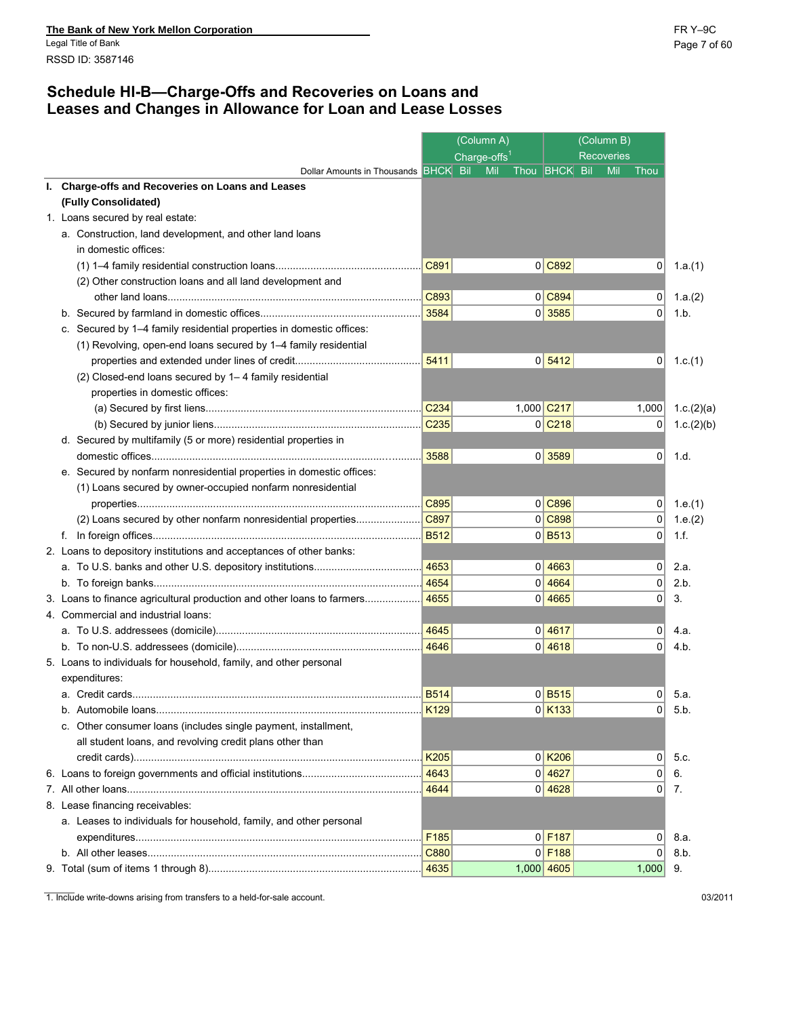### **Schedule HI-B—Charge-Offs and Recoveries on Loans and Leases and Changes in Allowance for Loan and Lease Losses**

|                                                                      |                  | (Column A)               |                      | (Column B)        |                |            |
|----------------------------------------------------------------------|------------------|--------------------------|----------------------|-------------------|----------------|------------|
|                                                                      |                  | Charge-offs <sup>1</sup> |                      | <b>Recoveries</b> |                |            |
| Dollar Amounts in Thousands <b>BHCK</b> Bil                          |                  | Mil                      | Thou <b>BHCK</b> Bil | Mil               | Thou           |            |
| I. Charge-offs and Recoveries on Loans and Leases                    |                  |                          |                      |                   |                |            |
| (Fully Consolidated)                                                 |                  |                          |                      |                   |                |            |
| 1. Loans secured by real estate:                                     |                  |                          |                      |                   |                |            |
| a. Construction, land development, and other land loans              |                  |                          |                      |                   |                |            |
| in domestic offices:                                                 |                  |                          |                      |                   |                |            |
|                                                                      | C891             |                          | 0 C892               |                   | 0              | 1.a.(1)    |
| (2) Other construction loans and all land development and            |                  |                          |                      |                   |                |            |
|                                                                      | C893             |                          | 0 C894               |                   | $\overline{0}$ | 1.a. $(2)$ |
|                                                                      | 3584             |                          | 0 3585               |                   | $\Omega$       | 1.b.       |
| c. Secured by 1-4 family residential properties in domestic offices: |                  |                          |                      |                   |                |            |
| (1) Revolving, open-end loans secured by 1-4 family residential      |                  |                          |                      |                   |                |            |
|                                                                      | 5411             |                          | 0 5412               |                   | 0              | 1.c.(1)    |
| (2) Closed-end loans secured by 1-4 family residential               |                  |                          |                      |                   |                |            |
| properties in domestic offices:                                      |                  |                          |                      |                   |                |            |
|                                                                      | C <sub>234</sub> |                          | 1,000 C217           |                   | 1,000          | 1.c.(2)(a) |
|                                                                      | C <sub>235</sub> |                          | $0$ C <sub>218</sub> |                   | 0              | 1.c.(2)(b) |
| d. Secured by multifamily (5 or more) residential properties in      |                  |                          |                      |                   |                |            |
|                                                                      | 3588             |                          | 0 3589               |                   | 0              | 1.d.       |
| e. Secured by nonfarm nonresidential properties in domestic offices: |                  |                          |                      |                   |                |            |
| (1) Loans secured by owner-occupied nonfarm nonresidential           |                  |                          |                      |                   |                |            |
|                                                                      | C895             |                          | 0 C896               |                   | 0              | 1.e. $(1)$ |
| (2) Loans secured by other nonfarm nonresidential properties         | C897             |                          | 0 C898               |                   | 0              | 1.e.(2)    |
|                                                                      | <b>B512</b>      |                          | $0$ B <sub>513</sub> |                   | $\mathbf 0$    | 1.f.       |
| 2. Loans to depository institutions and acceptances of other banks:  |                  |                          |                      |                   |                |            |
|                                                                      | 4653             |                          | 0 4663               |                   | 0              | 2.a.       |
|                                                                      | 4654             |                          | 0 4664               |                   | $\overline{0}$ | 2.b.       |
|                                                                      |                  |                          | $0$ 4665             |                   | $\overline{0}$ | 3.         |
| 4. Commercial and industrial loans:                                  |                  |                          |                      |                   |                |            |
|                                                                      | 4645             |                          | 0 4617               |                   | $\overline{0}$ | 4.a.       |
|                                                                      | 4646             |                          | 0 4618               |                   | $\overline{0}$ | 4.b.       |
| 5. Loans to individuals for household, family, and other personal    |                  |                          |                      |                   |                |            |
| expenditures:                                                        |                  |                          |                      |                   |                |            |
|                                                                      |                  |                          | $0$ B <sub>515</sub> |                   | $\overline{0}$ | 5.a.       |
|                                                                      | K129             |                          | $0$ K <sub>133</sub> |                   | $\mathsf{O}$   | 5.b.       |
| c. Other consumer loans (includes single payment, installment,       |                  |                          |                      |                   |                |            |
| all student loans, and revolving credit plans other than             |                  |                          |                      |                   |                |            |
|                                                                      | K205             |                          | $0$ K <sub>206</sub> |                   | 0              | 5c         |
|                                                                      | 4643             |                          | 0 4627               |                   | $\mathbf 0$    | 6.         |
|                                                                      | 4644             |                          | $0$ 4628             |                   | 0              | 7.         |
| 8. Lease financing receivables:                                      |                  |                          |                      |                   |                |            |
| a. Leases to individuals for household, family, and other personal   |                  |                          |                      |                   |                |            |
|                                                                      | F185             |                          | $0$ F <sub>187</sub> |                   | $\overline{0}$ | 8.a.       |
|                                                                      | C880             |                          | $0$ F <sub>188</sub> |                   | $\overline{0}$ | 8.b.       |
|                                                                      |                  |                          | 1,000 4605           |                   | $1,000$ 9.     |            |
|                                                                      |                  |                          |                      |                   |                |            |

1. Include write-downs arising from transfers to a held-for-sale account. 03/2011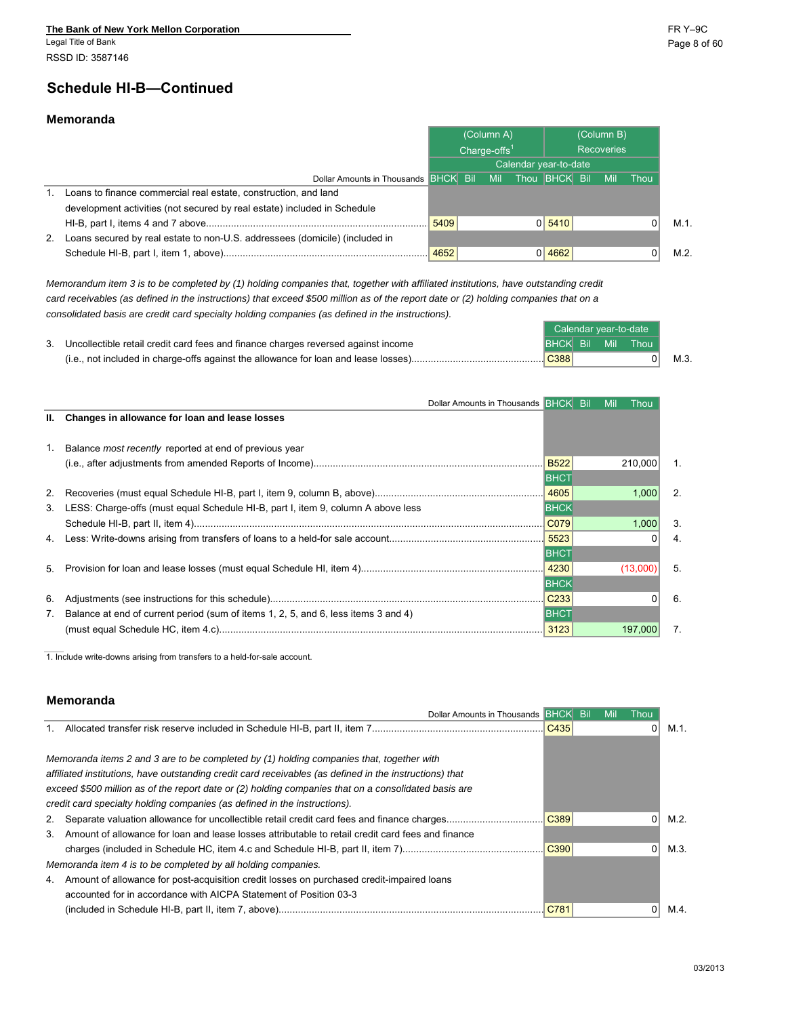Legal Title of Bank Page 8 of 60 RSSD ID: 3587146

#### **Memoranda**

|    |                                                                             | (Column A)            |  |            | (Column B)<br>Recoveries |                      |  |            |      |      |
|----|-----------------------------------------------------------------------------|-----------------------|--|------------|--------------------------|----------------------|--|------------|------|------|
|    |                                                                             | Charge-offs $1$       |  |            |                          |                      |  |            |      |      |
|    |                                                                             | Calendar year-to-date |  |            |                          |                      |  |            |      |      |
|    | Dollar Amounts in Thousands BHCK Bil                                        |                       |  | <b>Mil</b> |                          | Thou <b>BHCK</b> Bil |  | <b>Mil</b> | Thou |      |
|    | Loans to finance commercial real estate, construction, and land             |                       |  |            |                          |                      |  |            |      |      |
|    | development activities (not secured by real estate) included in Schedule    |                       |  |            |                          |                      |  |            |      |      |
|    |                                                                             | 5409                  |  |            |                          | 0 5410               |  |            |      | M.1. |
| 2. | Loans secured by real estate to non-U.S. addressees (domicile) (included in |                       |  |            |                          |                      |  |            |      |      |
|    |                                                                             |                       |  |            |                          | 0 4662               |  |            |      | M.2. |

*Memorandum item 3 is to be completed by (1) holding companies that, together with affiliated institutions, have outstanding credit card receivables (as defined in the instructions) that exceed \$500 million as of the report date or (2) holding companies that on a consolidated basis are credit card specialty holding companies (as defined in the instructions).*

|                                                                                     |      | Calendar vear-to-date |                   |      |  |
|-------------------------------------------------------------------------------------|------|-----------------------|-------------------|------|--|
| Uncollectible retail credit card fees and finance charges reversed against income   |      |                       | BHCK Bil Mil Thou |      |  |
| (i.e., not included in charge-offs against the allowance for loan and lease losses) | C388 |                       |                   | M.3. |  |

|                | Dollar Amounts in Thousands <b>BHCK</b> Bil                                        |                  | Mil | Thou     |                |
|----------------|------------------------------------------------------------------------------------|------------------|-----|----------|----------------|
|                | II. Changes in allowance for loan and lease losses                                 |                  |     |          |                |
|                |                                                                                    |                  |     |          |                |
| $\mathbf{1}$ . | Balance <i>most recently</i> reported at end of previous year                      |                  |     |          |                |
|                |                                                                                    |                  |     | 210,000  | $\mathbf{1}$ . |
|                |                                                                                    | <b>BHCT</b>      |     |          |                |
| 2.             |                                                                                    |                  |     | 1,000    | 2.             |
| 3.             | LESS: Charge-offs (must equal Schedule HI-B, part I, item 9, column A above less   | <b>BHCK</b>      |     |          |                |
|                |                                                                                    | CO79             |     | 1,000    | 3.             |
|                |                                                                                    | 5523             |     |          | 4.             |
|                |                                                                                    | <b>BHCT</b>      |     |          |                |
| 5.             |                                                                                    |                  |     | (13,000) | 5.             |
|                |                                                                                    | <b>BHCK</b>      |     |          |                |
| 6.             |                                                                                    | C <sub>233</sub> |     |          | 6.             |
| 7.             | Balance at end of current period (sum of items 1, 2, 5, and 6, less items 3 and 4) | <b>BHCT</b>      |     |          |                |
|                |                                                                                    | 3123             |     | 197.000  | 7.             |

1. Include write-downs arising from transfers to a held-for-sale account.

#### **Memoranda**

|    | Dollar Amounts in Thousands <b>BHCK</b> Bil                                                             |      | Mil | Thou |
|----|---------------------------------------------------------------------------------------------------------|------|-----|------|
|    |                                                                                                         | C435 |     |      |
|    |                                                                                                         |      |     |      |
|    | Memoranda items 2 and 3 are to be completed by (1) holding companies that, together with                |      |     |      |
|    | affiliated institutions, have outstanding credit card receivables (as defined in the instructions) that |      |     |      |
|    | exceed \$500 million as of the report date or (2) holding companies that on a consolidated basis are    |      |     |      |
|    | credit card specialty holding companies (as defined in the instructions).                               |      |     |      |
|    |                                                                                                         | C389 |     |      |
|    | 3. Amount of allowance for loan and lease losses attributable to retail credit card fees and finance    |      |     |      |
|    |                                                                                                         | C390 |     |      |
|    | Memoranda item 4 is to be completed by all holding companies.                                           |      |     |      |
| 4. | Amount of allowance for post-acquisition credit losses on purchased credit-impaired loans               |      |     |      |
|    | accounted for in accordance with AICPA Statement of Position 03-3                                       |      |     |      |
|    |                                                                                                         |      |     |      |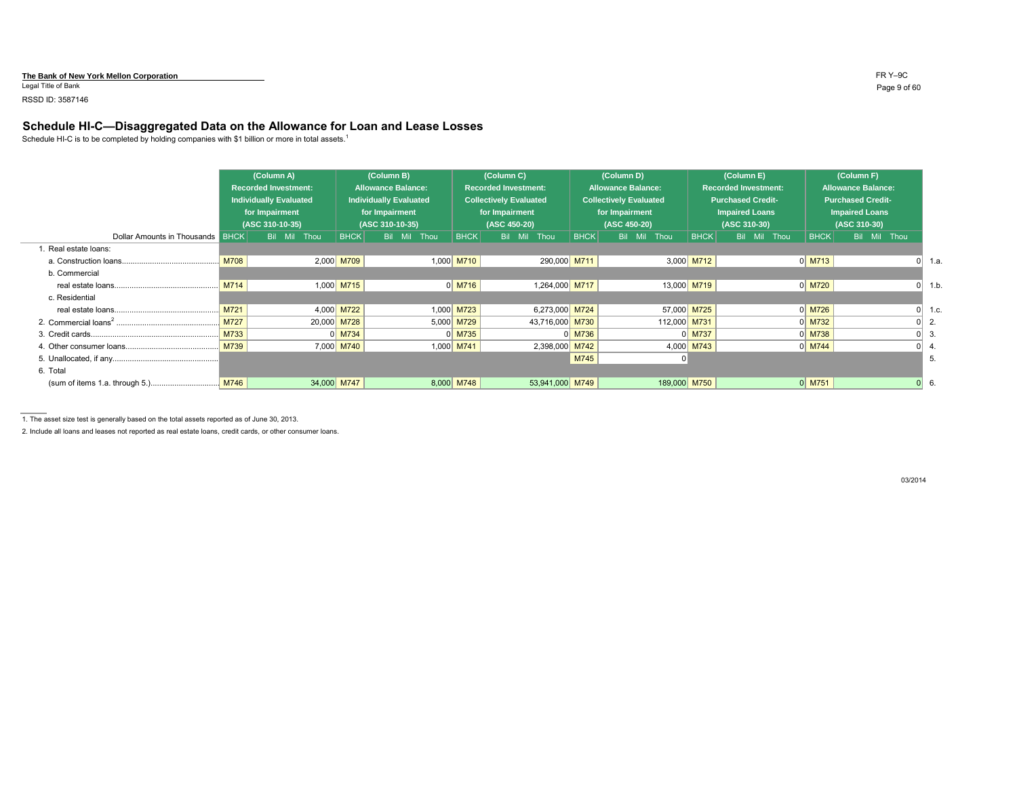#### **The Bank of New York Mellon Corporation** FR Y–9C

Legal Title of Bank Page 9 of 60

#### RSSD ID: 3587146

#### **Schedule HI-C—Disaggregated Data on the Allowance for Loan and Lease Losses**

Schedule HI-C is to be completed by holding companies with \$1 billion or more in total assets.<sup>1</sup>

|                                         |      | (Column A)<br><b>Recorded Investment:</b><br><b>Individually Evaluated</b><br>for Impairment<br>(ASC 310-10-35) |  |              |  |              |  | (Column B)<br><b>Allowance Balance:</b><br><b>Individually Evaluated</b><br>for Impairment<br>(ASC 310-10-35) |  |              | (Column C)<br><b>Recorded Investment:</b><br><b>Collectively Evaluated</b><br>for Impairment<br>(ASC 450-20) |             |         | (Column D)<br><b>Allowance Balance:</b><br><b>Collectively Evaluated</b><br>for Impairment<br>(ASC 450-20) |              |  | (Column E)<br><b>Recorded Investment:</b><br><b>Purchased Credit-</b><br><b>Impaired Loans</b><br>(ASC 310-30) |             |  | (Column F)<br><b>Allowance Balance:</b><br><b>Purchased Credit-</b><br><b>Impaired Loans</b><br>(ASC 310-30) |             |         |  |  |
|-----------------------------------------|------|-----------------------------------------------------------------------------------------------------------------|--|--------------|--|--------------|--|---------------------------------------------------------------------------------------------------------------|--|--------------|--------------------------------------------------------------------------------------------------------------|-------------|---------|------------------------------------------------------------------------------------------------------------|--------------|--|----------------------------------------------------------------------------------------------------------------|-------------|--|--------------------------------------------------------------------------------------------------------------|-------------|---------|--|--|
| <b>Dollar Amounts in Thousands BHCK</b> |      | Bil Mil Thou                                                                                                    |  | <b>BHCK</b>  |  | Bil Mil Thou |  | <b>BHCK</b>                                                                                                   |  | Bil Mil Thou |                                                                                                              | <b>BHCK</b> | Bil Mil | Thou                                                                                                       | BHCK         |  | Bil Mil Thou                                                                                                   | <b>BHCK</b> |  | Bil Mil Thou                                                                                                 |             |         |  |  |
| 1. Real estate loans:                   |      |                                                                                                                 |  |              |  |              |  |                                                                                                               |  |              |                                                                                                              |             |         |                                                                                                            |              |  |                                                                                                                |             |  |                                                                                                              |             |         |  |  |
|                                         | M708 |                                                                                                                 |  | $2,000$ M709 |  |              |  | $1,000$ M710                                                                                                  |  |              | 290,000 M711                                                                                                 |             |         |                                                                                                            | $3,000$ M712 |  |                                                                                                                | $0$ M713    |  |                                                                                                              |             | 0  1.a. |  |  |
| b. Commercial                           |      |                                                                                                                 |  |              |  |              |  |                                                                                                               |  |              |                                                                                                              |             |         |                                                                                                            |              |  |                                                                                                                |             |  |                                                                                                              |             |         |  |  |
|                                         | M714 |                                                                                                                 |  | 1,000 M715   |  |              |  | $0$ M716                                                                                                      |  |              | 1,264,000 M717                                                                                               |             |         |                                                                                                            | 13,000 M719  |  |                                                                                                                | $0$ M720    |  |                                                                                                              |             | 1.b.    |  |  |
| c. Residential                          |      |                                                                                                                 |  |              |  |              |  |                                                                                                               |  |              |                                                                                                              |             |         |                                                                                                            |              |  |                                                                                                                |             |  |                                                                                                              |             |         |  |  |
|                                         | M721 |                                                                                                                 |  | 4,000 M722   |  |              |  | 1,000 M723                                                                                                    |  |              | 6,273,000 M724                                                                                               |             |         |                                                                                                            | 57,000 M725  |  |                                                                                                                | $0$ M726    |  |                                                                                                              |             | 1.c.    |  |  |
|                                         | M727 |                                                                                                                 |  | 20,000 M728  |  |              |  | 5,000 M729                                                                                                    |  |              | 43,716,000 M730                                                                                              |             |         | 112,000 M731                                                                                               |              |  |                                                                                                                | $0$ M732    |  |                                                                                                              |             | 2.      |  |  |
|                                         | M733 |                                                                                                                 |  | $0$ M734     |  |              |  | $0$ M735                                                                                                      |  |              |                                                                                                              | $0$ M736    |         |                                                                                                            | $0$ M737     |  |                                                                                                                | $0$ M738    |  |                                                                                                              |             | 3.      |  |  |
|                                         | M739 |                                                                                                                 |  | 7,000 M740   |  |              |  | 1,000 M741                                                                                                    |  |              | 2,398,000 M742                                                                                               |             |         |                                                                                                            | 4,000 M743   |  |                                                                                                                | $0$ M744    |  |                                                                                                              |             |         |  |  |
|                                         |      |                                                                                                                 |  |              |  |              |  |                                                                                                               |  |              |                                                                                                              | M745        |         |                                                                                                            |              |  |                                                                                                                |             |  |                                                                                                              |             | 5.      |  |  |
| 6. Total                                |      |                                                                                                                 |  |              |  |              |  |                                                                                                               |  |              |                                                                                                              |             |         |                                                                                                            |              |  |                                                                                                                |             |  |                                                                                                              |             |         |  |  |
|                                         | M746 |                                                                                                                 |  | 34,000 M747  |  |              |  | 8,000 M748                                                                                                    |  |              | 53,941,000 M749                                                                                              |             |         |                                                                                                            | 189,000 M750 |  |                                                                                                                | $0$ M751    |  |                                                                                                              | $0 \mid 6.$ |         |  |  |

1. The asset size test is generally based on the total assets reported as of June 30, 2013.

2. Include all loans and leases not reported as real estate loans, credit cards, or other consumer loans.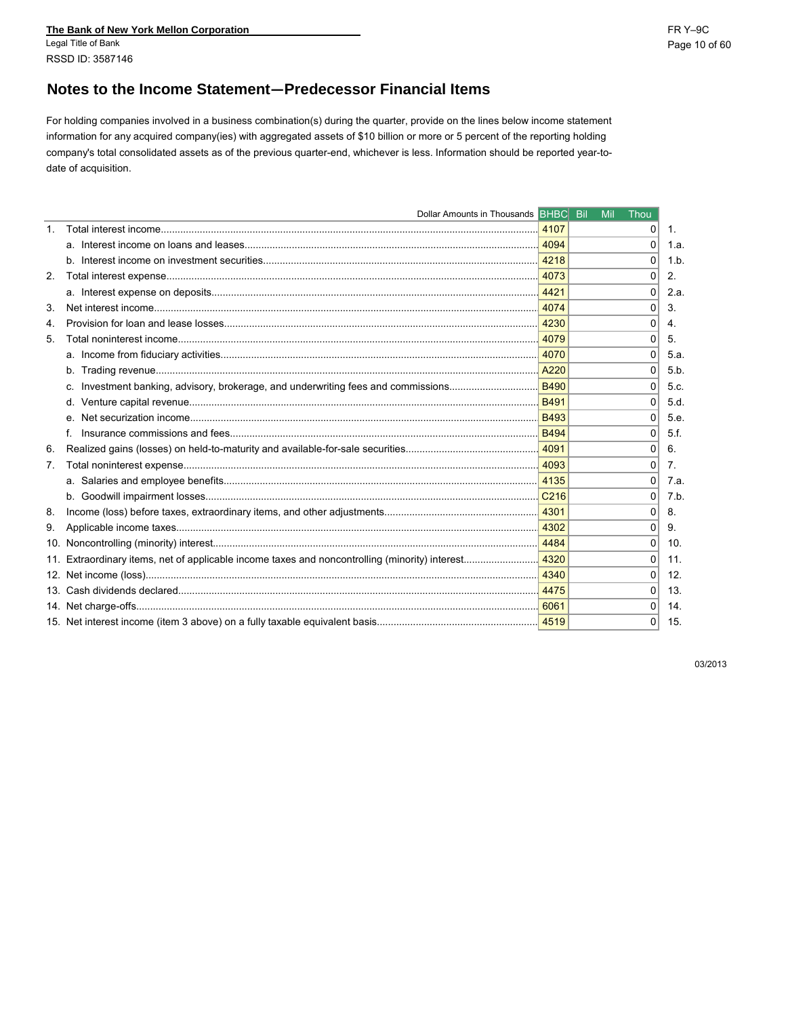The Bank of New York Mellon Corporation Legal Title of Bank RSSD ID: 3587146

For holding companies involved in a business combination(s) during the quarter, provide on the lines below income statement information for any acquired company(ies) with aggregated assets of \$10 billion or more or 5 percent of the reporting holding company's total consolidated assets as of the previous quarter-end, whichever is less. Information should be reported year-todate of acquisition.

|                | Dollar Amounts in Thousands BHBC Bil                                              |                               | Mil | Thou           |                 |
|----------------|-----------------------------------------------------------------------------------|-------------------------------|-----|----------------|-----------------|
| $\mathbf{1}$ . |                                                                                   | 4107                          |     | 0              | 1.              |
|                |                                                                                   | 4094                          |     | $\Omega$       | 1.a.            |
|                |                                                                                   |                               |     | $\Omega$       | 1.b             |
| 2.             |                                                                                   |                               |     | $\Omega$       | 2.              |
|                |                                                                                   |                               |     | 0              | 2.a.            |
| 3.             |                                                                                   | 4074                          |     | $\Omega$       | 3.              |
| 4.             |                                                                                   | .4230                         |     | $\Omega$       | 4.              |
| 5.             |                                                                                   | 4079                          |     | 0              | 5.              |
|                |                                                                                   |                               |     | 0              | 5.a.            |
|                |                                                                                   | A220                          |     | 0              | 5.b             |
|                | c. Investment banking, advisory, brokerage, and underwriting fees and commissions | $\overline{\phantom{0}}$ B490 |     | 0              | 5.c.            |
|                |                                                                                   | <b>B491</b>                   |     | 0              | 5.d.            |
|                |                                                                                   |                               |     | $\Omega$       | 5.e.            |
|                |                                                                                   |                               |     | 0              | 5.f.            |
| 6.             |                                                                                   | 14091                         |     | $\Omega$       | 6.              |
| 7 <sub>1</sub> |                                                                                   | 14093                         |     | $\Omega$       | 7.              |
|                |                                                                                   |                               |     | $\Omega$       | 7.a             |
|                |                                                                                   |                               |     | $\Omega$       | 7.b.            |
| 8.             |                                                                                   |                               |     | $\Omega$       | 8.              |
| 9.             |                                                                                   | 4302                          |     | $\Omega$       | 9.              |
| 10.            |                                                                                   | 14484                         |     | 0              | 10 <sub>1</sub> |
|                |                                                                                   |                               |     | 0              | 11.             |
|                |                                                                                   | 4340                          |     | 0              | 12.             |
| 13.            |                                                                                   | 4475                          |     | $\Omega$       | 13.             |
|                |                                                                                   | 6061                          |     | 0              | 14.             |
|                |                                                                                   |                               |     | $\overline{0}$ | 15.             |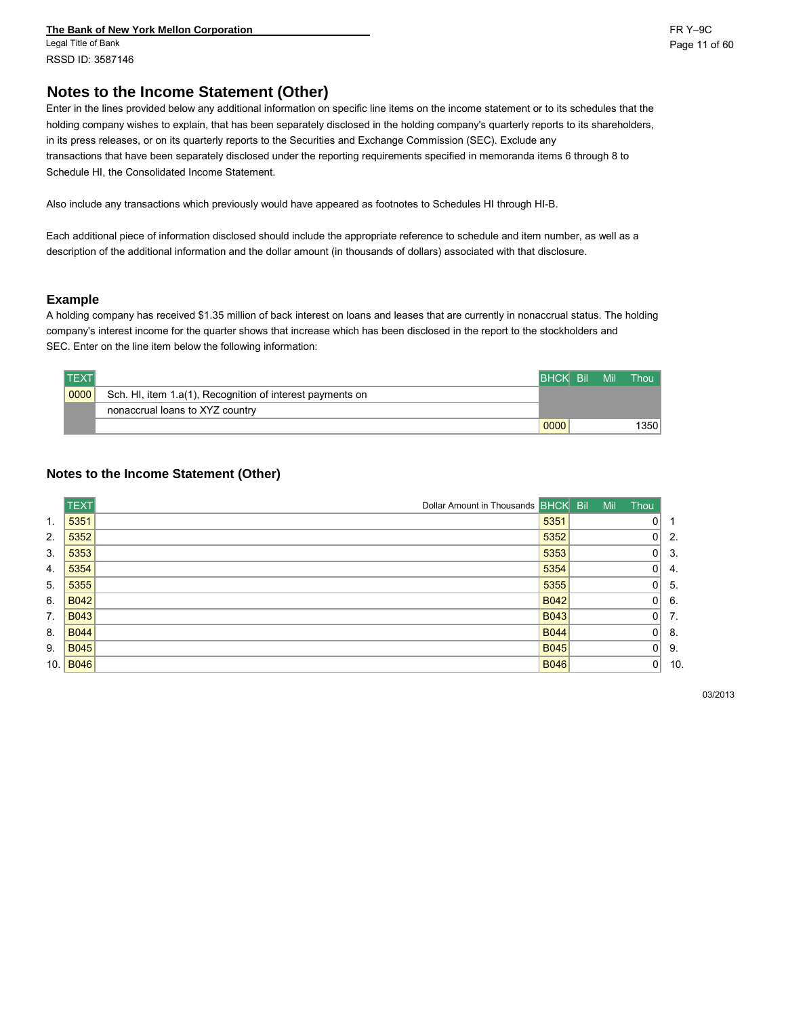**The Bank of New York Mellon Corporation** FR Y–9C Legal Title of Bank Page 11 of 60 RSSD ID: 3587146

### **Notes to the Income Statement (Other)**

Enter in the lines provided below any additional information on specific line items on the income statement or to its schedules that the holding company wishes to explain, that has been separately disclosed in the holding company's quarterly reports to its shareholders, in its press releases, or on its quarterly reports to the Securities and Exchange Commission (SEC). Exclude any transactions that have been separately disclosed under the reporting requirements specified in memoranda items 6 through 8 to Schedule HI, the Consolidated Income Statement.

Also include any transactions which previously would have appeared as footnotes to Schedules HI through HI-B.

Each additional piece of information disclosed should include the appropriate reference to schedule and item number, as well as a description of the additional information and the dollar amount (in thousands of dollars) associated with that disclosure.

#### **Example**

A holding company has received \$1.35 million of back interest on loans and leases that are currently in nonaccrual status. The holding company's interest income for the quarter shows that increase which has been disclosed in the report to the stockholders and SEC. Enter on the line item below the following information:

| <b>TEXT</b> |                                                           | <b>BHCK Bill</b> | Mil | Thou |
|-------------|-----------------------------------------------------------|------------------|-----|------|
| 0000        | Sch. HI, item 1.a(1), Recognition of interest payments on |                  |     |      |
|             | nonaccrual loans to XYZ country                           |                  |     |      |
|             |                                                           | 0000             |     | 1350 |

#### **Notes to the Income Statement (Other)**

|     | <b>TEXT</b> | Dollar Amount in Thousands BHCK Bil |             | Mil | Thou |     |
|-----|-------------|-------------------------------------|-------------|-----|------|-----|
| 1.  | 5351        |                                     | 5351        |     |      |     |
| 2.  | 5352        |                                     | 5352        |     | ი    | 2.  |
| 3.  | 5353        |                                     | 5353        |     | 0    | -3. |
| 4.  | 5354        |                                     | 5354        |     | 0    | 4.  |
| 5.  | 5355        |                                     | 5355        |     |      | 5.  |
| 6.  | <b>B042</b> |                                     | <b>B042</b> |     | 0    | 6.  |
| 7.  | <b>B043</b> |                                     | <b>B043</b> |     | 0    | 7.  |
| 8.  | <b>B044</b> |                                     | <b>B044</b> |     | 0    | -8. |
| 9.  | <b>B045</b> |                                     | <b>B045</b> |     | 0    | 9.  |
| 10. | <b>B046</b> |                                     | <b>B046</b> |     | 0    | 10. |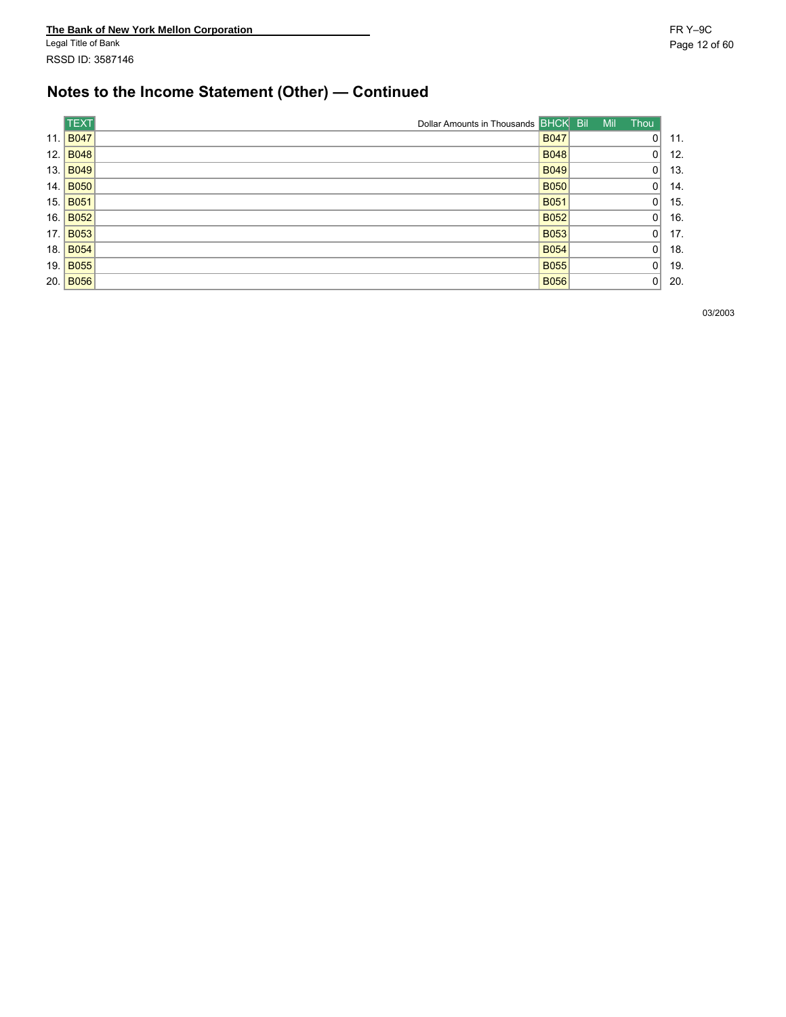# **Notes to the Income Statement (Other) — Continued**

|      | <b>TEXT</b> | Dollar Amounts in Thousands BHCK Bil |             | Mil | <b>Thou</b> |     |
|------|-------------|--------------------------------------|-------------|-----|-------------|-----|
| 11.  | <b>B047</b> |                                      | <b>B047</b> |     | 01          | 11. |
| 12.  | <b>B048</b> |                                      | <b>B048</b> |     | 01          | 12. |
| 13.  | <b>B049</b> |                                      | <b>B049</b> |     | 0           | 13. |
| 14.  | <b>B050</b> |                                      | <b>B050</b> |     | 01          | 14. |
| 15.  | <b>B051</b> |                                      | <b>B051</b> |     | 01          | 15. |
| 16.  | <b>B052</b> |                                      | <b>B052</b> |     | 0           | 16. |
| 17.  | <b>B053</b> |                                      | <b>B053</b> |     | 0           | 17. |
| 18.  | <b>B054</b> |                                      | <b>B054</b> |     | 01          | 18. |
| 19.  | <b>B055</b> |                                      | <b>B055</b> |     | n۱          | 19. |
| 20.1 | <b>B056</b> |                                      | <b>B056</b> |     | 0           | 20. |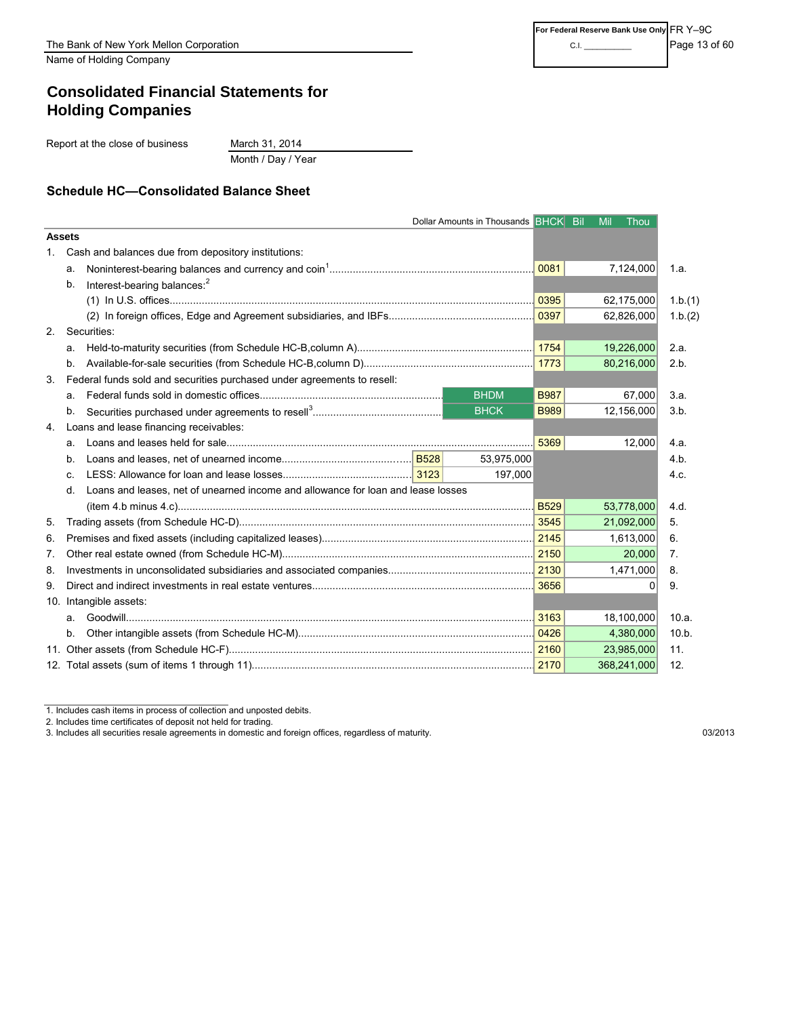Name of Holding Company

## **Consolidated Financial Statements for Holding Companies**

Report at the close of business March 31, 2014

Month / Day / Year

#### **Schedule HC—Consolidated Balance Sheet**

|               |    |                                                                                  |             | Dollar Amounts in Thousands BHCK Bil |               | Mil         | Thou         |         |
|---------------|----|----------------------------------------------------------------------------------|-------------|--------------------------------------|---------------|-------------|--------------|---------|
| <b>Assets</b> |    |                                                                                  |             |                                      |               |             |              |         |
| 1.            |    | Cash and balances due from depository institutions:                              |             |                                      |               |             |              |         |
|               | а. |                                                                                  |             |                                      | 0081          | 7,124,000   |              | 1.a.    |
|               | b. | Interest-bearing balances: <sup>2</sup>                                          |             |                                      |               |             |              |         |
|               |    |                                                                                  |             |                                      | $\sqrt{0395}$ | 62,175,000  |              | 1.b.(1) |
|               |    |                                                                                  |             |                                      |               | 62,826,000  |              | 1.b.(2) |
| 2.            |    | Securities:                                                                      |             |                                      |               |             |              |         |
|               | а. |                                                                                  |             |                                      |               | 19,226,000  |              | 2.a.    |
|               | b. |                                                                                  |             | 1773                                 | 80,216,000    |             | 2.b.         |         |
| 3.            |    | Federal funds sold and securities purchased under agreements to resell:          |             |                                      |               |             |              |         |
|               | a. |                                                                                  | <b>BHDM</b> | <b>B987</b>                          |               | 67,000      | 3.a.         |         |
|               | b. |                                                                                  |             | <b>BHCK</b>                          | <b>B989</b>   | 12,156,000  |              | 3.b.    |
| 4.            |    | Loans and lease financing receivables:                                           |             |                                      |               |             |              |         |
|               | а. |                                                                                  |             |                                      | 5369          |             | 12,000       | 4.a.    |
|               | b. |                                                                                  |             | 53,975,000                           |               |             |              | 4.b.    |
|               | c. |                                                                                  |             | 197,000                              |               |             |              | 4.c.    |
|               | d. | Loans and leases, net of unearned income and allowance for loan and lease losses |             |                                      |               |             |              |         |
|               |    |                                                                                  |             |                                      |               | 53,778,000  |              | 4.d.    |
| 5.            |    |                                                                                  |             |                                      |               | 21,092,000  |              | 5.      |
| 6.            |    |                                                                                  |             |                                      |               | 1,613,000   |              | 6.      |
| 7.            |    |                                                                                  |             |                                      |               |             | 20,000       | 7.      |
| 8.            |    |                                                                                  |             |                                      |               | 1,471,000   |              | 8.      |
| 9.            |    |                                                                                  |             |                                      | 3656          |             | <sup>0</sup> | 9.      |
|               |    | 10. Intangible assets:                                                           |             |                                      |               |             |              |         |
|               | a. |                                                                                  |             |                                      |               | 18,100,000  |              | 10.a.   |
|               | b. |                                                                                  |             |                                      |               | 4,380,000   |              | 10.b.   |
|               |    |                                                                                  |             |                                      |               | 23,985,000  |              | 11.     |
|               |    |                                                                                  |             |                                      |               | 368,241,000 |              | 12.     |

<sup>1.</sup> Includes cash items in process of collection and unposted debits.

2. Includes time certificates of deposit not held for trading.

3. Includes all securities resale agreements in domestic and foreign offices, regardless of maturity. 03/2013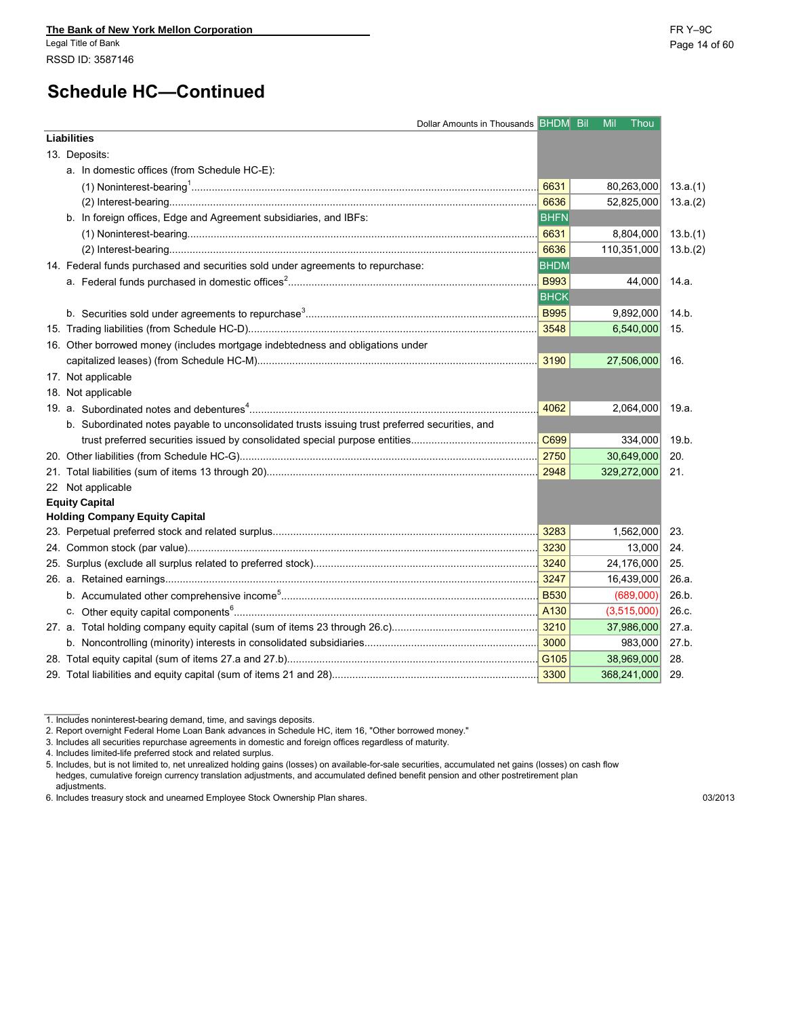# **Schedule HC—Continued**

| Dollar Amounts in Thousands BHDM Bil Mil Thou                                                  |                  |             |          |
|------------------------------------------------------------------------------------------------|------------------|-------------|----------|
| <b>Liabilities</b>                                                                             |                  |             |          |
| 13. Deposits:                                                                                  |                  |             |          |
| a. In domestic offices (from Schedule HC-E):                                                   |                  |             |          |
|                                                                                                | 6631             | 80,263,000  | 13.a.(1) |
|                                                                                                |                  | 52,825,000  | 13.a.(2) |
| b. In foreign offices, Edge and Agreement subsidiaries, and IBFs:                              | <b>BHFN</b>      |             |          |
|                                                                                                | 6631             | 8,804,000   | 13.b.(1) |
|                                                                                                | $\frac{6636}{ }$ | 110,351,000 | 13.b.(2) |
| 14. Federal funds purchased and securities sold under agreements to repurchase:                | <b>BHDM</b>      |             |          |
|                                                                                                | <b>B993</b>      | 44,000      | 14.a.    |
|                                                                                                | <b>BHCK</b>      |             |          |
|                                                                                                | <b>B995</b>      | 9,892,000   | 14.b.    |
|                                                                                                |                  | 6,540,000   | 15.      |
| 16. Other borrowed money (includes mortgage indebtedness and obligations under                 |                  |             |          |
|                                                                                                |                  | 27,506,000  | 16.      |
| 17. Not applicable                                                                             |                  |             |          |
| 18. Not applicable                                                                             |                  |             |          |
|                                                                                                | 4062             | 2,064,000   | 19.a.    |
| b. Subordinated notes payable to unconsolidated trusts issuing trust preferred securities, and |                  |             |          |
|                                                                                                | C699             | 334,000     | 19.b.    |
|                                                                                                |                  | 30,649,000  | 20.      |
|                                                                                                |                  | 329,272,000 | 21.      |
| 22 Not applicable                                                                              |                  |             |          |
| <b>Equity Capital</b>                                                                          |                  |             |          |
| <b>Holding Company Equity Capital</b>                                                          |                  |             |          |
|                                                                                                |                  | 1,562,000   | 23.      |
|                                                                                                |                  | 13,000      | 24.      |
|                                                                                                |                  | 24,176,000  | 25.      |
|                                                                                                |                  | 16,439,000  | 26.a.    |
|                                                                                                |                  | (689,000)   | 26.b.    |
|                                                                                                |                  | (3,515,000) | 26.c.    |
|                                                                                                |                  | 37,986,000  | 27.a.    |
|                                                                                                |                  | 983,000     | 27.b.    |
|                                                                                                |                  | 38,969,000  | 28.      |
|                                                                                                |                  | 368,241,000 | 29.      |

<sup>1.</sup> Includes noninterest-bearing demand, time, and savings deposits.

2. Report overnight Federal Home Loan Bank advances in Schedule HC, item 16, "Other borrowed money."

3. Includes all securities repurchase agreements in domestic and foreign offices regardless of maturity.

4. Includes limited-life preferred stock and related surplus.

5. Includes, but is not limited to, net unrealized holding gains (losses) on available-for-sale securities, accumulated net gains (losses) on cash flow hedges, cumulative foreign currency translation adjustments, and accumulated defined benefit pension and other postretirement plan adjustments.

<sup>6.</sup> Includes treasury stock and unearned Employee Stock Ownership Plan shares. 03/2013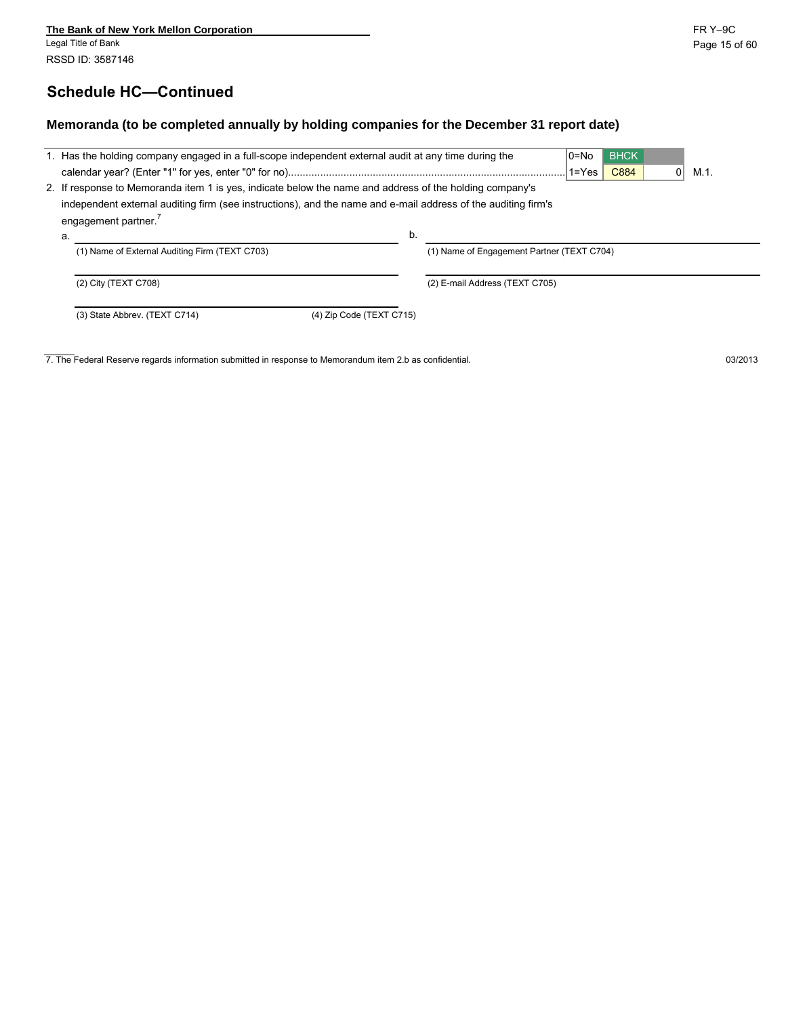## **Schedule HC—Continued**

#### **Memoranda (to be completed annually by holding companies for the December 31 report date)**

|    | 1. Has the holding company engaged in a full-scope independent external audit at any time during the                                                                                                                     |    |                                            | $0 = No$<br>$1 = Yes$ | <b>BHCK</b><br>C884 | 0 | M.1. |  |  |  |  |  |
|----|--------------------------------------------------------------------------------------------------------------------------------------------------------------------------------------------------------------------------|----|--------------------------------------------|-----------------------|---------------------|---|------|--|--|--|--|--|
|    | 2. If response to Memoranda item 1 is yes, indicate below the name and address of the holding company's<br>independent external auditing firm (see instructions), and the name and e-mail address of the auditing firm's |    |                                            |                       |                     |   |      |  |  |  |  |  |
|    | engagement partner. <sup>7</sup>                                                                                                                                                                                         |    |                                            |                       |                     |   |      |  |  |  |  |  |
| a. |                                                                                                                                                                                                                          | b. |                                            |                       |                     |   |      |  |  |  |  |  |
|    | (1) Name of External Auditing Firm (TEXT C703)                                                                                                                                                                           |    | (1) Name of Engagement Partner (TEXT C704) |                       |                     |   |      |  |  |  |  |  |
|    | (2) City (TEXT C708)                                                                                                                                                                                                     |    | (2) E-mail Address (TEXT C705)             |                       |                     |   |      |  |  |  |  |  |
|    | (3) State Abbrev. (TEXT C714)<br>(4) Zip Code (TEXT C715)                                                                                                                                                                |    |                                            |                       |                     |   |      |  |  |  |  |  |

7. The Federal Reserve regards information submitted in response to Memorandum item 2.b as confidential. 03/2013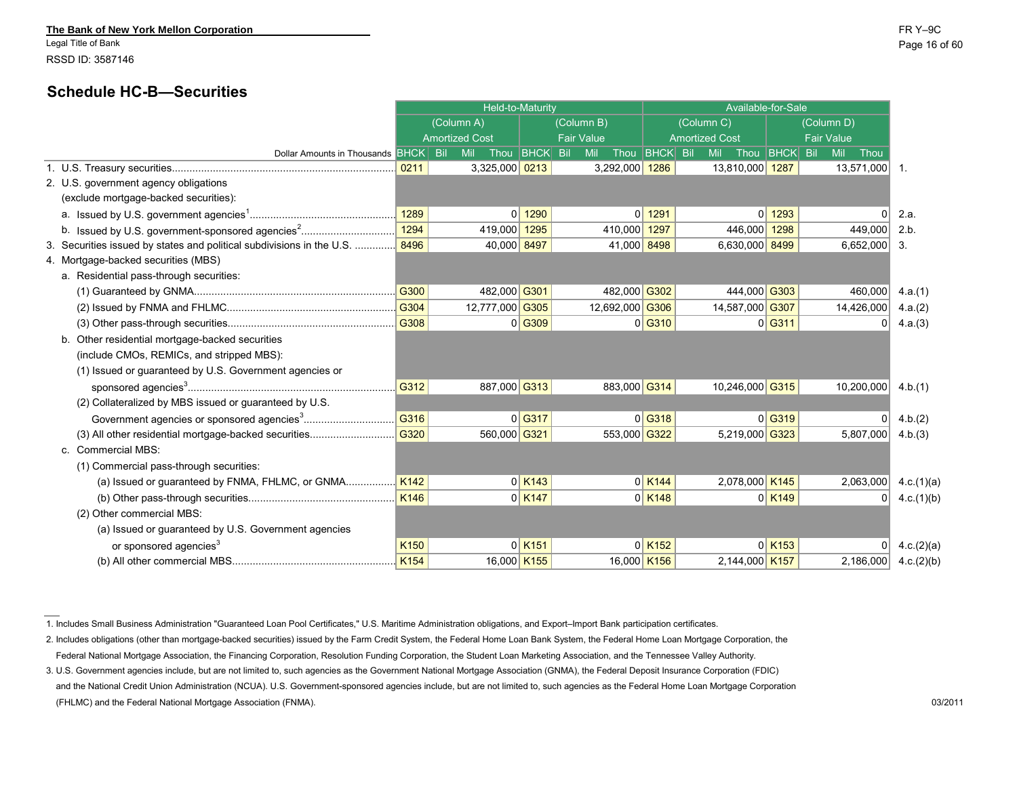Legal Title of Bank Page 16 of 60 RSSD ID: 3587146

### **Schedule HC-B—Securities**

|                                                                             |                  | Held-to-Maturity      |                      |                   |                      | Available-for-Sale    |                      |                   |            |
|-----------------------------------------------------------------------------|------------------|-----------------------|----------------------|-------------------|----------------------|-----------------------|----------------------|-------------------|------------|
|                                                                             |                  | (Column A)            |                      | (Column B)        |                      | (Column C)            |                      | (Column D)        |            |
|                                                                             |                  | <b>Amortized Cost</b> |                      | <b>Fair Value</b> |                      | <b>Amortized Cost</b> |                      | <b>Fair Value</b> |            |
| Dollar Amounts in Thousands BHCK Bil                                        |                  | Mil                   | Thou BHCK Bil        | Mil               | Thou BHCK Bil        | <b>Mil</b>            | Thou BHCK Bil        | Mil<br>Thou       |            |
|                                                                             | 0211             | 3,325,000 0213        |                      | 3,292,000 1286    |                      | 13,810,000 1287       |                      | 13,571,000 1.     |            |
| 2. U.S. government agency obligations                                       |                  |                       |                      |                   |                      |                       |                      |                   |            |
| (exclude mortgage-backed securities):                                       |                  |                       |                      |                   |                      |                       |                      |                   |            |
|                                                                             | 1289             |                       | $0$ 1290             |                   | $0$ 1291             |                       | $0$ 1293             | $\Omega$          | 2.a.       |
| b. Issued by U.S. government-sponsored agencies <sup>2</sup>                | 1294             | 419,000 1295          |                      | 410,000 1297      |                      | 446,000 1298          |                      | 449,000           | 2.b        |
| 3. Securities issued by states and political subdivisions in the U.S.  8496 |                  | 40,000 8497           |                      | 41,000 8498       |                      | 6,630,000 8499        |                      | $6,652,000$ 3.    |            |
| 4. Mortgage-backed securities (MBS)                                         |                  |                       |                      |                   |                      |                       |                      |                   |            |
| a. Residential pass-through securities:                                     |                  |                       |                      |                   |                      |                       |                      |                   |            |
|                                                                             | G300             | 482,000 G301          |                      | 482,000 G302      |                      | 444,000 G303          |                      | 460,000           | 4.a.(1)    |
|                                                                             | G304             | 12,777,000 G305       |                      | 12,692,000 G306   |                      | 14,587,000 G307       |                      | 14,426,000        | 4.a.(2)    |
|                                                                             | G308             |                       | $0$ G309             |                   | $0 $ G310            |                       | $0$ G311             | $\Omega$          | 4.a.(3)    |
| b. Other residential mortgage-backed securities                             |                  |                       |                      |                   |                      |                       |                      |                   |            |
| (include CMOs, REMICs, and stripped MBS):                                   |                  |                       |                      |                   |                      |                       |                      |                   |            |
| (1) Issued or guaranteed by U.S. Government agencies or                     |                  |                       |                      |                   |                      |                       |                      |                   |            |
|                                                                             | G312             | 887,000 G313          |                      | 883,000 G314      |                      | 10,246,000 G315       |                      | 10,200,000        | 4 b $(1)$  |
| (2) Collateralized by MBS issued or guaranteed by U.S.                      |                  |                       |                      |                   |                      |                       |                      |                   |            |
|                                                                             | G316             |                       | $0$ G317             |                   | $0$ G318             |                       | $0$ <sup>G319</sup>  | $\Omega$          | 4.b.(2)    |
| (3) All other residential mortgage-backed securities                        | G320             | 560,000 G321          |                      | 553,000 G322      |                      | 5,219,000 G323        |                      | 5,807,000         | 4.b.(3)    |
| c. Commercial MBS:                                                          |                  |                       |                      |                   |                      |                       |                      |                   |            |
| (1) Commercial pass-through securities:                                     |                  |                       |                      |                   |                      |                       |                      |                   |            |
|                                                                             |                  |                       | $0$ K <sub>143</sub> |                   | $0$ K <sub>144</sub> | 2,078,000 K145        |                      | 2,063,000         | 4.c.(1)(a) |
|                                                                             | K146             |                       | $0$ K <sub>147</sub> |                   | $0$ K <sub>148</sub> |                       | 0 K149               | 0                 | 4.c.(1)(b) |
| (2) Other commercial MBS:                                                   |                  |                       |                      |                   |                      |                       |                      |                   |            |
| (a) Issued or guaranteed by U.S. Government agencies                        |                  |                       |                      |                   |                      |                       |                      |                   |            |
| or sponsored agencies <sup>3</sup>                                          | K <sub>150</sub> |                       | $0$ K <sub>151</sub> |                   | $0$ K <sub>152</sub> |                       | $0$ K <sub>153</sub> | $\Omega$          | 4.c.(2)(a) |
|                                                                             | K154             | 16,000 K155           |                      | 16,000 K156       |                      | 2,144,000 K157        |                      | 2,186,000         | 4.c.(2)(b) |
|                                                                             |                  |                       |                      |                   |                      |                       |                      |                   |            |

-----<br>1. Includes Small Business Administration "Guaranteed Loan Pool Certificates," U.S. Maritime Administration obligations, and Export–Import Bank participation certificates.

2. Includes obligations (other than mortgage-backed securities) issued by the Farm Credit System, the Federal Home Loan Bank System, the Federal Home Loan Mortgage Corporation, the Federal National Mortgage Association, the Financing Corporation, Resolution Funding Corporation, the Student Loan Marketing Association, and the Tennessee Valley Authority.

3. U.S. Government agencies include, but are not limited to, such agencies as the Government National Mortgage Association (GNMA), the Federal Deposit Insurance Corporation (FDIC) and the National Credit Union Administration (NCUA). U.S. Government-sponsored agencies include, but are not limited to, such agencies as the Federal Home Loan Mortgage Corporation (FHLMC) and the Federal National Mortgage Association (FNMA). 03/2011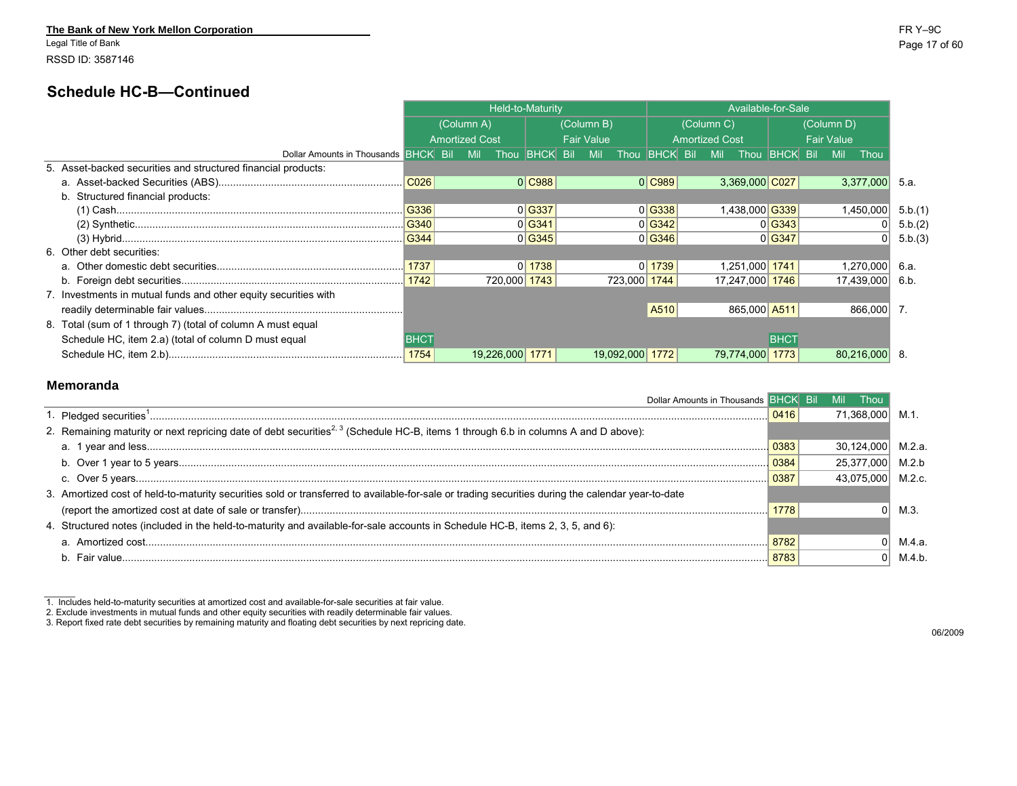Legal Title of Bank Page 17 of 60 RSSD ID: 3587146

### **Schedule HC-B—Continued**

|                                                                 |                  |                       | Held-to-Maturity     |                   |                 |                       |            | Available-for-Sale |                 |                   |                    |         |
|-----------------------------------------------------------------|------------------|-----------------------|----------------------|-------------------|-----------------|-----------------------|------------|--------------------|-----------------|-------------------|--------------------|---------|
|                                                                 |                  | (Column A)            |                      | (Column B)        |                 |                       | (Column C) |                    |                 | (Column D)        |                    |         |
|                                                                 |                  | <b>Amortized Cost</b> |                      | <b>Fair Value</b> |                 | <b>Amortized Cost</b> |            |                    |                 | <b>Fair Value</b> |                    |         |
| Dollar Amounts in Thousands BHCK Bil                            |                  | <b>Mil</b>            | Thou <b>BHCK</b> Bil | <b>Mil</b>        | Thou BHCK Bil   |                       | <b>Mil</b> | Thou               | <b>BHCK Bil</b> |                   | <b>Mil</b><br>Thou |         |
| 5. Asset-backed securities and structured financial products:   |                  |                       |                      |                   |                 |                       |            |                    |                 |                   |                    |         |
|                                                                 | CO <sub>26</sub> |                       | 0 C988               |                   | 0 C989          |                       |            | 3,369,000 C027     |                 |                   | 3,377,000          | 5.a.    |
| b. Structured financial products:                               |                  |                       |                      |                   |                 |                       |            |                    |                 |                   |                    |         |
|                                                                 |                  |                       | 0 G337               |                   | 0 G338          |                       |            | 1,438,000 G339     |                 |                   | 1,450,000          | 5.b.(1) |
|                                                                 |                  |                       | 0 G341               |                   | 0 G342          |                       |            |                    | 0 G343          |                   |                    | 5.b.(2) |
|                                                                 | $\sqrt{G344}$    |                       | 0 G345               |                   | 0 G346          |                       |            |                    | 0 G347          |                   |                    | 5.b.(3) |
| 6. Other debt securities:                                       |                  |                       |                      |                   |                 |                       |            |                    |                 |                   |                    |         |
|                                                                 | 1737             |                       | $0$ 1738             |                   | $0$   1739      |                       |            | 1,251,000 1741     |                 |                   | 1,270,000          | 6.a.    |
|                                                                 |                  |                       | 720,000 1743         |                   | 723,000 1744    |                       |            | 17,247,000 1746    |                 |                   | 17,439,000         | 6.b.    |
| 7. Investments in mutual funds and other equity securities with |                  |                       |                      |                   |                 |                       |            |                    |                 |                   |                    |         |
|                                                                 |                  |                       |                      |                   | A510            |                       |            | 865,000 A511       |                 |                   | 866,000 7.         |         |
| 8. Total (sum of 1 through 7) (total of column A must equal     |                  |                       |                      |                   |                 |                       |            |                    |                 |                   |                    |         |
| Schedule HC, item 2.a) (total of column D must equal            | <b>BHCT</b>      |                       |                      |                   |                 |                       |            |                    | <b>BHCT</b>     |                   |                    |         |
|                                                                 |                  |                       | 19.226.000 1771      |                   | 19,092,000 1772 |                       |            | 79.774.000 1773    |                 |                   | 80,216,000         |         |

#### **Memoranda**

| Dollar Amounts in Thousands BHCK Bil Mil                                                                                                          |      | <b>Thou</b>       |        |
|---------------------------------------------------------------------------------------------------------------------------------------------------|------|-------------------|--------|
|                                                                                                                                                   | 0416 | 71.368.000        |        |
| 2. Remaining maturity or next repricing date of debt securities <sup>2, 3</sup> (Schedule HC-B, items 1 through 6.b in columns A and D above):    |      |                   |        |
|                                                                                                                                                   | 0383 | 30.124.000        | M.2.a. |
|                                                                                                                                                   | 0384 | 25,377,000        | M.2.b  |
|                                                                                                                                                   | 0387 | 43.075.000 M.2.c. |        |
| 3. Amortized cost of held-to-maturity securities sold or transferred to available-for-sale or trading securities during the calendar year-to-date |      |                   |        |
|                                                                                                                                                   | 1778 |                   | M.3.   |
| 4. Structured notes (included in the held-to-maturity and available-for-sale accounts in Schedule HC-B, items 2, 3, 5, and 6):                    |      |                   |        |
|                                                                                                                                                   | 8782 |                   | M.4.a. |
|                                                                                                                                                   | 8783 |                   | M.4.b. |
|                                                                                                                                                   |      |                   |        |

<sup>1.</sup> Includes held-to-maturity securities at amortized cost and available-for-sale securities at fair value.<br>2. Exclude investments in mutual funds and other equity securities with readily determinable fair values.<br>3. Repor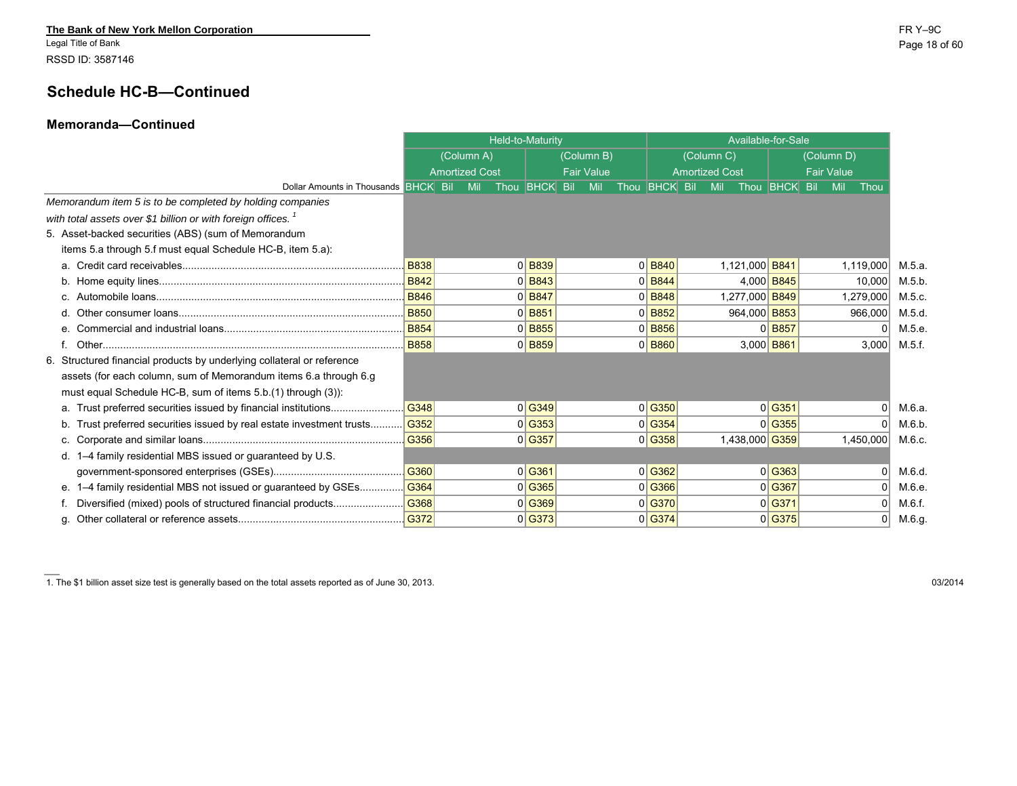Legal Title of Bank Page 18 of 60 RSSD ID: 3587146

 $\sim$ 

## **Schedule HC-B—Continued**

#### **Memoranda—Continued**

|                                                                          |             |                       | Held-to-Maturity                 |                   |                      |                      |                       |            |                | Available-for-Sale       |                   |        |
|--------------------------------------------------------------------------|-------------|-----------------------|----------------------------------|-------------------|----------------------|----------------------|-----------------------|------------|----------------|--------------------------|-------------------|--------|
|                                                                          |             | (Column A)            |                                  | (Column B)        |                      |                      |                       | (Column C) |                |                          | (Column D)        |        |
|                                                                          |             | <b>Amortized Cost</b> |                                  | <b>Fair Value</b> |                      |                      | <b>Amortized Cost</b> |            |                |                          | <b>Fair Value</b> |        |
| Dollar Amounts in Thousands <b>BHCK</b> Bil                              |             | Mil                   | Thou <b>BHCK</b> Bil             | Mil               | Thou <b>BHCK</b> Bil |                      |                       | Mil        |                | Thou <b>BHCK</b> Bil Mil | Thou              |        |
| Memorandum item 5 is to be completed by holding companies                |             |                       |                                  |                   |                      |                      |                       |            |                |                          |                   |        |
| with total assets over \$1 billion or with foreign offices. <sup>1</sup> |             |                       |                                  |                   |                      |                      |                       |            |                |                          |                   |        |
| 5. Asset-backed securities (ABS) (sum of Memorandum                      |             |                       |                                  |                   |                      |                      |                       |            |                |                          |                   |        |
| items 5.a through 5.f must equal Schedule HC-B, item 5.a):               |             |                       |                                  |                   |                      |                      |                       |            |                |                          |                   |        |
|                                                                          | <b>B838</b> |                       | $0$ B <sub>839</sub>             |                   |                      | $0$ B <sub>840</sub> |                       |            | 1,121,000 B841 |                          | 1,119,000         | M.5.a. |
|                                                                          |             |                       | $0$ B <sub>843</sub>             |                   |                      | $0$ B <sub>844</sub> |                       |            |                | 4,000 B845               | 10,000            | M.5 b. |
|                                                                          |             |                       | $0$ B <sub>847</sub>             |                   |                      | $0$ B <sub>848</sub> |                       |            | 1,277,000 B849 |                          | 1,279,000         | M.5 c. |
| d.                                                                       | <b>B850</b> |                       | $0$ B <sub>851</sub>             |                   |                      | $0$ B <sub>852</sub> |                       |            | 964,000 B853   |                          | 966,000           | M.5 d. |
| e.                                                                       | <b>B854</b> |                       | $0$ B <sub>855</sub>             |                   |                      | $0$ B <sub>856</sub> |                       |            |                | $0$ B <sub>857</sub>     | $\Omega$          | M.5.e. |
|                                                                          | <b>B858</b> |                       | $0$ B <sub>859</sub>             |                   |                      | $0$ B <sub>860</sub> |                       |            |                | 3,000 B861               | 3,000             | M.5.f. |
| 6. Structured financial products by underlying collateral or reference   |             |                       |                                  |                   |                      |                      |                       |            |                |                          |                   |        |
| assets (for each column, sum of Memorandum items 6.a through 6.g         |             |                       |                                  |                   |                      |                      |                       |            |                |                          |                   |        |
| must equal Schedule HC-B, sum of items 5.b.(1) through (3)):             |             |                       |                                  |                   |                      |                      |                       |            |                |                          |                   |        |
|                                                                          | G348        |                       | $0$ <sup><math>G349</math></sup> |                   |                      | 0 G350               |                       |            |                | $0$ <sup>G351</sup>      | $\Omega$          | M.6.a. |
| Trust preferred securities issued by real estate investment trusts       | G352        |                       | 0 G353                           |                   |                      | 0 G354               |                       |            |                | 0 G355                   | $\Omega$          | M.6.b. |
|                                                                          | G356        |                       | $0$ <sup>c</sup> G357            |                   |                      | 0 G358               |                       |            |                | 1,438,000 G359           | 1,450,000         | M.6.c. |
| d. 1-4 family residential MBS issued or quaranteed by U.S.               |             |                       |                                  |                   |                      |                      |                       |            |                |                          |                   |        |
|                                                                          | G360        |                       | 0 G361                           |                   |                      | 0 G362               |                       |            |                | 0 G363                   | $\Omega$          | M.6.d. |
| 1-4 family residential MBS not issued or guaranteed by GSEs<br>е.        | G364        |                       | $0$ <sup><math>G365</math></sup> |                   |                      | 0 G366               |                       |            |                | 0 G367                   | $\Omega$          | M.6.e. |
| Diversified (mixed) pools of structured financial products               | G368        |                       | $0$ <sup><math>G369</math></sup> |                   |                      | 0 G370               |                       |            |                | 0 G371                   | $\Omega$          | M.6.f. |
|                                                                          | G372        |                       | 0 G373                           |                   |                      | 0 G374               |                       |            |                | 0 G375                   | $\overline{0}$    | M.6.g. |

1. The \$1 billion asset size test is generally based on the total assets reported as of June 30, 2013. 03/2014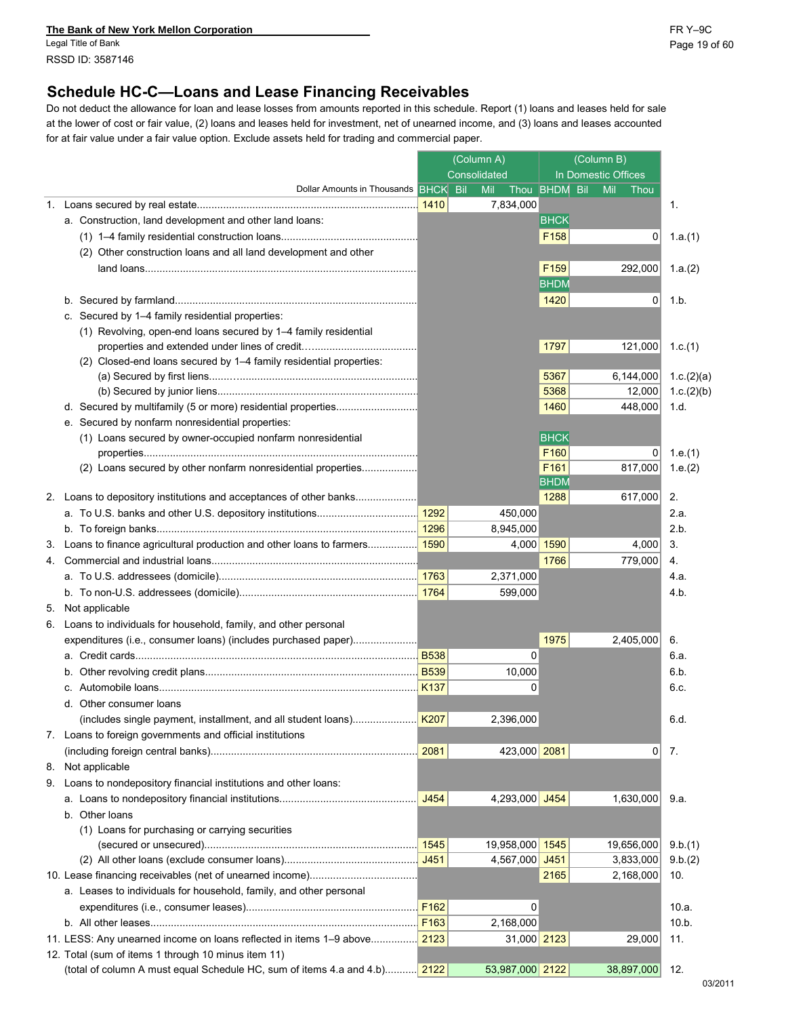**The Bank of New York Mellon Corporation** FR Y–9C

Legal Title of Bank Page 19 of 60 RSSD ID: 3587146

## **Schedule HC-C—Loans and Lease Financing Receivables**

Do not deduct the allowance for loan and lease losses from amounts reported in this schedule. Report (1) loans and leases held for sale at the lower of cost or fair value, (2) loans and leases held for investment, net of unearned income, and (3) loans and leases accounted for at fair value under a fair value option. Exclude assets held for trading and commercial paper.

|  |                                                                                       | (Column A)<br>Consolidated |  |                 | (Column B)<br>In Domestic Offices |                      |            |
|--|---------------------------------------------------------------------------------------|----------------------------|--|-----------------|-----------------------------------|----------------------|------------|
|  | Dollar Amounts in Thousands BHCK Bil                                                  |                            |  | Mil             | Thou BHDM Bil                     | Mil<br>Thou          |            |
|  |                                                                                       |                            |  | 7,834,000       |                                   |                      | 1.         |
|  | a. Construction, land development and other land loans:                               |                            |  |                 | <b>BHCK</b>                       |                      |            |
|  |                                                                                       |                            |  |                 | F158                              | 0                    | 1.a.(1)    |
|  | (2) Other construction loans and all land development and other                       |                            |  |                 |                                   |                      |            |
|  |                                                                                       |                            |  |                 | F <sub>159</sub>                  | 292,000              | 1.a. $(2)$ |
|  |                                                                                       |                            |  |                 | <b>BHDM</b>                       |                      |            |
|  | b.                                                                                    |                            |  |                 | 1420                              | 0                    | 1.b.       |
|  | c. Secured by 1-4 family residential properties:                                      |                            |  |                 |                                   |                      |            |
|  | (1) Revolving, open-end loans secured by 1-4 family residential                       |                            |  |                 |                                   |                      |            |
|  |                                                                                       |                            |  |                 | 1797                              | 121,000              |            |
|  |                                                                                       |                            |  |                 |                                   |                      | 1.c. $(1)$ |
|  | (2) Closed-end loans secured by 1-4 family residential properties:                    |                            |  |                 | 5367                              | 6,144,000 1.c.(2)(a) |            |
|  |                                                                                       |                            |  |                 | 5368                              | 12,000               | 1.c.(2)(b) |
|  |                                                                                       |                            |  |                 | 1460                              | 448,000              | 1.d.       |
|  | e. Secured by nonfarm nonresidential properties:                                      |                            |  |                 |                                   |                      |            |
|  | (1) Loans secured by owner-occupied nonfarm nonresidential                            |                            |  |                 | <b>BHCK</b>                       |                      |            |
|  |                                                                                       |                            |  |                 | F160                              | 0                    | 1.e. $(1)$ |
|  | (2) Loans secured by other nonfarm nonresidential properties                          |                            |  |                 | F161                              | 817,000              | 1.e. $(2)$ |
|  |                                                                                       |                            |  |                 | <b>BHDM</b>                       |                      |            |
|  | 2. Loans to depository institutions and acceptances of other banks                    |                            |  |                 | 1288                              | 617,000              | 2.         |
|  |                                                                                       |                            |  | 450.000         |                                   |                      | 2.a.       |
|  | b.                                                                                    |                            |  | 8,945,000       |                                   |                      | 2.b.       |
|  |                                                                                       |                            |  | 4,000 1590      |                                   | 4,000                | 3.         |
|  |                                                                                       |                            |  |                 | 1766                              | 779,000              | 4.         |
|  |                                                                                       |                            |  |                 |                                   |                      |            |
|  |                                                                                       |                            |  | 2,371,000       |                                   |                      | 4.a.       |
|  |                                                                                       |                            |  | 599,000         |                                   |                      | 4.b.       |
|  | 5. Not applicable                                                                     |                            |  |                 |                                   |                      |            |
|  | 6. Loans to individuals for household, family, and other personal                     |                            |  |                 |                                   |                      |            |
|  | expenditures (i.e., consumer loans) (includes purchased paper)                        |                            |  |                 | 1975                              | 2,405,000            | 6.         |
|  | а.                                                                                    |                            |  | $\Omega$        |                                   |                      | 6.a.       |
|  |                                                                                       |                            |  | 10,000          |                                   |                      | 6.b.       |
|  |                                                                                       |                            |  | 0               |                                   |                      | 6.c.       |
|  | d. Other consumer loans                                                               |                            |  |                 |                                   |                      |            |
|  |                                                                                       |                            |  | 2,396,000       |                                   |                      | 6.d.       |
|  | 7. Loans to foreign governments and official institutions                             |                            |  |                 |                                   |                      |            |
|  |                                                                                       |                            |  | 423,000 2081    |                                   | 01                   | 7.         |
|  | 8. Not applicable                                                                     |                            |  |                 |                                   |                      |            |
|  | 9. Loans to nondepository financial institutions and other loans:                     |                            |  |                 |                                   |                      |            |
|  |                                                                                       | J454                       |  | 4,293,000 J454  |                                   | 1,630,000            | 9.a.       |
|  | b. Other loans                                                                        |                            |  |                 |                                   |                      |            |
|  | (1) Loans for purchasing or carrying securities                                       |                            |  |                 |                                   |                      |            |
|  |                                                                                       |                            |  | 19,958,000 1545 |                                   | 19,656,000           | 9.b.(1)    |
|  |                                                                                       |                            |  | 4,567,000 J451  |                                   | 3,833,000            | 9.b(2)     |
|  |                                                                                       |                            |  |                 | 2165                              | 2,168,000            | 10.        |
|  | a. Leases to individuals for household, family, and other personal                    |                            |  |                 |                                   |                      |            |
|  |                                                                                       | F162                       |  | 0               |                                   |                      | 10.a.      |
|  |                                                                                       | F163                       |  | 2,168,000       |                                   |                      | 10.b.      |
|  | 11. LESS: Any unearned income on loans reflected in items 1–9 above <mark>2123</mark> |                            |  | 31,000 2123     |                                   | 29,000               | 11.        |
|  | 12. Total (sum of items 1 through 10 minus item 11)                                   |                            |  |                 |                                   |                      |            |
|  | (total of column A must equal Schedule HC, sum of items 4.a and 4.b) 2122             |                            |  | 53,987,000 2122 |                                   | 38,897,000           | 12.        |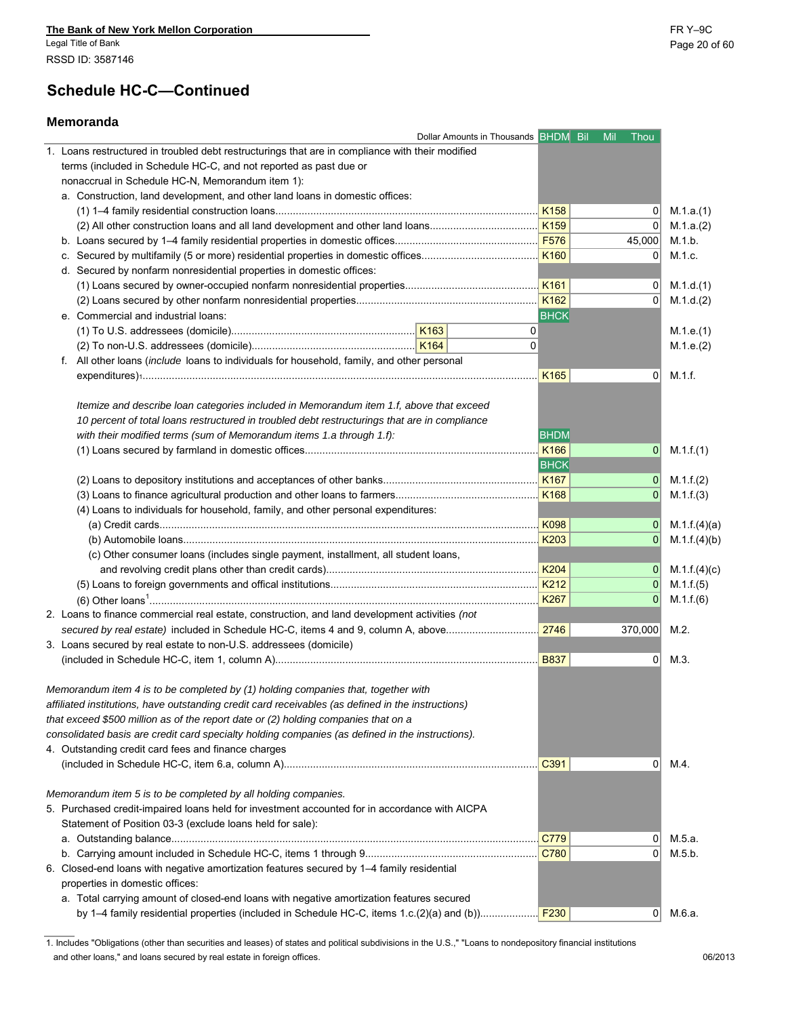# **Schedule HC-C—Continued**

### **Memoranda**

|                                                                                                    | Dollar Amounts in Thousands <b>BHDM</b> Bil Mil Thou |                  |                |               |
|----------------------------------------------------------------------------------------------------|------------------------------------------------------|------------------|----------------|---------------|
| 1. Loans restructured in troubled debt restructurings that are in compliance with their modified   |                                                      |                  |                |               |
| terms (included in Schedule HC-C, and not reported as past due or                                  |                                                      |                  |                |               |
| nonaccrual in Schedule HC-N, Memorandum item 1):                                                   |                                                      |                  |                |               |
| a. Construction, land development, and other land loans in domestic offices:                       |                                                      |                  |                |               |
|                                                                                                    |                                                      |                  | 0              | M.1.a.(1)     |
|                                                                                                    |                                                      |                  | 0              | M.1.a.(2)     |
|                                                                                                    |                                                      |                  | 45,000         | M.1.b.        |
|                                                                                                    |                                                      | K160             | $\overline{0}$ | M.1.c.        |
| d. Secured by nonfarm nonresidential properties in domestic offices:                               |                                                      |                  |                |               |
|                                                                                                    |                                                      |                  | $\overline{0}$ | M.1.d.(1)     |
|                                                                                                    |                                                      | K <sub>162</sub> | $\overline{0}$ | M.1.d.(2)     |
| e. Commercial and industrial loans:                                                                |                                                      | <b>BHCK</b>      |                |               |
|                                                                                                    |                                                      | 0                |                | M.1.e.(1)     |
|                                                                                                    |                                                      | $\Omega$         |                | M.1.e.(2)     |
| f. All other loans (include loans to individuals for household, family, and other personal         |                                                      |                  |                |               |
|                                                                                                    |                                                      | K165             | $\overline{0}$ | M.1.f.        |
|                                                                                                    |                                                      |                  |                |               |
| Itemize and describe loan categories included in Memorandum item 1.f, above that exceed            |                                                      |                  |                |               |
| 10 percent of total loans restructured in troubled debt restructurings that are in compliance      |                                                      |                  |                |               |
| with their modified terms (sum of Memorandum items 1.a through 1.f):                               |                                                      | <b>BHDM</b>      |                |               |
|                                                                                                    |                                                      | K <sub>166</sub> | $\mathbf{0}$   | M.1.f.(1)     |
|                                                                                                    |                                                      | <b>BHCK</b>      |                |               |
|                                                                                                    |                                                      |                  | $\mathbf{0}$   | M.1.f.(2)     |
|                                                                                                    |                                                      | K <sub>168</sub> | 0              | M.1.f.(3)     |
| (4) Loans to individuals for household, family, and other personal expenditures:                   |                                                      |                  |                |               |
|                                                                                                    |                                                      | K098             | 0              | M.1.f.(4)(a)  |
|                                                                                                    |                                                      | K203             | 0              | M.1 f. (4)(b) |
| (c) Other consumer loans (includes single payment, installment, all student loans,                 |                                                      |                  |                |               |
|                                                                                                    |                                                      |                  | $\overline{0}$ | M.1.f.(4)(c)  |
|                                                                                                    |                                                      |                  | $\overline{0}$ | M.1.f.(5)     |
|                                                                                                    |                                                      | K267             | 0              | M.1.f.(6)     |
| 2. Loans to finance commercial real estate, construction, and land development activities (not     |                                                      |                  |                |               |
|                                                                                                    |                                                      |                  | 370,000        | M.2.          |
| 3. Loans secured by real estate to non-U.S. addressees (domicile)                                  |                                                      |                  |                |               |
|                                                                                                    |                                                      |                  | $\overline{0}$ | M.3.          |
|                                                                                                    |                                                      |                  |                |               |
| Memorandum item 4 is to be completed by (1) holding companies that, together with                  |                                                      |                  |                |               |
| affiliated institutions, have outstanding credit card receivables (as defined in the instructions) |                                                      |                  |                |               |
| that exceed \$500 million as of the report date or (2) holding companies that on a                 |                                                      |                  |                |               |
| consolidated basis are credit card specialty holding companies (as defined in the instructions).   |                                                      |                  |                |               |
| 4. Outstanding credit card fees and finance charges                                                |                                                      |                  |                |               |
|                                                                                                    |                                                      |                  | $\overline{0}$ | M.4.          |
|                                                                                                    |                                                      |                  |                |               |
|                                                                                                    |                                                      |                  |                |               |
| Memorandum item 5 is to be completed by all holding companies.                                     |                                                      |                  |                |               |
| 5. Purchased credit-impaired loans held for investment accounted for in accordance with AICPA      |                                                      |                  |                |               |
| Statement of Position 03-3 (exclude loans held for sale):                                          |                                                      |                  |                |               |
|                                                                                                    |                                                      | C779             | $\overline{0}$ | M.5.a.        |
|                                                                                                    |                                                      | C780             | $\overline{0}$ | M.5.b.        |
| 6. Closed-end loans with negative amortization features secured by 1-4 family residential          |                                                      |                  |                |               |
| properties in domestic offices:                                                                    |                                                      |                  |                |               |
| a. Total carrying amount of closed-end loans with negative amortization features secured           |                                                      |                  |                |               |
|                                                                                                    |                                                      |                  | $\overline{0}$ | M.6.a.        |

1. Includes "Obligations (other than securities and leases) of states and political subdivisions in the U.S.," "Loans to nondepository financial institutions and other loans," and loans secured by real estate in foreign offices. 06/2013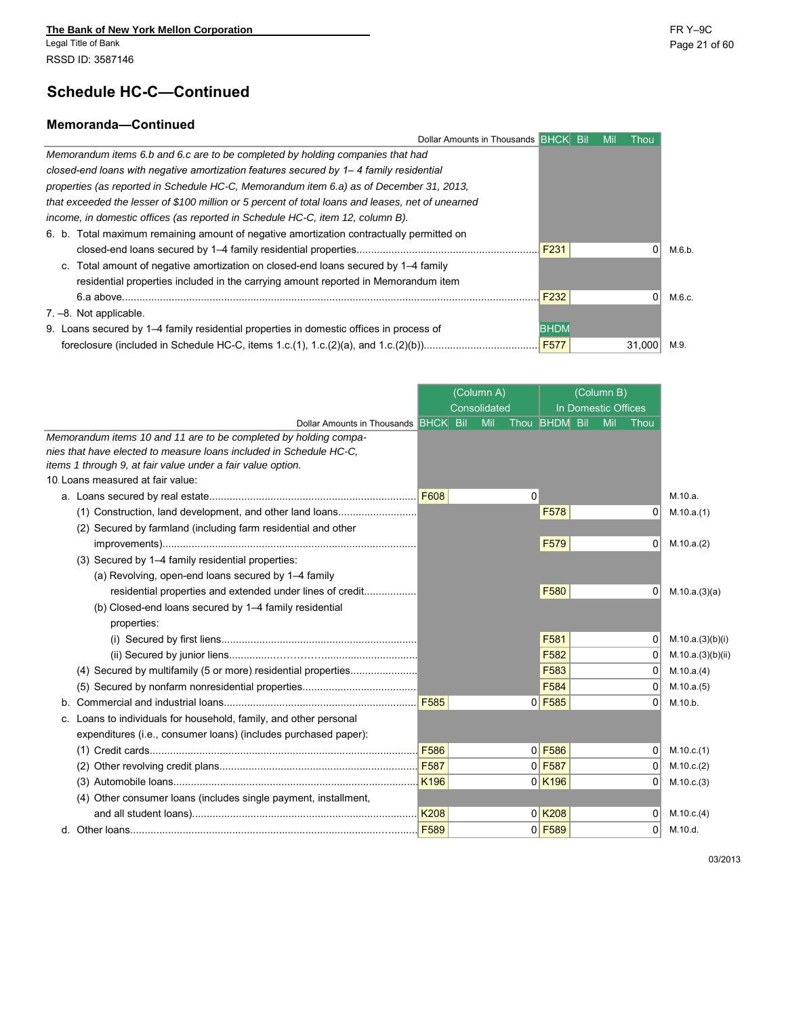J

### **Memoranda—Continued**

| Dollar Amounts in Thousands BHCK Bil                                                              |                  | Mil | Thou     |        |
|---------------------------------------------------------------------------------------------------|------------------|-----|----------|--------|
| Memorandum items 6.b and 6.c are to be completed by holding companies that had                    |                  |     |          |        |
| closed-end loans with negative amortization features secured by 1–4 family residential            |                  |     |          |        |
| properties (as reported in Schedule HC-C, Memorandum item 6.a) as of December 31, 2013.           |                  |     |          |        |
| that exceeded the lesser of \$100 million or 5 percent of total loans and leases, net of unearned |                  |     |          |        |
| income, in domestic offices (as reported in Schedule HC-C, item 12, column B).                    |                  |     |          |        |
| 6. b. Total maximum remaining amount of negative amortization contractually permitted on          |                  |     |          |        |
|                                                                                                   | F <sub>231</sub> |     | $\Omega$ | M.6.b. |
| Total amount of negative amortization on closed-end loans secured by 1–4 family<br>C.             |                  |     |          |        |
| residential properties included in the carrying amount reported in Memorandum item                |                  |     |          |        |
| 6.a above.                                                                                        | F <sub>232</sub> |     | $\Omega$ | M.6.c. |
| $7 - 8$ . Not applicable.                                                                         |                  |     |          |        |
| 9. Loans secured by 1–4 family residential properties in domestic offices in process of           | <b>BHDM</b>      |     |          |        |
| foreclosure (included in Schedule HC-C, items 1.c.(1), 1.c.(2)(a), and 1.c.(2)(b))                | F <sub>577</sub> |     | 31.000   | M.9.   |
|                                                                                                   |                  |     |          |        |

|                                                                                                                                   |                  | (Column A)   |             |                      | (Column B)          |                |                       |
|-----------------------------------------------------------------------------------------------------------------------------------|------------------|--------------|-------------|----------------------|---------------------|----------------|-----------------------|
|                                                                                                                                   |                  | Consolidated |             |                      | In Domestic Offices |                |                       |
| Dollar Amounts in Thousands BHCK Bil                                                                                              |                  | Mil          |             | Thou BHDM            | Bil<br>Mil          | Thou           |                       |
| Memorandum items 10 and 11 are to be completed by holding compa-                                                                  |                  |              |             |                      |                     |                |                       |
| nies that have elected to measure loans included in Schedule HC-C.<br>items 1 through 9, at fair value under a fair value option. |                  |              |             |                      |                     |                |                       |
| 10. Loans measured at fair value:                                                                                                 |                  |              |             |                      |                     |                |                       |
|                                                                                                                                   |                  |              | $\mathbf 0$ |                      |                     |                | M.10.a.               |
| (1) Construction, land development, and other land loans                                                                          |                  |              |             | F578                 |                     | $\Omega$       | M.10.a.(1)            |
| (2) Secured by farmland (including farm residential and other                                                                     |                  |              |             |                      |                     |                |                       |
|                                                                                                                                   |                  |              |             | F <sub>579</sub>     |                     | $\Omega$       | M.10.a.(2)            |
| (3) Secured by 1-4 family residential properties:                                                                                 |                  |              |             |                      |                     |                |                       |
| (a) Revolving, open-end loans secured by 1-4 family                                                                               |                  |              |             |                      |                     |                |                       |
| residential properties and extended under lines of credit                                                                         |                  |              |             | F <sub>580</sub>     |                     | $\Omega$       | M.10.a.(3)(a)         |
| (b) Closed-end loans secured by 1-4 family residential                                                                            |                  |              |             |                      |                     |                |                       |
| properties:                                                                                                                       |                  |              |             |                      |                     |                |                       |
|                                                                                                                                   |                  |              |             | F581                 |                     | $\Omega$       | M.10.a.(3)(b)(i)      |
|                                                                                                                                   |                  |              |             | F582                 |                     | $\Omega$       | M.10.a.(3)(b)(ii)     |
| (4) Secured by multifamily (5 or more) residential properties                                                                     |                  |              |             | F583                 |                     | $\Omega$       | M.10.a.(4)            |
|                                                                                                                                   |                  |              |             | F584                 |                     | $\overline{0}$ | M.10.a.(5)            |
| b.                                                                                                                                | F <sub>585</sub> |              |             | $0$ F585             |                     | $\Omega$       | M.10.b.               |
| Loans to individuals for household, family, and other personal<br>c.                                                              |                  |              |             |                      |                     |                |                       |
| expenditures (i.e., consumer loans) (includes purchased paper):                                                                   |                  |              |             |                      |                     |                |                       |
|                                                                                                                                   |                  |              |             | $0$ F <sub>586</sub> |                     | $\Omega$       | M.10.c.(1)            |
|                                                                                                                                   |                  |              |             | $0$ F587             |                     | $\Omega$       | M.10.c.(2)            |
|                                                                                                                                   |                  |              |             | $0$ K <sub>196</sub> |                     | 0 <sup>1</sup> | M.10.c.(3)            |
| (4) Other consumer loans (includes single payment, installment,                                                                   |                  |              |             |                      |                     |                |                       |
|                                                                                                                                   | <b>K208</b>      |              |             | $0$ K <sub>208</sub> |                     | $\Omega$       |                       |
|                                                                                                                                   | F589             |              |             |                      |                     | $\overline{0}$ | M.10.c.(4)<br>M.10.d. |
|                                                                                                                                   |                  |              |             | $0$ F589             |                     |                |                       |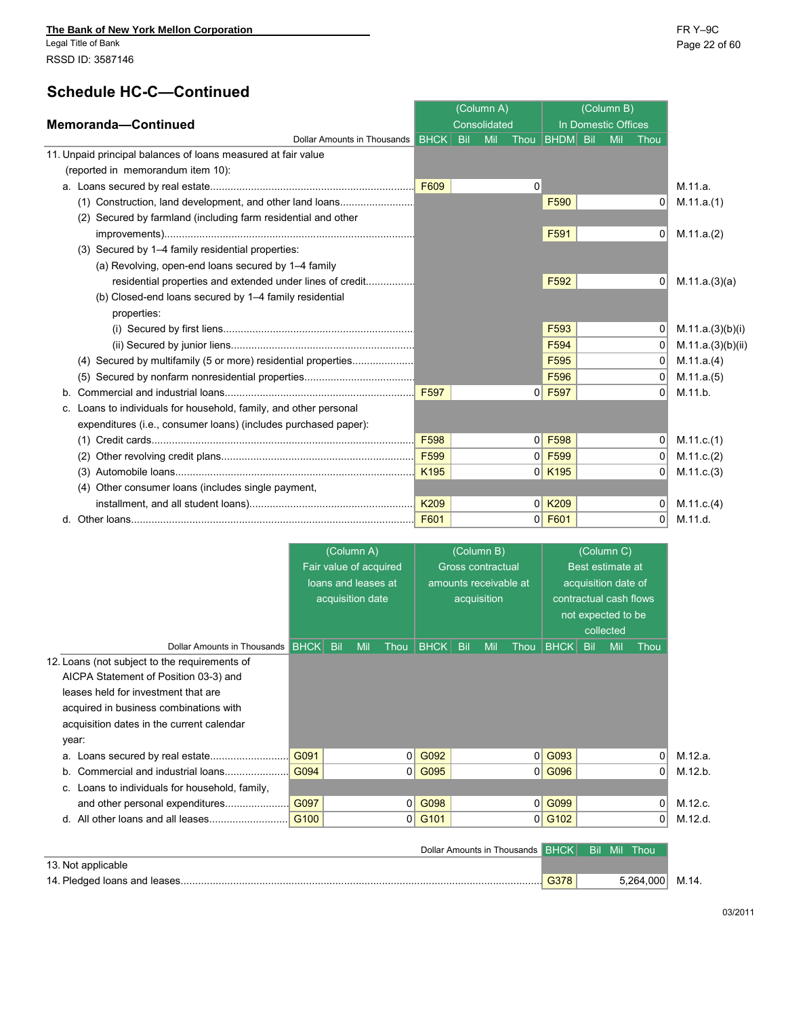# **Schedule HC-C-Co**

| <b>Schedule HC-C-Continued</b>                                |      |              |              |                      |                     |            |      |            |
|---------------------------------------------------------------|------|--------------|--------------|----------------------|---------------------|------------|------|------------|
|                                                               |      | (Column A)   |              |                      |                     | (Column B) |      |            |
| Memoranda-Continued                                           |      | Consolidated |              |                      | In Domestic Offices |            |      |            |
| Dollar Amounts in Thousands BHCK Bill                         |      | Mil          |              | Thou <b>BHDM</b> Bil |                     | Mil        | Thou |            |
| 11. Unpaid principal balances of loans measured at fair value |      |              |              |                      |                     |            |      |            |
| (reported in memorandum item 10):                             |      |              |              |                      |                     |            |      |            |
|                                                               | F609 |              | $\mathbf{0}$ |                      |                     |            |      | M.11.a.    |
| Construction, land development, and other land loans<br>(1)   |      |              |              | F590                 |                     |            |      | M.11.a.(1) |
| (2) Secured by farmland (including farm residential and other |      |              |              |                      |                     |            |      |            |
|                                                               |      |              |              | F591                 |                     |            |      | M.11.a.(2) |
| (3) Secured by 1–4 family residential properties:             |      |              |              |                      |                     |            |      |            |
| (a) Revolving, open-end loans secured by 1-4 family           |      |              |              |                      |                     |            |      |            |
|                                                               |      |              |              |                      |                     |            |      |            |

| residential properties and extended under lines of credit         |                  |                | F <sub>592</sub>     | 0 <sup>1</sup> | M.11.a.(3)(a)     |
|-------------------------------------------------------------------|------------------|----------------|----------------------|----------------|-------------------|
| (b) Closed-end loans secured by 1–4 family residential            |                  |                |                      |                |                   |
| properties:                                                       |                  |                |                      |                |                   |
|                                                                   |                  |                | F <sub>593</sub>     | 01             | M.11.a.(3)(b)(i)  |
|                                                                   |                  |                | F <sub>594</sub>     | $\Omega$       | M.11.a.(3)(b)(ii) |
| (4) Secured by multifamily (5 or more) residential properties     |                  |                | F <sub>595</sub>     | $\Omega$       | M.11.a.(4)        |
|                                                                   |                  |                | F <sub>596</sub>     |                | M.11.a.(5)        |
|                                                                   | F597             |                | $0$ F597             | 0              | M.11.b.           |
| c. Loans to individuals for household, family, and other personal |                  |                |                      |                |                   |
| expenditures (i.e., consumer loans) (includes purchased paper):   |                  |                |                      |                |                   |
|                                                                   | F <sub>598</sub> | 0 <sup>1</sup> | F <sub>598</sub>     | 0 <sup>1</sup> | M.11.c.(1)        |
| (2)                                                               | F599             | $\Omega$       | F <sub>599</sub>     |                | M.11.c.(2)        |
|                                                                   | K <sub>195</sub> |                | $0$ K <sub>195</sub> |                | M.11 c.(3)        |
| Other consumer loans (includes single payment,<br>(4)             |                  |                |                      |                |                   |
|                                                                   | K209             |                | $0$ K <sub>209</sub> | 0              | M.11 c.(4)        |
|                                                                   | F601             | 0              | F601                 | 01             | M.11.d.           |

|                                                |             |            | (Column A)<br>Fair value of acquired<br>loans and leases at<br>acquisition date |      |             |     | (Column B)<br><b>Gross contractual</b><br>amounts receivable at<br>acquisition |      |             |     | (Column C)<br>Best estimate at<br>acquisition date of<br>not expected to be<br>collected | contractual cash flows |         |
|------------------------------------------------|-------------|------------|---------------------------------------------------------------------------------|------|-------------|-----|--------------------------------------------------------------------------------|------|-------------|-----|------------------------------------------------------------------------------------------|------------------------|---------|
| Dollar Amounts in Thousands                    | <b>BHCK</b> | <b>Bil</b> | Mil                                                                             | Thou | <b>BHCK</b> | Bil | Mil                                                                            | Thou | <b>BHCK</b> | Bil | Mil                                                                                      | Thou                   |         |
| 12. Loans (not subject to the requirements of  |             |            |                                                                                 |      |             |     |                                                                                |      |             |     |                                                                                          |                        |         |
| AICPA Statement of Position 03-3) and          |             |            |                                                                                 |      |             |     |                                                                                |      |             |     |                                                                                          |                        |         |
| leases held for investment that are            |             |            |                                                                                 |      |             |     |                                                                                |      |             |     |                                                                                          |                        |         |
| acquired in business combinations with         |             |            |                                                                                 |      |             |     |                                                                                |      |             |     |                                                                                          |                        |         |
| acquisition dates in the current calendar      |             |            |                                                                                 |      |             |     |                                                                                |      |             |     |                                                                                          |                        |         |
| year:                                          |             |            |                                                                                 |      |             |     |                                                                                |      |             |     |                                                                                          |                        |         |
|                                                | G091        |            |                                                                                 |      | $0$ G092    |     |                                                                                | 0    | G093        |     |                                                                                          | $\Omega$               | M.12.a. |
| Commercial and industrial loans<br>b.          | G094        |            |                                                                                 |      | $0$ G095    |     |                                                                                |      | $0$ G096    |     |                                                                                          | $\overline{0}$         | M.12.b. |
| c. Loans to individuals for household, family, |             |            |                                                                                 |      |             |     |                                                                                |      |             |     |                                                                                          |                        |         |
|                                                | G097        |            |                                                                                 |      | $0$ G098    |     |                                                                                |      | $0$ G099    |     |                                                                                          | 0                      | M.12.c. |
| and other personal expenditures                |             |            |                                                                                 |      |             |     |                                                                                |      |             |     |                                                                                          |                        |         |

| Dollar Amounts in Thousands BHCK Bil Mil Thou |      |  |                 |  |
|-----------------------------------------------|------|--|-----------------|--|
| 13. Not applicable                            |      |  |                 |  |
|                                               | G378 |  | 5,264,000 M.14. |  |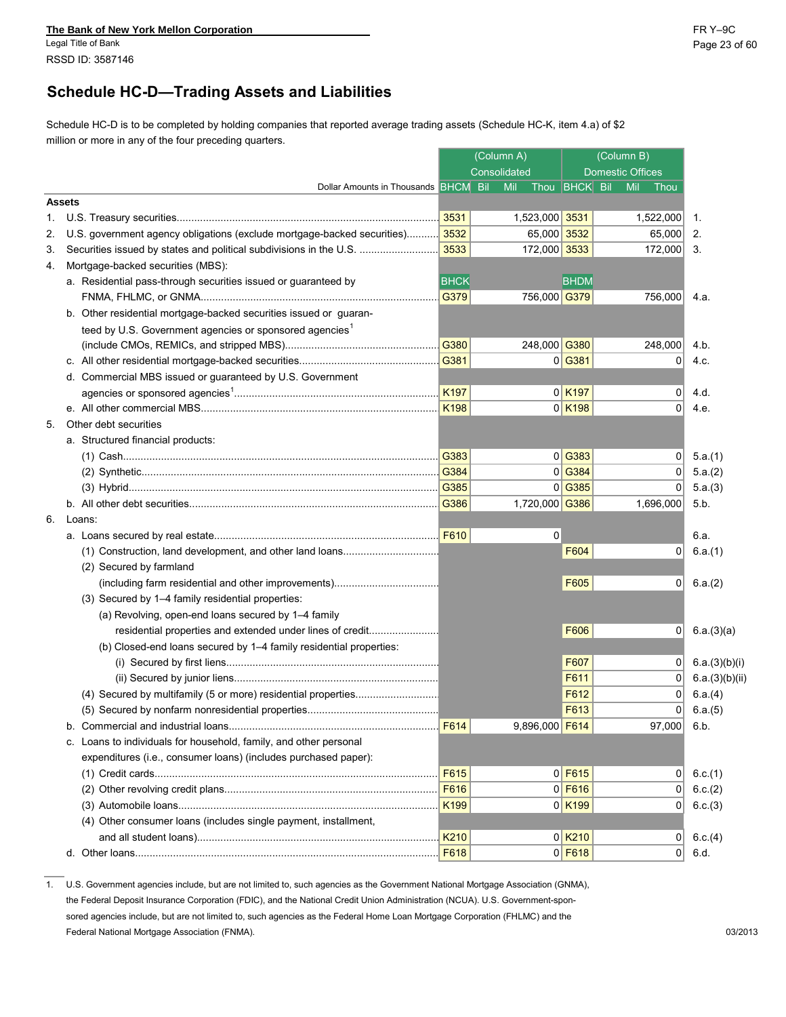# **Schedule HC-D—Trading Assets and Liabilities**

Schedule HC-D is to be completed by holding companies that reported average trading assets (Schedule HC-K, item 4.a) of \$2 million or more in any of the four preceding quarters.

|    |                                                                              | (Column A)       |              |                             |                                  | (Column B) |                         |                |
|----|------------------------------------------------------------------------------|------------------|--------------|-----------------------------|----------------------------------|------------|-------------------------|----------------|
|    |                                                                              |                  | Consolidated |                             |                                  |            | <b>Domestic Offices</b> |                |
|    | Dollar Amounts in Thousands BHCM Bil                                         |                  |              | Thou <b>BHCK</b> Bil<br>Mil |                                  |            | Mil<br>Thou             |                |
|    | <b>Assets</b>                                                                |                  |              |                             |                                  |            |                         |                |
| 1. |                                                                              | 3531             |              | 1,523,000 3531              |                                  |            | 1,522,000               | 1.             |
| 2. | U.S. government agency obligations (exclude mortgage-backed securities) 3532 |                  |              | 65,000 3532                 |                                  |            | 65,000                  | 2.             |
| 3. | Securities issued by states and political subdivisions in the U.S.           | 3533             |              | 172,000 3533                |                                  |            | 172,000                 | -3.            |
| 4. | Mortgage-backed securities (MBS):                                            |                  |              |                             |                                  |            |                         |                |
|    | a. Residential pass-through securities issued or guaranteed by               | <b>BHCK</b>      |              |                             | <b>BHDM</b>                      |            |                         |                |
|    |                                                                              | G379             |              | 756,000 G379                |                                  |            | 756,000                 | 4.a.           |
|    | b. Other residential mortgage-backed securities issued or guaran-            |                  |              |                             |                                  |            |                         |                |
|    | teed by U.S. Government agencies or sponsored agencies <sup>1</sup>          |                  |              |                             |                                  |            |                         |                |
|    |                                                                              | G380             |              | 248,000 G380                |                                  |            | 248,000                 | 4.b.           |
|    |                                                                              | G381             |              |                             | $0$ G381                         |            | $\Omega$                | 4.c.           |
|    | d. Commercial MBS issued or guaranteed by U.S. Government                    |                  |              |                             |                                  |            |                         |                |
|    |                                                                              | K <sub>197</sub> |              |                             | $0$ K <sub>197</sub>             |            | 0                       | 4.d.           |
|    |                                                                              |                  |              |                             | $0$ K <sub>198</sub>             |            | $\Omega$                | 4.e.           |
| 5. | Other debt securities                                                        |                  |              |                             |                                  |            |                         |                |
|    | a. Structured financial products:                                            |                  |              |                             |                                  |            |                         |                |
|    |                                                                              | G383             |              |                             | $0$ G383                         |            | 0                       | 5.a.(1)        |
|    |                                                                              | G384             |              |                             | $0$ <sup><math>G384</math></sup> |            | $\overline{0}$          | 5.a.(2)        |
|    |                                                                              | G385             |              |                             | $0$ G385                         |            | $\overline{0}$          | 5.a.(3)        |
|    |                                                                              | G386             |              | 1,720,000 G386              |                                  |            | 1,696,000               | 5.b.           |
|    | 6. Loans:                                                                    |                  |              |                             |                                  |            |                         |                |
|    |                                                                              |                  |              | 0                           |                                  |            |                         | 6.a.           |
|    |                                                                              |                  |              |                             | F604                             |            | $\overline{0}$          | 6.a.(1)        |
|    | (2) Secured by farmland                                                      |                  |              |                             |                                  |            |                         |                |
|    |                                                                              |                  |              |                             | F605                             |            | $\mathbf 0$             | 6.a.(2)        |
|    | (3) Secured by 1-4 family residential properties:                            |                  |              |                             |                                  |            |                         |                |
|    | (a) Revolving, open-end loans secured by 1-4 family                          |                  |              |                             |                                  |            |                         |                |
|    | residential properties and extended under lines of credit                    |                  |              |                             | F606                             |            | 0                       | 6.a.(3)(a)     |
|    | (b) Closed-end loans secured by 1-4 family residential properties:           |                  |              |                             |                                  |            |                         |                |
|    |                                                                              |                  |              |                             | F607                             |            | $\overline{0}$          | 6.a.(3)(b)(i)  |
|    |                                                                              |                  |              |                             | F611                             |            | $\overline{0}$          | 6.a.(3)(b)(ii) |
|    |                                                                              |                  |              |                             | F612                             |            | 0                       | 6.a.(4)        |
|    |                                                                              |                  |              |                             | F613                             |            | 0                       | 6.a.(5)        |
|    | b. Commercial and industrial loans                                           | F614             |              | 9,896,000 F614              |                                  |            | 97,000                  | 6.b.           |
|    | c. Loans to individuals for household, family, and other personal            |                  |              |                             |                                  |            |                         |                |
|    | expenditures (i.e., consumer loans) (includes purchased paper):              |                  |              |                             |                                  |            |                         |                |
|    |                                                                              | F615             |              |                             | $0$ F615                         |            | 0                       | 6.c.(1)        |
|    |                                                                              | F616             |              |                             | $0$ F616                         |            | 0                       | 6.c.(2)        |
|    |                                                                              | K199             |              |                             | 0 K199                           |            | 0                       | 6.c.(3)        |
|    | (4) Other consumer loans (includes single payment, installment,              |                  |              |                             |                                  |            |                         |                |
|    |                                                                              | K210             |              |                             | $0$ K <sub>210</sub>             |            | 0                       | 6.c.(4)        |
|    |                                                                              | F618             |              |                             | $0$ F618                         |            | 0                       | 6.d.           |
|    |                                                                              |                  |              |                             |                                  |            |                         |                |

1. U.S. Government agencies include, but are not limited to, such agencies as the Government National Mortgage Association (GNMA), the Federal Deposit Insurance Corporation (FDIC), and the National Credit Union Administration (NCUA). U.S. Government-sponsored agencies include, but are not limited to, such agencies as the Federal Home Loan Mortgage Corporation (FHLMC) and the Federal National Mortgage Association (FNMA). 03/2013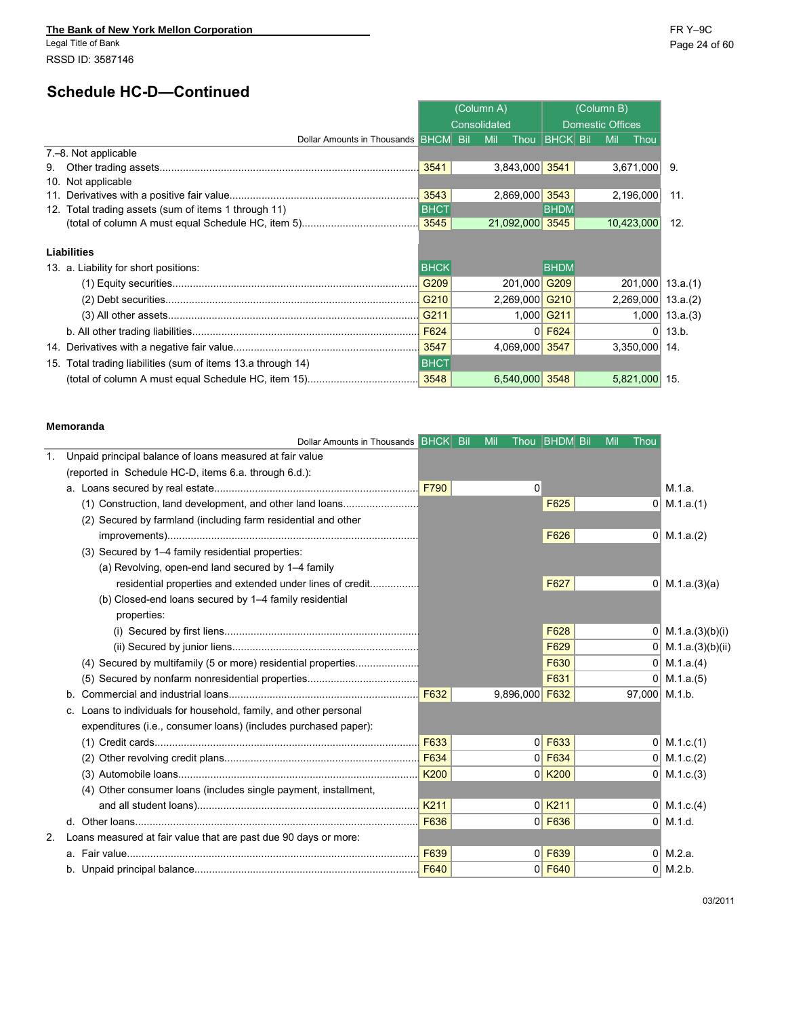# **Schedule HC-D—Continued**

|                                                                 | (Column A)  |  |              |                 |                      |  |                         | (Column B)           |       |  |  |
|-----------------------------------------------------------------|-------------|--|--------------|-----------------|----------------------|--|-------------------------|----------------------|-------|--|--|
|                                                                 |             |  | Consolidated |                 |                      |  | <b>Domestic Offices</b> |                      |       |  |  |
| Dollar Amounts in Thousands BHCM Bil                            |             |  | Mil          |                 | Thou <b>BHCK</b> Bil |  | Mil                     | Thou                 |       |  |  |
| 7.–8. Not applicable                                            |             |  |              |                 |                      |  |                         |                      |       |  |  |
| 9.                                                              | 3541        |  |              | 3,843,000 3541  |                      |  |                         | 3,671,000            | 9.    |  |  |
| 10. Not applicable                                              |             |  |              |                 |                      |  |                         |                      |       |  |  |
|                                                                 | 3543        |  |              | 2,869,000 3543  |                      |  |                         | 2,196,000            | 11.   |  |  |
| 12. Total trading assets (sum of items 1 through 11)            | <b>BHCT</b> |  |              |                 | <b>BHDM</b>          |  |                         |                      |       |  |  |
|                                                                 |             |  |              | 21,092,000 3545 |                      |  |                         | 10,423,000           | 12.   |  |  |
| <b>Liabilities</b>                                              |             |  |              |                 |                      |  |                         |                      |       |  |  |
| 13. a. Liability for short positions:                           | <b>BHCK</b> |  |              |                 | <b>BHDM</b>          |  |                         |                      |       |  |  |
|                                                                 | G209        |  |              | 201,000 G209    |                      |  |                         | 201,000 13.a.(1)     |       |  |  |
|                                                                 | G210        |  |              | 2,269,000 G210  |                      |  |                         | $2,269,000$ 13.a.(2) |       |  |  |
|                                                                 | G211        |  |              |                 | 1,000 G211           |  |                         | $1,000$ 13.a.(3)     |       |  |  |
|                                                                 | F624        |  |              |                 | $0$ F624             |  |                         | 0 <sup>1</sup>       | 13.b. |  |  |
|                                                                 | 3547        |  |              | 4,069,000 3547  |                      |  |                         | 3,350,000 14.        |       |  |  |
| Total trading liabilities (sum of items 13.a through 14)<br>15. | <b>BHCT</b> |  |              |                 |                      |  |                         |                      |       |  |  |
|                                                                 |             |  |              | 6,540,000 3548  |                      |  |                         | 5,821,000 15.        |       |  |  |

#### **Memoranda**

|    | Dollar Amounts in Thousands BHCK Bil                                 |      | Mil |                | Thou <b>BHDM</b> Bil  | Mil | Thou          |                          |
|----|----------------------------------------------------------------------|------|-----|----------------|-----------------------|-----|---------------|--------------------------|
| 1. | Unpaid principal balance of loans measured at fair value             |      |     |                |                       |     |               |                          |
|    | (reported in Schedule HC-D, items 6.a. through 6.d.):                |      |     |                |                       |     |               |                          |
|    |                                                                      | F790 |     | $\Omega$       |                       |     |               | M.1.a.                   |
|    | (1) Construction, land development, and other land loans             |      |     |                | F625                  |     |               | $0 \mid M.1.a.(1)$       |
|    | (2) Secured by farmland (including farm residential and other        |      |     |                |                       |     |               |                          |
|    |                                                                      |      |     |                | F626                  |     |               | $0 \mid M.1.a.(2)$       |
|    | (3) Secured by 1-4 family residential properties:                    |      |     |                |                       |     |               |                          |
|    | (a) Revolving, open-end land secured by 1-4 family                   |      |     |                |                       |     |               |                          |
|    | residential properties and extended under lines of credit            |      |     |                | F627                  |     |               | 0 M.1.a.(3)(a)           |
|    | (b) Closed-end loans secured by 1-4 family residential               |      |     |                |                       |     |               |                          |
|    | properties:                                                          |      |     |                |                       |     |               |                          |
|    |                                                                      |      |     |                | F628                  |     |               | $0 \mid M.1.a.(3)(b)(i)$ |
|    |                                                                      |      |     |                | F629                  |     |               | 0 M.1.a.(3)(b)(ii)       |
|    | (4) Secured by multifamily (5 or more) residential properties        |      |     |                | F630                  |     |               | $0 \mid M.1.a.(4)$       |
|    |                                                                      |      |     |                | F631                  |     |               | $0 \mid M.1.a.(5)$       |
|    | b.                                                                   | F632 |     | 9,896,000 F632 |                       |     | 97,000 M.1.b. |                          |
|    | Loans to individuals for household, family, and other personal<br>C. |      |     |                |                       |     |               |                          |
|    | expenditures (i.e., consumer loans) (includes purchased paper):      |      |     |                |                       |     |               |                          |
|    |                                                                      | F633 |     |                | $0$ F633              |     |               | $0$ M.1.c.(1)            |
|    |                                                                      | F634 |     |                | $0$ F634              |     |               | $0$ M.1.c.(2)            |
|    |                                                                      | K200 |     |                | $0$ K <sub>200</sub>  |     |               | $0$ M.1.c.(3)            |
|    | (4) Other consumer loans (includes single payment, installment,      |      |     |                |                       |     |               |                          |
|    |                                                                      | K211 |     |                | $0$ K <sub>2</sub> 11 |     |               | 0 M.1.c.(4)              |
|    |                                                                      | F636 |     |                | $0$ F636              |     |               | $0$ M.1.d.               |
| 2. | Loans measured at fair value that are past due 90 days or more:      |      |     |                |                       |     |               |                          |
|    |                                                                      | F639 |     |                | $0$ F639              |     |               | $0$ M.2.a.               |
|    |                                                                      | F640 |     |                | $0$ F640              |     |               | $0$ M.2.b.               |
|    |                                                                      |      |     |                |                       |     |               |                          |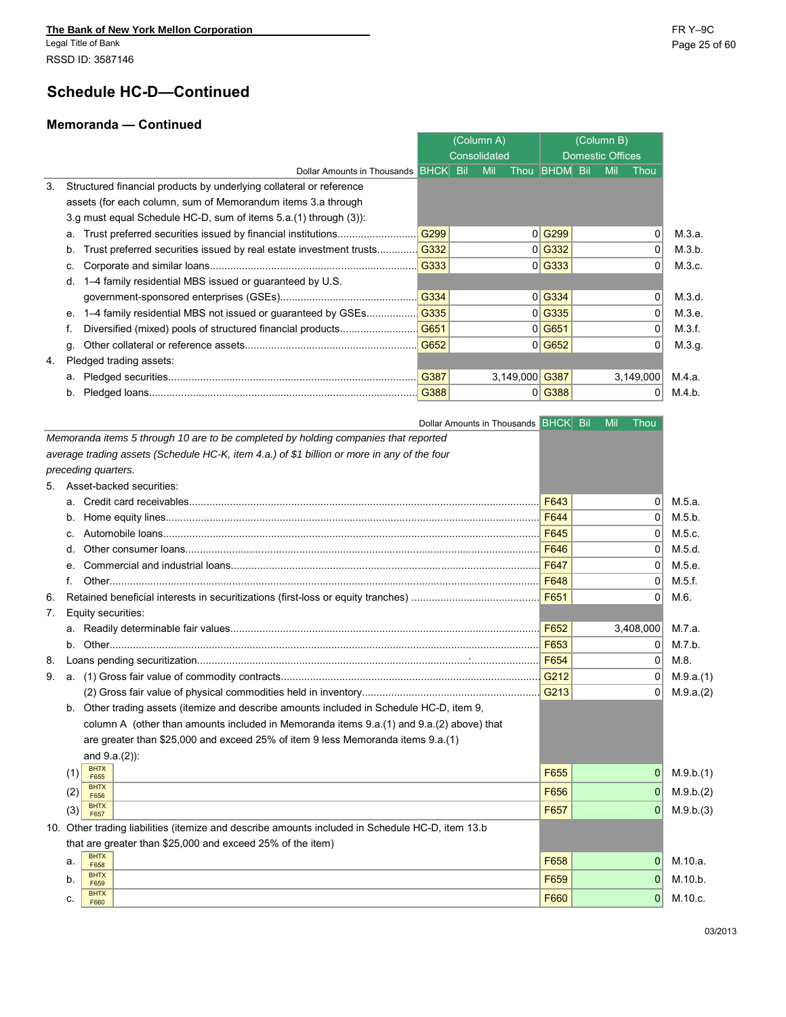Legal Title of Bank Page 25 of 60 RSSD ID: 3587146

۰

# **Schedule HC-D—Continued**

#### **Memoranda — Continued**

|    |                                                                          |      | (Column A)   |                      | (Column B)              |           |        |
|----|--------------------------------------------------------------------------|------|--------------|----------------------|-------------------------|-----------|--------|
|    |                                                                          |      | Consolidated |                      | <b>Domestic Offices</b> |           |        |
|    | Dollar Amounts in Thousands BHCK Bil                                     |      | Mil          | Thou <b>BHDM</b> Bil | Mil                     | Thou      |        |
| 3. | Structured financial products by underlying collateral or reference      |      |              |                      |                         |           |        |
|    | assets (for each column, sum of Memorandum items 3.a through             |      |              |                      |                         |           |        |
|    | 3.g must equal Schedule HC-D, sum of items 5.a. (1) through (3)):        |      |              |                      |                         |           |        |
|    | a.                                                                       | G299 |              | 0 G299               |                         | $\Omega$  | M.3.a. |
|    | Trust preferred securities issued by real estate investment trusts<br>b. | G332 |              | 0 G332               |                         | $\Omega$  | M.3.b. |
|    |                                                                          | G333 |              | 0 G333               |                         | $\Omega$  | M.3.c. |
|    | 1–4 family residential MBS issued or guaranteed by U.S.                  |      |              |                      |                         |           |        |
|    |                                                                          | G334 |              | $0$ <sup>G334</sup>  |                         | 0         | M.3.d. |
|    | 1–4 family residential MBS not issued or guaranteed by GSEs              | G335 |              | 0 G335               |                         | $\Omega$  | M.3.e. |
|    |                                                                          | G651 |              | $0$ G651             |                         | $\Omega$  | M.3.f. |
|    | q.                                                                       | G652 |              | $0$ G652             |                         |           | M.3.g. |
| 4. | Pledged trading assets:                                                  |      |              |                      |                         |           |        |
|    | а.                                                                       | G387 | 3,149,000    | G387                 |                         | 3,149,000 | M.4.a. |
|    | b.                                                                       | G388 |              | $0$ G388             |                         | 0         | M.4.b. |
|    |                                                                          |      |              |                      |                         |           |        |

|                                                                                                   | Dollar Amounts in Thousands BHCK Bil | Mil<br>Thou    |                        |
|---------------------------------------------------------------------------------------------------|--------------------------------------|----------------|------------------------|
| Memoranda items 5 through 10 are to be completed by holding companies that reported               |                                      |                |                        |
| average trading assets (Schedule HC-K, item 4.a.) of \$1 billion or more in any of the four       |                                      |                |                        |
| preceding quarters.                                                                               |                                      |                |                        |
| Asset-backed securities:<br>5.                                                                    |                                      |                |                        |
|                                                                                                   | F643                                 | $\Omega$       |                        |
|                                                                                                   |                                      | $\Omega$       |                        |
|                                                                                                   | F645                                 | $\Omega$       |                        |
|                                                                                                   | F646                                 | $\Omega$       |                        |
| e.                                                                                                | F647                                 | $\overline{0}$ |                        |
|                                                                                                   | F648                                 | $\Omega$       |                        |
| 6.                                                                                                |                                      | $\Omega$       |                        |
| Equity securities:<br>7.                                                                          |                                      |                |                        |
| a.                                                                                                | F652                                 | 3,408,000      |                        |
| b.                                                                                                |                                      | 0              |                        |
| 8.                                                                                                |                                      | $\Omega$       |                        |
| 9.                                                                                                |                                      | $\Omega$       |                        |
|                                                                                                   |                                      | $\overline{0}$ |                        |
| Other trading assets (itemize and describe amounts included in Schedule HC-D, item 9,<br>b.       |                                      |                |                        |
| column A (other than amounts included in Memoranda items 9.a.(1) and 9.a.(2) above) that          |                                      |                |                        |
| are greater than \$25,000 and exceed 25% of item 9 less Memoranda items 9.a.(1)                   |                                      |                |                        |
| and $9.a.(2)$ :                                                                                   |                                      |                |                        |
| <b>BHTX</b><br>(1)<br>F655                                                                        | F655                                 | 0              |                        |
| <b>BHTX</b><br>(2)                                                                                | F656                                 | 0              |                        |
| F656<br><b>BHTX</b>                                                                               | F657                                 | 0              | M.9.b.(2)<br>M.9.b.(3) |
| (3)<br>F657                                                                                       |                                      |                |                        |
| 10. Other trading liabilities (itemize and describe amounts included in Schedule HC-D, item 13.b) |                                      |                |                        |
| that are greater than \$25,000 and exceed 25% of the item)<br><b>BHTX</b>                         |                                      |                |                        |
| a.<br>F658                                                                                        | F658                                 | 0              |                        |
| <b>BHTX</b><br>b.<br>F659                                                                         | F659                                 | 0              |                        |
| <b>BHTX</b><br>c.<br>F660                                                                         | F660                                 | $\Omega$       |                        |
|                                                                                                   |                                      |                |                        |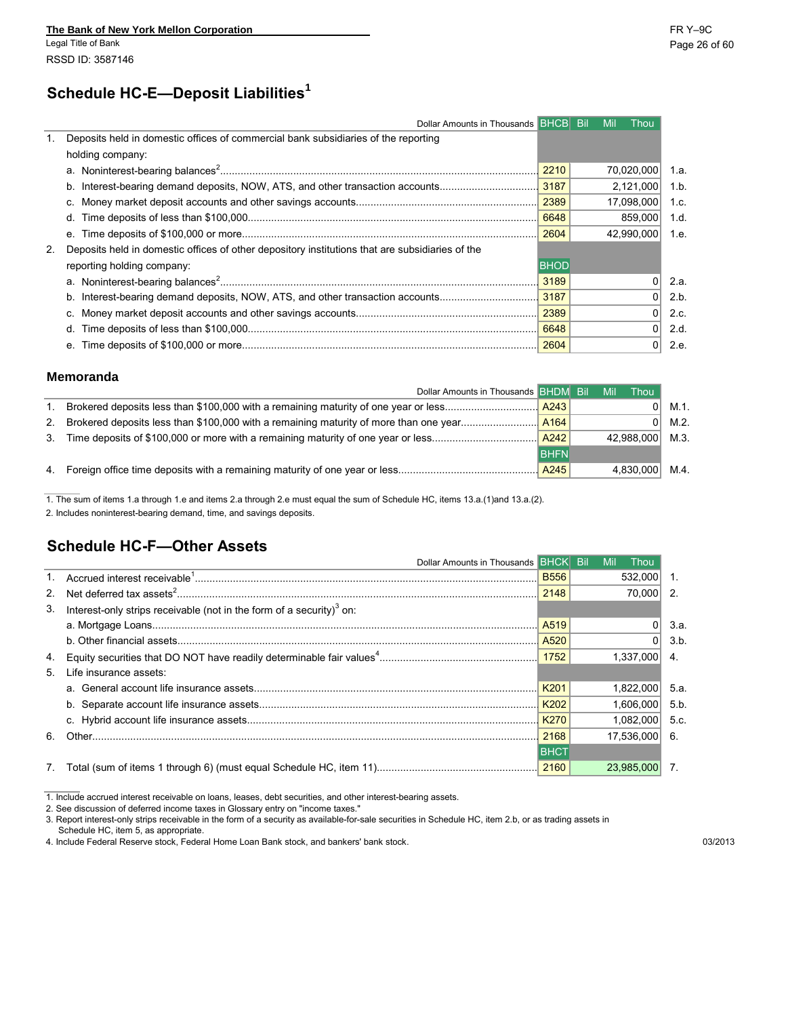# **<sup>1</sup> Schedule HC-E—Deposit Liabilities**

| Dollar Amounts in Thousands <b>BHCB</b> Bil                                                        |             | Mil | Thou       |  |
|----------------------------------------------------------------------------------------------------|-------------|-----|------------|--|
| Deposits held in domestic offices of commercial bank subsidiaries of the reporting                 |             |     |            |  |
| holding company:                                                                                   |             |     |            |  |
|                                                                                                    | 2210        |     | 70,020,000 |  |
| b.                                                                                                 |             |     | 2,121,000  |  |
|                                                                                                    |             |     | 17,098,000 |  |
| d.                                                                                                 | 6648        |     | 859,000    |  |
| е.                                                                                                 | 2604        |     | 42.990.000 |  |
| 2. Deposits held in domestic offices of other depository institutions that are subsidiaries of the |             |     |            |  |
| reporting holding company:                                                                         | <b>BHOD</b> |     |            |  |
|                                                                                                    | 3189        |     | 01         |  |
| b.                                                                                                 |             |     |            |  |
|                                                                                                    | 2389        |     | $\Omega$   |  |
| α.                                                                                                 | 6648        |     |            |  |
| е.                                                                                                 |             |     | 0          |  |

#### **Memoranda**

|    | Dollar Amounts in Thousands BHDM Bil                                             |             | Mil | Thou       |      |
|----|----------------------------------------------------------------------------------|-------------|-----|------------|------|
|    |                                                                                  |             |     | ΩI         | M.1. |
| 2. |                                                                                  |             |     | 01         | M.2. |
| 3. | Time deposits of \$100,000 or more with a remaining maturity of one year or less | A242        |     | 42.988.000 | M.3. |
|    |                                                                                  | <b>BHFN</b> |     |            |      |
|    | 4. Foreign office time deposits with a remaining maturity of one year or less    | A245        |     | 4.830.000  | M.4. |

1. The sum of items 1.a through 1.e and items 2.a through 2.e must equal the sum of Schedule HC, items 13.a.(1)and 13.a.(2).

2. Includes noninterest-bearing demand, time, and savings deposits.

# **Schedule HC-F—Other Assets**

|    | Dollar Amounts in Thousands BHCK Bil                                       |             | Mil<br>Thou   |       |
|----|----------------------------------------------------------------------------|-------------|---------------|-------|
|    |                                                                            | <b>B556</b> | 532.000       |       |
|    |                                                                            | 2148        | 70.000        | -2    |
|    | 3. Interest-only strips receivable (not in the form of a security) $3$ on: |             |               |       |
|    |                                                                            |             |               | 3.a.  |
|    |                                                                            | A520        |               | 3.b.  |
|    |                                                                            |             | 1.337.000     |       |
|    | 5. Life insurance assets:                                                  |             |               |       |
|    |                                                                            | K201        | 1.822.000     | -5.a. |
|    |                                                                            | K202        | 1,606,000     | 5.b.  |
|    |                                                                            | K270        | 1.082.000     | 5.c.  |
| 6. |                                                                            | 2168        | 17.536.000 6. |       |
|    |                                                                            | <b>BHCT</b> |               |       |
|    |                                                                            |             | 23,985,000    |       |

1. Include accrued interest receivable on loans, leases, debt securities, and other interest-bearing assets.

2. See discussion of deferred income taxes in Glossary entry on "income taxes."

3. Report interest-only strips receivable in the form of a security as available-for-sale securities in Schedule HC, item 2.b, or as trading assets in

Schedule HC, item 5, as appropriate.

4. Include Federal Reserve stock, Federal Home Loan Bank stock, and bankers' bank stock. 03/2013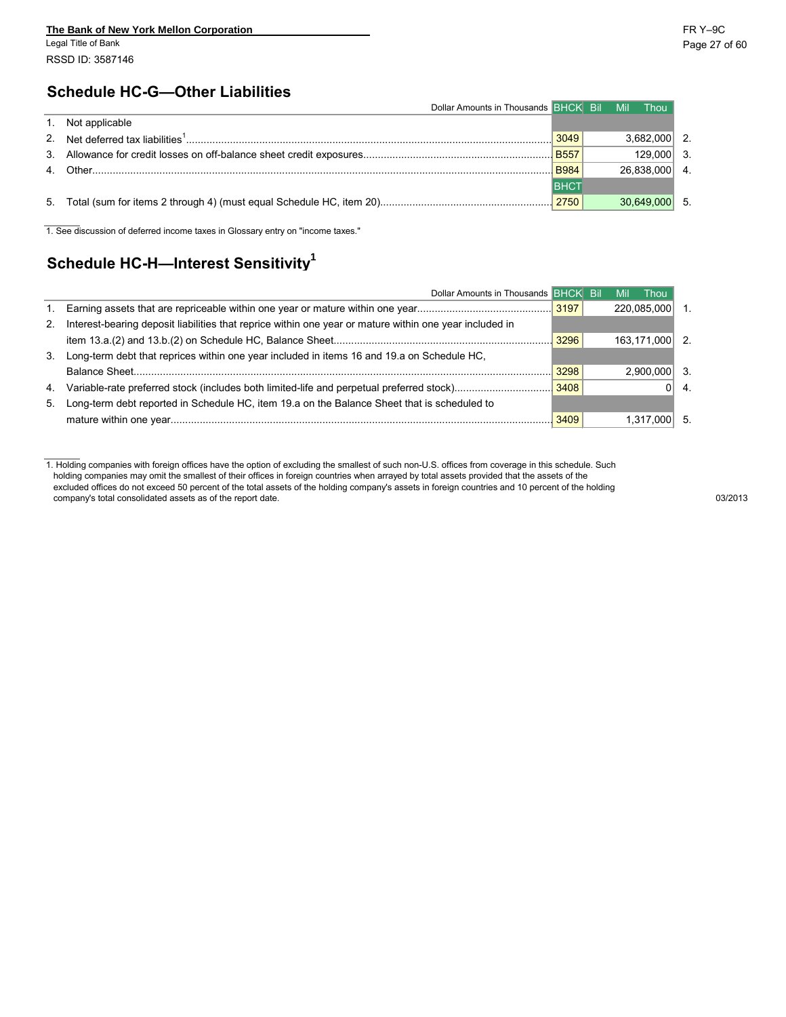# **Schedule HC-G—Other Liabilities**

| Dollar Amounts in Thousands BHCK Bil |             | <b>Mil</b><br><b>Thou</b> |
|--------------------------------------|-------------|---------------------------|
| 1. Not applicable                    |             |                           |
|                                      | 3049        | 3.682.000                 |
|                                      | <b>B557</b> | 129,000                   |
|                                      | <b>B984</b> | 26.838.000                |
|                                      | <b>BHC</b>  |                           |
|                                      | 2750        | 30,649,000                |

1. See discussion of deferred income taxes in Glossary entry on "income taxes."

# **<sup>1</sup> Schedule HC-H—Interest Sensitivity**

|    | Dollar Amounts in Thousands BHCK Bill                                                                   |      | Mil | Thou        |    |
|----|---------------------------------------------------------------------------------------------------------|------|-----|-------------|----|
| 1. |                                                                                                         |      |     | 220,085,000 |    |
| 2. | Interest-bearing deposit liabilities that reprice within one year or mature within one year included in |      |     |             |    |
|    |                                                                                                         | 3296 |     | 163.171.000 | 2  |
| 3. | Long-term debt that reprices within one year included in items 16 and 19.a on Schedule HC,              |      |     |             |    |
|    |                                                                                                         | 3298 |     | 2.900.000   |    |
| 4. |                                                                                                         |      |     |             | 4. |
| 5. | Long-term debt reported in Schedule HC, item 19.a on the Balance Sheet that is scheduled to             |      |     |             |    |
|    |                                                                                                         | 3409 |     |             |    |

1. Holding companies with foreign offices have the option of excluding the smallest of such non-U.S. offices from coverage in this schedule. Such holding companies may omit the smallest of their offices in foreign countries when arrayed by total assets provided that the assets of the excluded offices do not exceed 50 percent of the total assets of the holding company's assets in foreign countries and 10 percent of the holding company's total consolidated assets as of the report date. 03/2013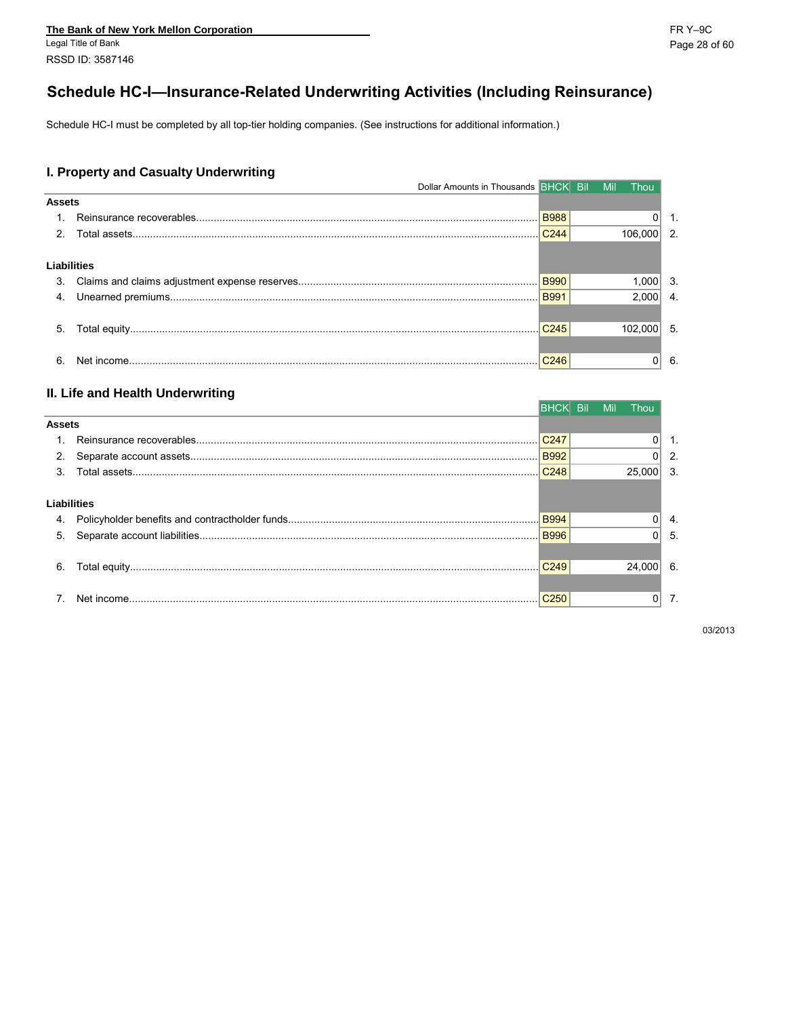# Schedule HC-I-Insurance-Related Underwriting Activities (Including Reinsurance)

Schedule HC-I must be completed by all top-tier holding companies. (See instructions for additional information.)

#### I. Property and Casualty Underwriting

|               | Dollar Amounts in Thousands <b>BFICK</b> BIL MIL |                  |  | – Thou         |                |
|---------------|--------------------------------------------------|------------------|--|----------------|----------------|
| <b>Assets</b> |                                                  |                  |  |                |                |
|               |                                                  |                  |  | 0 <sup>1</sup> | -1.            |
|               |                                                  | C <sub>244</sub> |  | 106.000        | $\overline{2}$ |
| Liabilities   |                                                  |                  |  |                |                |
| 3.            |                                                  |                  |  | $1,000$ 3.     |                |
| 4.            |                                                  | <b>B991</b>      |  | $2,000$ 4.     |                |
|               |                                                  |                  |  |                |                |
| 5.            |                                                  | C <sub>245</sub> |  | 102.000        | -5.            |
|               |                                                  |                  |  |                |                |
| 6.            |                                                  | C <sub>246</sub> |  |                | -6.            |

#### II. Life and Health Underwriting

|               |             | IBHCKI Bil       | Mil. | Thou        |      |
|---------------|-------------|------------------|------|-------------|------|
| <b>Assets</b> |             |                  |      |             |      |
|               |             | C <sub>247</sub> |      |             |      |
|               |             | <b>B992</b>      |      |             | 2.   |
| 3             |             | C <sub>248</sub> |      | 25,000      | 3.   |
|               |             |                  |      |             |      |
|               | Liabilities |                  |      |             |      |
| 4.            |             |                  |      |             | 4.   |
| -5.           |             |                  |      |             | - 5. |
|               |             |                  |      |             |      |
| 6.            |             |                  |      | $24.000$ 6. |      |
|               |             |                  |      |             |      |
|               |             | C <sub>250</sub> |      |             | 7.   |
|               |             |                  |      |             |      |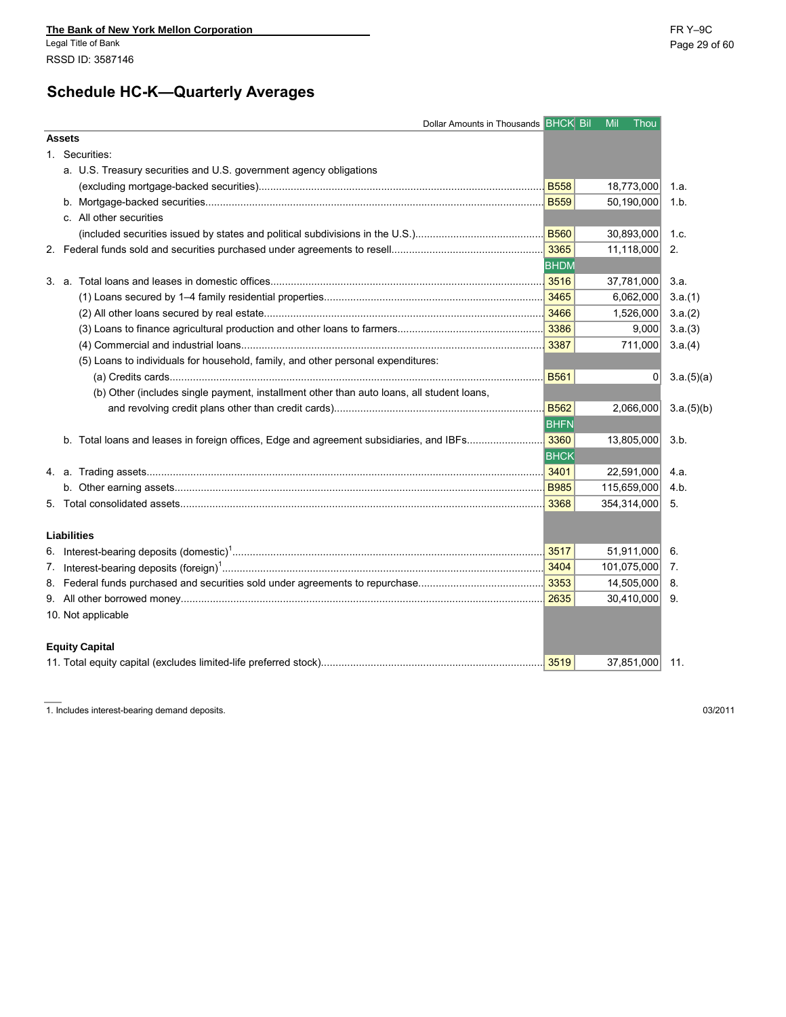# **Schedule HC-K—Quarterly Averages**

| Dollar Amounts in Thousands BHCK Bil                                                      |             | Mil<br>Thou    |            |
|-------------------------------------------------------------------------------------------|-------------|----------------|------------|
| <b>Assets</b>                                                                             |             |                |            |
| 1. Securities:                                                                            |             |                |            |
| a. U.S. Treasury securities and U.S. government agency obligations                        |             |                |            |
|                                                                                           |             | 18,773,000     | 1.a.       |
|                                                                                           |             | 50,190,000     | 1.b.       |
| c. All other securities                                                                   |             |                |            |
|                                                                                           |             | 30,893,000     | 1.c.       |
|                                                                                           |             | 11,118,000     | 2.         |
|                                                                                           | <b>BHDM</b> |                |            |
|                                                                                           |             | 37,781,000     | 3.a.       |
|                                                                                           |             | 6,062,000      | 3.a.(1)    |
|                                                                                           |             | 1,526,000      | 3.a.(2)    |
|                                                                                           |             | 9,000          | 3.a.(3)    |
|                                                                                           |             | 711,000        | 3.a.(4)    |
| (5) Loans to individuals for household, family, and other personal expenditures:          |             |                |            |
|                                                                                           | <b>B561</b> | 0              | 3.a.(5)(a) |
| (b) Other (includes single payment, installment other than auto loans, all student loans, |             |                |            |
|                                                                                           | B562        | 2,066,000      | 3.a.(5)(b) |
|                                                                                           | <b>BHFN</b> |                |            |
|                                                                                           |             | 13,805,000     | 3.b.       |
|                                                                                           | <b>BHCK</b> |                |            |
|                                                                                           |             | 22,591,000     | 4.a.       |
|                                                                                           |             | 115,659,000    | 4.b.       |
|                                                                                           |             | 354,314,000    | 5.         |
|                                                                                           |             |                |            |
| <b>Liabilities</b>                                                                        |             |                |            |
|                                                                                           |             | 51,911,000     | -6.        |
|                                                                                           |             | 101,075,000    | 7.         |
|                                                                                           |             | 14,505,000     | 8.         |
|                                                                                           |             | 30,410,000     | 9.         |
| 10. Not applicable                                                                        |             |                |            |
|                                                                                           |             |                |            |
| <b>Equity Capital</b>                                                                     |             |                |            |
|                                                                                           | 3519        | 37,851,000 11. |            |

1. Includes interest-bearing demand deposits. 03/2011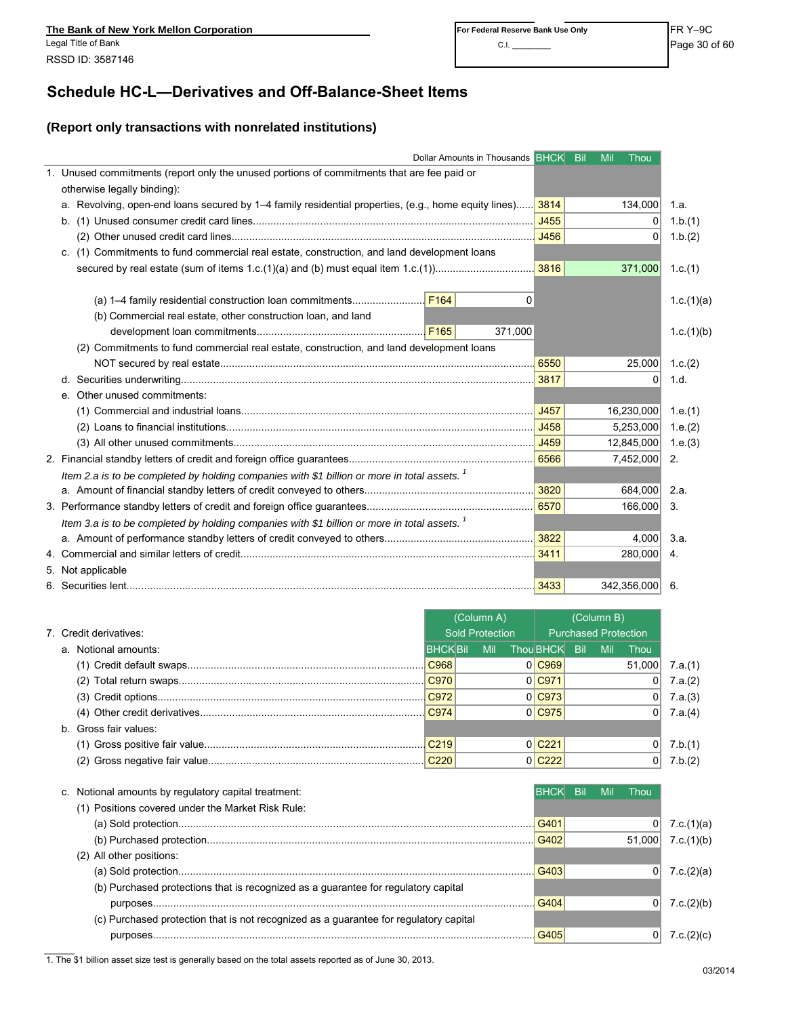## **Schedule HC-L—Derivatives and Off-Balance-Sheet Items**

### **(Report only transactions with nonrelated institutions)**

|                                                                                                           | Dollar Amounts in Thousands BHCK Bil |         |                      | Mil        | Thou                        |                                                      |
|-----------------------------------------------------------------------------------------------------------|--------------------------------------|---------|----------------------|------------|-----------------------------|------------------------------------------------------|
| 1. Unused commitments (report only the unused portions of commitments that are fee paid or                |                                      |         |                      |            |                             |                                                      |
| otherwise legally binding):                                                                               |                                      |         |                      |            |                             |                                                      |
| a. Revolving, open-end loans secured by 1-4 family residential properties, (e.g., home equity lines) 3814 |                                      |         |                      |            | 134,000                     | 1.a.                                                 |
|                                                                                                           |                                      |         | J455                 |            | 0                           | 1.b.(1)                                              |
|                                                                                                           |                                      |         | J456                 |            | 0                           | 1.b.(2)                                              |
| c. (1) Commitments to fund commercial real estate, construction, and land development loans               |                                      |         |                      |            |                             |                                                      |
| secured by real estate (sum of items 1.c.(1)(a) and (b) must equal item 1.c.(1)                           |                                      |         | 3816                 |            | 371,000                     | 1.c. $(1)$                                           |
|                                                                                                           |                                      |         |                      |            |                             |                                                      |
|                                                                                                           |                                      | 0       |                      |            |                             | 1.c. $(1)(a)$                                        |
| (b) Commercial real estate, other construction loan, and land                                             |                                      |         |                      |            |                             |                                                      |
|                                                                                                           |                                      | 371,000 |                      |            |                             | 1.c.(1)(b)                                           |
| (2) Commitments to fund commercial real estate, construction, and land development loans                  |                                      |         |                      |            |                             |                                                      |
|                                                                                                           |                                      |         | 6550                 |            | 25,000                      | 1.c. $(2)$                                           |
|                                                                                                           |                                      |         | 3817                 |            | $\overline{0}$              | 1.d.                                                 |
| e. Other unused commitments:                                                                              |                                      |         |                      |            |                             |                                                      |
|                                                                                                           |                                      |         | J457                 |            | 16,230,000                  | 1.e.(1)                                              |
|                                                                                                           |                                      |         | J458                 |            | 5,253,000                   | 1.e.(2)                                              |
|                                                                                                           |                                      |         | J459                 |            |                             |                                                      |
|                                                                                                           |                                      |         | 6566                 |            | 12,845,000                  | 1.e.(3)                                              |
|                                                                                                           |                                      |         |                      |            | 7,452,000                   | 2.                                                   |
| Item 2.a is to be completed by holding companies with \$1 billion or more in total assets. <sup>1</sup>   |                                      |         |                      |            | 684,000                     |                                                      |
|                                                                                                           |                                      |         |                      |            |                             | 2.a.                                                 |
|                                                                                                           |                                      |         | 6570                 |            | 166,000                     | 3.                                                   |
| Item 3.a is to be completed by holding companies with \$1 billion or more in total assets. <sup>1</sup>   |                                      |         |                      |            |                             |                                                      |
|                                                                                                           |                                      |         | 3822                 |            | 4,000                       | 3.a.                                                 |
|                                                                                                           |                                      |         | 3411                 |            | 280,000                     | 4.                                                   |
| 5. Not applicable                                                                                         |                                      |         |                      |            |                             |                                                      |
|                                                                                                           |                                      |         |                      |            |                             |                                                      |
|                                                                                                           |                                      |         | 3433                 |            | 342,356,000                 | -6.                                                  |
|                                                                                                           |                                      |         |                      |            |                             |                                                      |
|                                                                                                           | (Column A)                           |         |                      | (Column B) |                             |                                                      |
| 7. Credit derivatives:                                                                                    | <b>Sold Protection</b>               |         |                      |            | <b>Purchased Protection</b> |                                                      |
| a. Notional amounts:                                                                                      | <b>BHCK Bil</b>                      | Mil     | Thou BHCK            | Bil<br>Mil | Thou                        |                                                      |
|                                                                                                           | C968                                 |         | 0 C969               |            | 51,000                      | 7.a.(1)                                              |
|                                                                                                           | C970                                 |         | $0$ C971             |            | 0                           | 7.a.(2)                                              |
|                                                                                                           | C972                                 |         | $0$ C973             |            | 0                           | 7.a.(3)                                              |
|                                                                                                           | C974                                 |         | $0$ C975             |            | 0                           | 7.a.(4)                                              |
| b. Gross fair values:                                                                                     |                                      |         |                      |            |                             |                                                      |
|                                                                                                           | C <sub>219</sub>                     |         | $0$ C <sub>221</sub> |            | 0                           | 7.b.(1)                                              |
|                                                                                                           | C <sub>220</sub>                     |         | $0$ C <sub>222</sub> |            | 0                           | 7.b.(2)                                              |
|                                                                                                           |                                      |         |                      |            |                             |                                                      |
| c. Notional amounts by regulatory capital treatment:                                                      |                                      |         | <b>BHCK</b>          | <b>Bil</b> | Mil<br>Thou                 |                                                      |
| (1) Positions covered under the Market Risk Rule:                                                         |                                      |         |                      |            |                             |                                                      |
|                                                                                                           |                                      |         | G401                 |            |                             |                                                      |
|                                                                                                           |                                      |         | G402                 |            | 51,000                      |                                                      |
| (2) All other positions:                                                                                  |                                      |         |                      |            |                             |                                                      |
|                                                                                                           |                                      |         | G403                 |            | 0                           |                                                      |
| (b) Purchased protections that is recognized as a guarantee for regulatory capital                        |                                      |         |                      |            |                             |                                                      |
|                                                                                                           |                                      |         | G404                 |            | 0                           |                                                      |
| (c) Purchased protection that is not recognized as a guarantee for regulatory capital                     |                                      |         |                      |            |                             | 7.c.(1)(a)<br>7.c.(1)(b)<br>7.c.(2)(a)<br>7.c.(2)(b) |

1. The \$1 billion asset size test is generally based on the total assets reported as of June 30, 2013.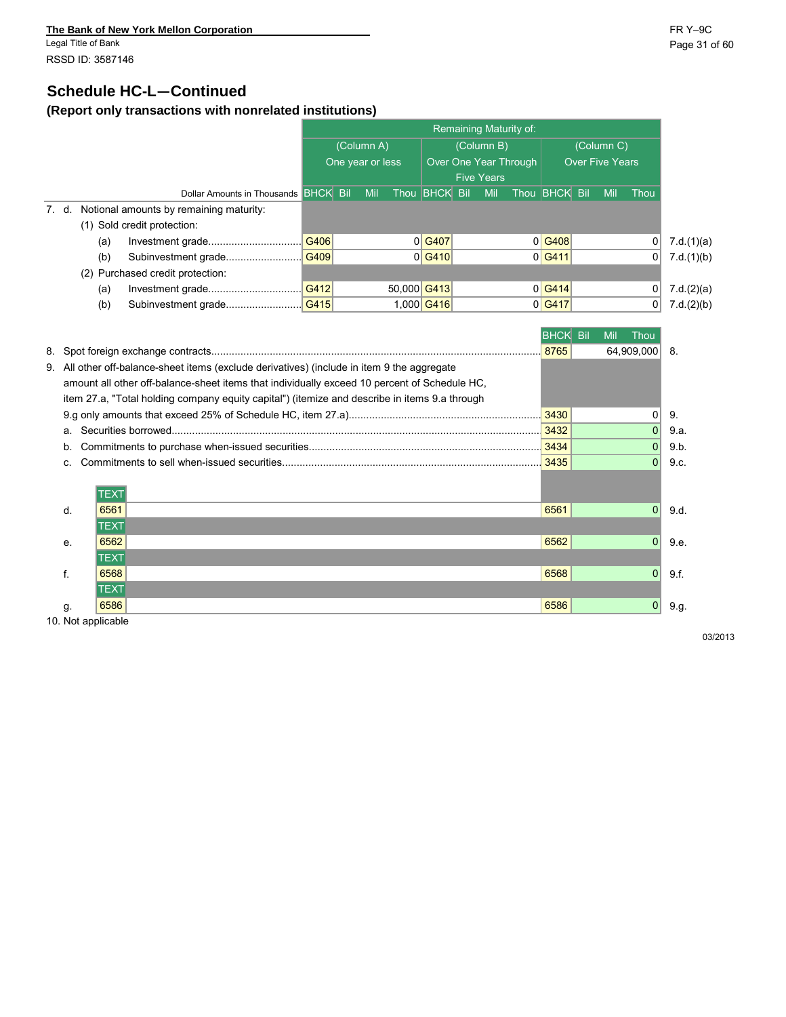Legal Title of Bank Page 31 of 60 RSSD ID: 3587146

### **Schedule HC-L—Continued**

### **(Report only transactions with nonrelated institutions)**

|       |     |                                         |                  | Remaining Maturity of: |     |                       |                      |  |     |                        |                      |  |     |          |               |
|-------|-----|-----------------------------------------|------------------|------------------------|-----|-----------------------|----------------------|--|-----|------------------------|----------------------|--|-----|----------|---------------|
|       |     |                                         | (Column A)       |                        |     |                       | (Column B)           |  |     |                        | (Column C)           |  |     |          |               |
|       |     |                                         | One year or less |                        |     | Over One Year Through |                      |  |     | <b>Over Five Years</b> |                      |  |     |          |               |
|       |     |                                         |                  |                        |     | <b>Five Years</b>     |                      |  |     |                        |                      |  |     |          |               |
|       |     | Dollar Amounts in Thousands BHCK Bil    |                  |                        | Mil |                       | Thou <b>BHCK</b> Bil |  | Mil |                        | Thou <b>BHCK</b> Bil |  | Mil | Thou     |               |
| 7. d. |     | Notional amounts by remaining maturity: |                  |                        |     |                       |                      |  |     |                        |                      |  |     |          |               |
|       |     | (1) Sold credit protection:             |                  |                        |     |                       |                      |  |     |                        |                      |  |     |          |               |
|       | (a) |                                         |                  |                        |     |                       | 0 G407               |  |     |                        | 0 G408               |  |     |          | 7.d.(1)(a)    |
|       | (b) |                                         |                  |                        |     |                       | 0 G410               |  |     |                        | 0 G411               |  |     | 0        | 7.d.(1)(b)    |
|       |     | (2) Purchased credit protection:        |                  |                        |     |                       |                      |  |     |                        |                      |  |     |          |               |
|       | (a) |                                         |                  |                        |     | 50,000 G413           |                      |  |     |                        | 0 G414               |  |     | $\Omega$ | 7.d. $(2)(a)$ |
|       | (b) |                                         |                  |                        |     |                       | 1,000 G416           |  |     |                        | 0 G417               |  |     | 01       | 7.d.(2)(b)    |

|    |                                                                                               | <b>BHCK</b> | - Bil | Mil<br>Thoι   |      |
|----|-----------------------------------------------------------------------------------------------|-------------|-------|---------------|------|
|    |                                                                                               | 8765        |       | 64,909,000 8. |      |
|    | 9. All other off-balance-sheet items (exclude derivatives) (include in item 9 the aggregate   |             |       |               |      |
|    | amount all other off-balance-sheet items that individually exceed 10 percent of Schedule HC,  |             |       |               |      |
|    | item 27.a, "Total holding company equity capital") (itemize and describe in items 9.a through |             |       |               |      |
|    |                                                                                               | 3430        |       | 0             | 9    |
|    |                                                                                               | 3432        |       | $\Omega$      | 9.a  |
| b. |                                                                                               | 3434        |       | $\Omega$      | 9.b  |
| C. |                                                                                               | 3435        |       | 0             | 9.c. |
|    |                                                                                               |             |       |               |      |
|    | <b>TEXT</b>                                                                                   |             |       |               |      |
| d. | 6561                                                                                          | 6561        |       | $\Omega$      | 9.d. |
|    | TEXT                                                                                          |             |       |               |      |
| е. | 6562                                                                                          | 6562        |       | $\Omega$      | 9.e. |
|    | <b>TEXT</b>                                                                                   |             |       |               |      |
|    | 6568                                                                                          | 6568        |       | $\Omega$      | 9.f. |
|    | <b>TEXT</b>                                                                                   |             |       |               |      |
| g. | 6586                                                                                          | 6586        |       | 0             | 9.9. |
|    |                                                                                               |             |       |               |      |

10. Not applicable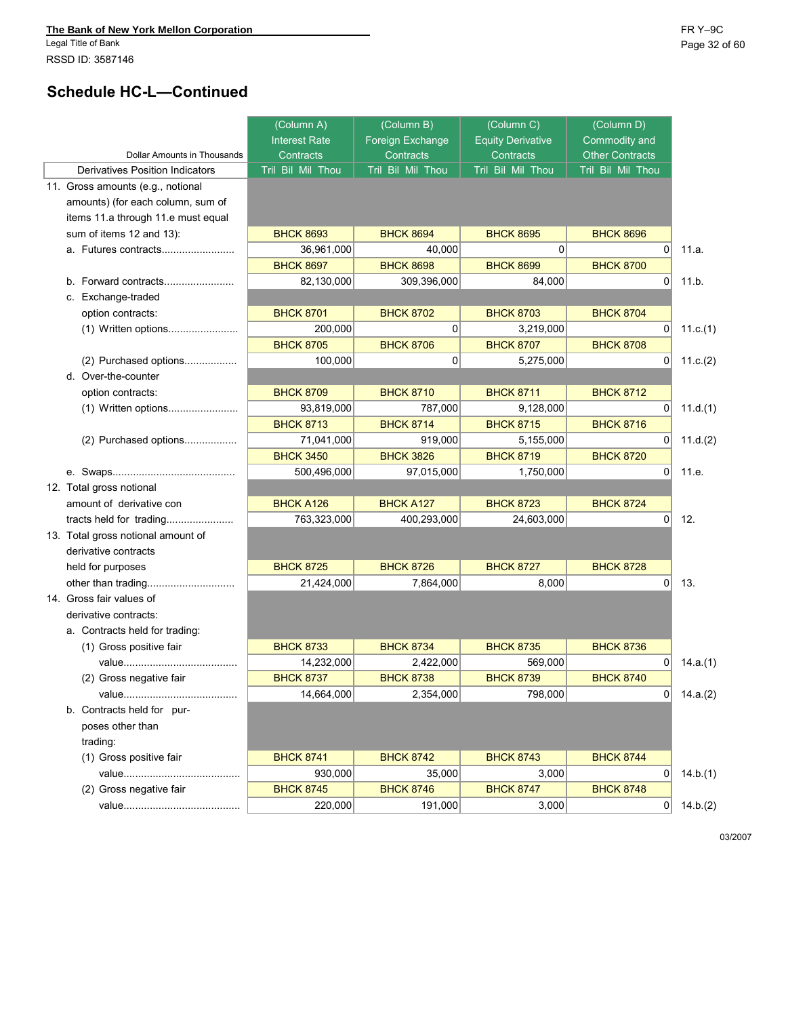Legal Title of Bank Page 32 of 60 RSSD ID: 3587146

# **Schedule HC-L—Continued**

|                                    | (Column A)           | (Column B)        | (Column C)               | (Column D)             |          |
|------------------------------------|----------------------|-------------------|--------------------------|------------------------|----------|
|                                    | <b>Interest Rate</b> | Foreign Exchange  | <b>Equity Derivative</b> | Commodity and          |          |
| Dollar Amounts in Thousands        | Contracts            | Contracts         | Contracts                | <b>Other Contracts</b> |          |
| Derivatives Position Indicators    | Tril Bil Mil Thou    | Tril Bil Mil Thou | Tril Bil Mil Thou        | Tril Bil Mil Thou      |          |
| 11. Gross amounts (e.g., notional  |                      |                   |                          |                        |          |
| amounts) (for each column, sum of  |                      |                   |                          |                        |          |
| items 11.a through 11.e must equal |                      |                   |                          |                        |          |
| sum of items 12 and 13):           | <b>BHCK 8693</b>     | <b>BHCK 8694</b>  | <b>BHCK 8695</b>         | <b>BHCK 8696</b>       |          |
| a. Futures contracts               | 36,961,000           | 40,000            | $\Omega$                 | 0                      | 11.a.    |
|                                    | <b>BHCK 8697</b>     | <b>BHCK 8698</b>  | <b>BHCK 8699</b>         | <b>BHCK 8700</b>       |          |
| b. Forward contracts               | 82,130,000           | 309,396,000       | 84.000                   | $\Omega$               | 11.b.    |
| c. Exchange-traded                 |                      |                   |                          |                        |          |
| option contracts:                  | <b>BHCK 8701</b>     | <b>BHCK 8702</b>  | <b>BHCK 8703</b>         | <b>BHCK 8704</b>       |          |
| (1) Written options                | 200,000              | $\Omega$          | 3,219,000                | $\overline{0}$         | 11.c.(1) |
|                                    | <b>BHCK 8705</b>     | <b>BHCK 8706</b>  | <b>BHCK 8707</b>         | <b>BHCK 8708</b>       |          |
| (2) Purchased options              | 100,000              | 0                 | 5,275,000                | 0                      | 11.c.(2) |
| d. Over-the-counter                |                      |                   |                          |                        |          |
| option contracts:                  | <b>BHCK 8709</b>     | <b>BHCK 8710</b>  | <b>BHCK 8711</b>         | <b>BHCK 8712</b>       |          |
| (1) Written options                | 93,819,000           | 787,000           | 9,128,000                | $\Omega$               | 11.d.(1) |
|                                    | <b>BHCK 8713</b>     | <b>BHCK 8714</b>  | <b>BHCK 8715</b>         | <b>BHCK 8716</b>       |          |
| (2) Purchased options              | 71,041,000           | 919,000           | 5,155,000                | $\Omega$               | 11.d.(2) |
|                                    | <b>BHCK 3450</b>     | <b>BHCK 3826</b>  | <b>BHCK 8719</b>         | <b>BHCK 8720</b>       |          |
|                                    | 500,496,000          | 97,015,000        | 1,750,000                | $\overline{0}$         | 11.e.    |
| 12. Total gross notional           |                      |                   |                          |                        |          |
| amount of derivative con           | <b>BHCK A126</b>     | <b>BHCK A127</b>  | <b>BHCK 8723</b>         | <b>BHCK 8724</b>       |          |
|                                    | 763,323,000          | 400,293,000       | 24,603,000               | 0                      | 12.      |
| 13. Total gross notional amount of |                      |                   |                          |                        |          |
| derivative contracts               |                      |                   |                          |                        |          |
| held for purposes                  | <b>BHCK 8725</b>     | <b>BHCK 8726</b>  | <b>BHCK 8727</b>         | <b>BHCK 8728</b>       |          |
|                                    | 21,424,000           | 7,864,000         | 8,000                    | $\Omega$               | 13.      |
| 14. Gross fair values of           |                      |                   |                          |                        |          |
| derivative contracts:              |                      |                   |                          |                        |          |
| a. Contracts held for trading:     |                      |                   |                          |                        |          |
| (1) Gross positive fair            | <b>BHCK 8733</b>     | <b>BHCK 8734</b>  | <b>BHCK 8735</b>         | <b>BHCK 8736</b>       |          |
|                                    | 14,232,000           | 2,422,000         | 569,000                  | 0                      | 14.a.(1) |
| (2) Gross negative fair            | <b>BHCK 8737</b>     | <b>BHCK 8738</b>  | <b>BHCK 8739</b>         | <b>BHCK 8740</b>       |          |
|                                    | 14,664,000           | 2,354,000         | 798,000                  | υ                      | 14.a.(2) |
| b. Contracts held for pur-         |                      |                   |                          |                        |          |
| poses other than                   |                      |                   |                          |                        |          |
| trading:                           |                      |                   |                          |                        |          |
| (1) Gross positive fair            | <b>BHCK 8741</b>     | <b>BHCK 8742</b>  | <b>BHCK 8743</b>         | <b>BHCK 8744</b>       |          |
|                                    | 930,000              | 35,000            | 3,000                    | 0                      | 14.b.(1) |
| (2) Gross negative fair            | <b>BHCK 8745</b>     | <b>BHCK 8746</b>  | <b>BHCK 8747</b>         | <b>BHCK 8748</b>       |          |
|                                    | 220,000              | 191,000           | 3,000                    | 0                      | 14.b.(2) |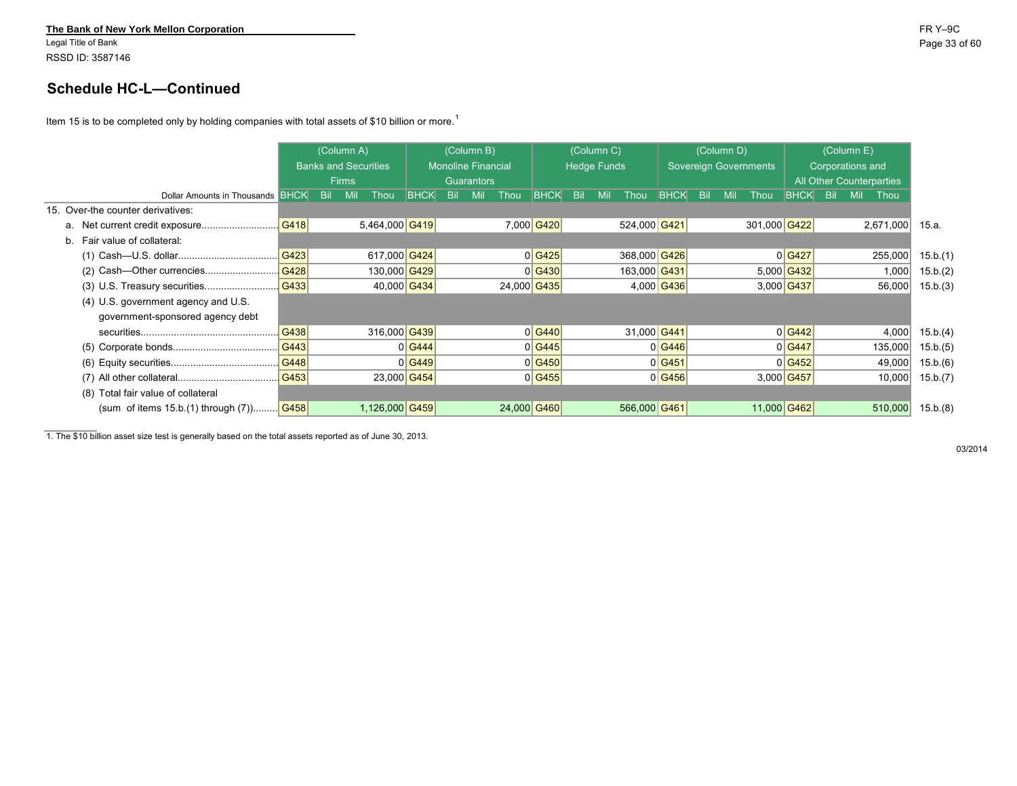Legal Title of Bank Page 33 of 60 RSSD ID: 3587146

## **Schedule HC-L—Continued**

Item 15 is to be completed only by holding companies with total assets of \$10 billion or more.<sup>1</sup>

|                                                      |      |            | (Column A)                  |                |             | (Column B)                |            |      | (Column C)         |            |     | (Column D)                   |             |     |            | (Column E)               |             |            |            |           |          |
|------------------------------------------------------|------|------------|-----------------------------|----------------|-------------|---------------------------|------------|------|--------------------|------------|-----|------------------------------|-------------|-----|------------|--------------------------|-------------|------------|------------|-----------|----------|
|                                                      |      |            | <b>Banks and Securities</b> |                |             | <b>Monoline Financial</b> |            |      | <b>Hedge Funds</b> |            |     | <b>Sovereign Governments</b> |             |     |            | Corporations and         |             |            |            |           |          |
|                                                      |      |            | <b>Firms</b>                |                |             | Guarantors                |            |      |                    |            |     |                              |             |     |            | All Other Counterparties |             |            |            |           |          |
| Dollar Amounts in Thousands BHCK                     |      | <b>Bil</b> | Mil                         | Thou           | <b>BHCK</b> | <b>Bil</b>                | <b>Mil</b> | Thou | <b>BHCK</b>        | <b>Bil</b> | Mil | Thou                         | <b>BHCK</b> | Bil | <b>Mil</b> | Thou                     | <b>BHCK</b> | <b>Bil</b> | <b>Mil</b> | Thou      |          |
| 15. Over-the counter derivatives:                    |      |            |                             |                |             |                           |            |      |                    |            |     |                              |             |     |            |                          |             |            |            |           |          |
|                                                      | G418 |            |                             | 5,464,000 G419 |             |                           |            |      | 7,000 G420         |            |     | 524,000 G421                 |             |     |            | 301,000 G422             |             |            |            | 2,671,000 | 15.a.    |
| b. Fair value of collateral:                         |      |            |                             |                |             |                           |            |      |                    |            |     |                              |             |     |            |                          |             |            |            |           |          |
|                                                      | G423 |            |                             | 617,000 G424   |             |                           |            |      | 0 G425             |            |     | 368,000 G426                 |             |     |            |                          | 0 G427      |            |            | 255,000   | 15.b.(1) |
|                                                      | G428 |            |                             | 130,000 G429   |             |                           |            |      | 0 G430             |            |     | 163,000 G431                 |             |     |            |                          | 5,000 G432  |            |            | 1,000     | 15.b.(2) |
|                                                      |      |            |                             | 40,000 G434    |             |                           |            |      | 24,000 G435        |            |     |                              | 4,000 G436  |     |            |                          | 3,000 G437  |            |            | 56,000    | 15.b.(3) |
| (4) U.S. government agency and U.S.                  |      |            |                             |                |             |                           |            |      |                    |            |     |                              |             |     |            |                          |             |            |            |           |          |
| government-sponsored agency debt                     |      |            |                             |                |             |                           |            |      |                    |            |     |                              |             |     |            |                          |             |            |            |           |          |
|                                                      | G438 |            |                             | 316,000 G439   |             |                           |            |      | 0 G440             |            |     | 31,000 G441                  |             |     |            |                          | $0$ G442    |            |            | 4,000     | 15.b.(4) |
|                                                      | G443 |            |                             |                | 0 G444      |                           |            |      | 0 G445             |            |     |                              | 0 G446      |     |            |                          | 0 G447      |            |            | 135,000   | 15.b.(5) |
|                                                      | G448 |            |                             |                | 0 G449      |                           |            |      | 0 G450             |            |     |                              | 0 G451      |     |            |                          | 0 G452      |            |            | 49,000    | 15.b.(6) |
|                                                      | G453 |            |                             | 23,000 G454    |             |                           |            |      | 0 G455             |            |     |                              | 0 G456      |     |            |                          | 3,000 G457  |            |            | 10,000    | 15.b.(7) |
| Total fair value of collateral<br>(8)                |      |            |                             |                |             |                           |            |      |                    |            |     |                              |             |     |            |                          |             |            |            |           |          |
| (sum of items $15.b.(1)$ through $(7)$ ) <b>G458</b> |      |            |                             | 1,126,000 G459 |             |                           |            |      | 24,000 G460        |            |     | 566,000 G461                 |             |     |            | 11,000 G462              |             |            |            | 510,000   | 15.b.(8) |

1. The \$10 billion asset size test is generally based on the total assets reported as of June 30, 2013.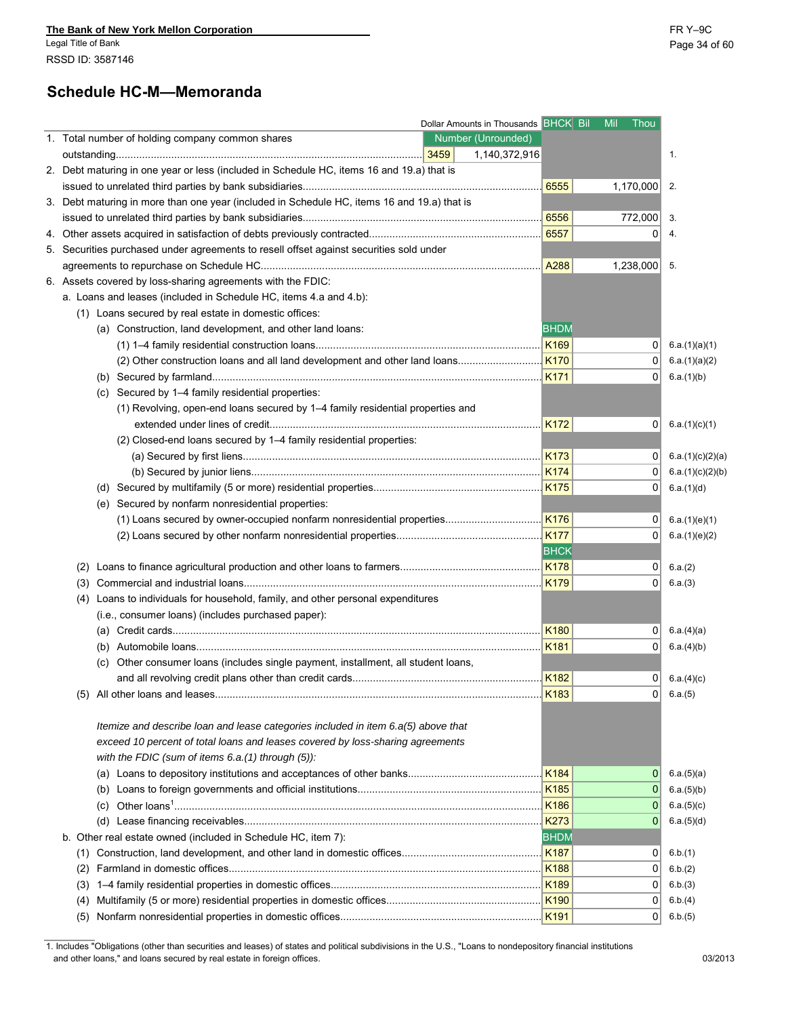# **Schedule HC-M—Memoranda**

|                                                                                             | Dollar Amounts in Thousands BHCK Bil Mil Thou |                    |                |                  |
|---------------------------------------------------------------------------------------------|-----------------------------------------------|--------------------|----------------|------------------|
| 1. Total number of holding company common shares                                            | Number (Unrounded)<br>1,140,372,916           |                    |                | 1.               |
| 2. Debt maturing in one year or less (included in Schedule HC, items 16 and 19.a) that is   |                                               |                    |                |                  |
|                                                                                             |                                               | 6555               | 1,170,000      | 2.               |
| 3. Debt maturing in more than one year (included in Schedule HC, items 16 and 19.a) that is |                                               |                    |                |                  |
|                                                                                             |                                               | .   6556           | 772,000        | 3.               |
|                                                                                             |                                               | .6557              | 0              | 4.               |
| 5. Securities purchased under agreements to resell offset against securities sold under     |                                               |                    |                |                  |
|                                                                                             |                                               |                    | 1,238,000      | -5.              |
|                                                                                             |                                               |                    |                |                  |
| 6. Assets covered by loss-sharing agreements with the FDIC:                                 |                                               |                    |                |                  |
| a. Loans and leases (included in Schedule HC, items 4.a and 4.b):                           |                                               |                    |                |                  |
| (1) Loans secured by real estate in domestic offices:                                       |                                               |                    |                |                  |
| (a) Construction, land development, and other land loans:                                   |                                               | <b>BHDM</b>        |                |                  |
|                                                                                             |                                               |                    | 0              | 6.a.(1)(a)(1)    |
|                                                                                             |                                               |                    | $\Omega$       | 6.a.(1)(a)(2)    |
|                                                                                             |                                               |                    | 01             | 6.a.(1)(b)       |
| Secured by 1-4 family residential properties:<br>(C)                                        |                                               |                    |                |                  |
| (1) Revolving, open-end loans secured by 1-4 family residential properties and              |                                               |                    |                |                  |
|                                                                                             |                                               | K172               | 0              | 6.a.(1)(c)(1)    |
| (2) Closed-end loans secured by 1-4 family residential properties:                          |                                               |                    |                |                  |
|                                                                                             |                                               | K173               | 0 <sup>1</sup> | 6.a.(1)(c)(2)(a) |
|                                                                                             |                                               |                    | 0 <sup>1</sup> | 6.a.(1)(c)(2)(b) |
|                                                                                             |                                               |                    | 0 <sup>1</sup> | 6.a.(1)(d)       |
| (e) Secured by nonfarm nonresidential properties:                                           |                                               |                    |                |                  |
| (1) Loans secured by owner-occupied nonfarm nonresidential properties                       |                                               | K176               | $\overline{0}$ | 6.a.(1)(e)(1)    |
|                                                                                             |                                               |                    | 0              | 6.a.(1)(e)(2)    |
|                                                                                             |                                               | <b>BHCK</b>        |                |                  |
| (2)                                                                                         |                                               | $\frac{1}{1}$ K178 | 0              | 6.a.(2)          |
| (3)                                                                                         |                                               | <b>K179</b>        | 0              | 6.a.(3)          |
| Loans to individuals for household, family, and other personal expenditures<br>(4)          |                                               |                    |                |                  |
| (i.e., consumer loans) (includes purchased paper):                                          |                                               |                    |                |                  |
|                                                                                             |                                               | K180               | 0              | 6.a.(4)(a)       |
|                                                                                             |                                               | <b>K181</b>        | 0              | 6.a.(4)(b)       |
| (c) Other consumer loans (includes single payment, installment, all student loans,          |                                               |                    |                |                  |
|                                                                                             |                                               |                    | 0              | 6.a.(4)(c)       |
|                                                                                             |                                               | K183               | $\Omega$       | 6.a.(5)          |
|                                                                                             |                                               |                    |                |                  |
| Itemize and describe loan and lease categories included in item 6.a(5) above that           |                                               |                    |                |                  |
| exceed 10 percent of total loans and leases covered by loss-sharing agreements              |                                               |                    |                |                  |
| with the FDIC (sum of items $6.a.(1)$ through $(5)$ ):                                      |                                               |                    |                |                  |
|                                                                                             |                                               | K184               | 0              | 6.a.(5)(a)       |
|                                                                                             |                                               | K <sub>185</sub>   | 0              | 6.a.(5)(b)       |
| (c)                                                                                         |                                               | K186               | 0              | 6.a.(5)(c)       |
|                                                                                             |                                               | <b>K273</b>        | 0              | 6.a.(5)(d)       |
| b. Other real estate owned (included in Schedule HC, item 7):                               |                                               | <b>BHDM</b>        |                |                  |
|                                                                                             |                                               | K <sub>187</sub>   | 0              |                  |
|                                                                                             |                                               |                    |                | 6.b.(1)          |
| (2)                                                                                         |                                               | <b>K188</b>        | 0              | 6.b.(2)          |
| (3)                                                                                         |                                               | K <sub>189</sub>   | $\Omega$       | 6.b.(3)          |
| (4)                                                                                         |                                               | <b>K190</b>        | 0              | 6.b.(4)          |
|                                                                                             |                                               | K <sub>191</sub>   | $\overline{0}$ | 6.b.(5)          |

1. Includes "Obligations (other than securities and leases) of states and political subdivisions in the U.S., "Loans to nondepository financial institutions and other loans," and loans secured by real estate in foreign offices. 03/2013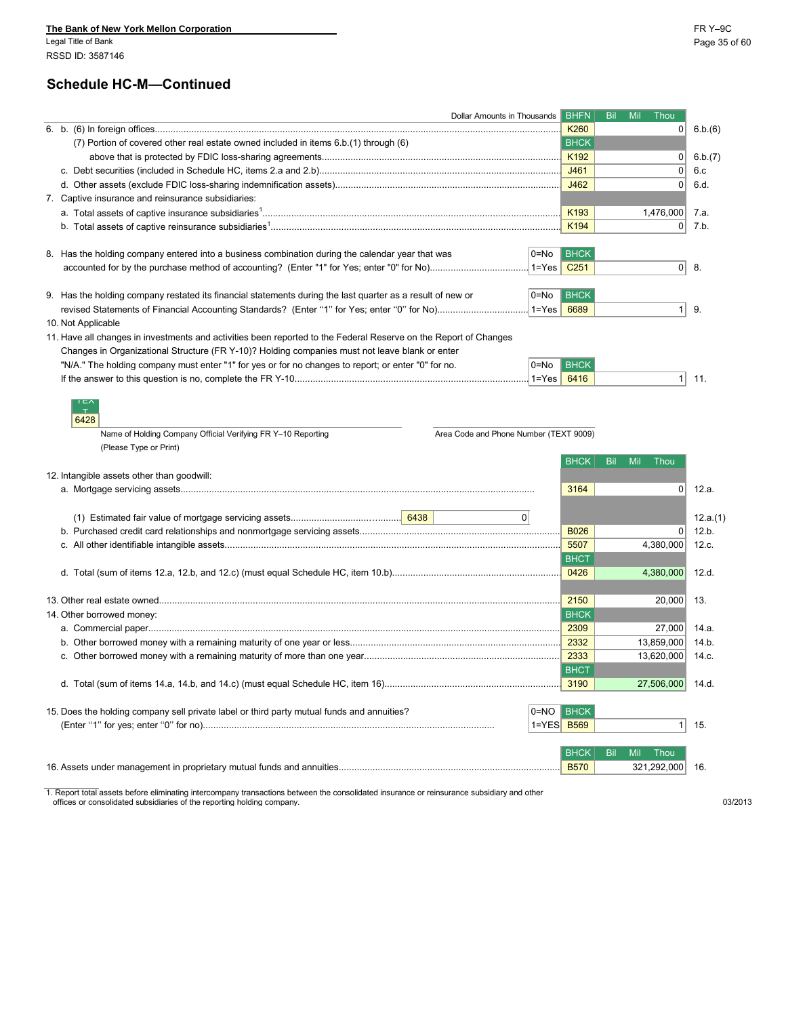Legal Title of Bank Page 35 of 60 RSSD ID: 3587146

### **Schedule HC-M—Continued**

|                                                                                                                  | Dollar Amounts in Thousands            |             | <b>BHFN</b>              | Bil               | Mil Thou       |          |
|------------------------------------------------------------------------------------------------------------------|----------------------------------------|-------------|--------------------------|-------------------|----------------|----------|
|                                                                                                                  |                                        |             | K <sub>260</sub>         |                   | $\overline{0}$ | 6.b.(6)  |
| (7) Portion of covered other real estate owned included in items 6.b.(1) through (6)                             |                                        |             | <b>BHCK</b>              |                   |                |          |
|                                                                                                                  |                                        |             | K <sub>192</sub>         |                   | 0              | 6.b.(7)  |
|                                                                                                                  |                                        |             | J461                     |                   | 0              | 6.c      |
|                                                                                                                  |                                        |             | J462                     |                   | 0              | 6.d.     |
| 7. Captive insurance and reinsurance subsidiaries:                                                               |                                        |             |                          |                   |                |          |
|                                                                                                                  |                                        |             | K193                     |                   | 1,476,000      | 7.a.     |
|                                                                                                                  |                                        |             | K194                     |                   | 0              | 7.b.     |
|                                                                                                                  |                                        |             |                          |                   |                |          |
| 8. Has the holding company entered into a business combination during the calendar year that was                 |                                        | 0=No        | <b>BHCK</b>              |                   |                |          |
|                                                                                                                  |                                        | 1=Yes       | $\vert$ C <sub>251</sub> |                   |                | $0$ 8.   |
|                                                                                                                  |                                        |             |                          |                   |                |          |
| 9. Has the holding company restated its financial statements during the last quarter as a result of new or       |                                        | 0=No        | <b>BHCK</b>              |                   |                |          |
|                                                                                                                  |                                        | $1 = Yes$   | 6689                     |                   | 1              | 9.       |
| 10. Not Applicable                                                                                               |                                        |             |                          |                   |                |          |
| 11. Have all changes in investments and activities been reported to the Federal Reserve on the Report of Changes |                                        |             |                          |                   |                |          |
| Changes in Organizational Structure (FR Y-10)? Holding companies must not leave blank or enter                   |                                        |             |                          |                   |                |          |
| "N/A." The holding company must enter "1" for yes or for no changes to report; or enter "0" for no.              |                                        | 0=No        | <b>BHCK</b>              |                   |                |          |
|                                                                                                                  |                                        | $1 = Yes$   | 6416                     |                   | 1 <sup>1</sup> | 11.      |
| 6428<br>Name of Holding Company Official Verifying FR Y-10 Reporting<br>(Please Type or Print)                   | Area Code and Phone Number (TEXT 9009) |             |                          |                   |                |          |
|                                                                                                                  |                                        |             | <b>BHCK</b>              | <b>Bil</b><br>Mil | Thou           |          |
| 12. Intangible assets other than goodwill:                                                                       |                                        |             |                          |                   |                |          |
|                                                                                                                  |                                        |             | 3164                     |                   | $\overline{0}$ | 12.a.    |
|                                                                                                                  |                                        |             |                          |                   |                |          |
|                                                                                                                  |                                        | 0           |                          |                   |                | 12.a.(1) |
|                                                                                                                  |                                        |             | <b>B026</b>              |                   | $\Omega$       | 12.b.    |
|                                                                                                                  |                                        |             | 5507                     |                   | 4,380,000      | 12.c.    |
|                                                                                                                  |                                        |             | <b>BHCT</b>              |                   |                |          |
|                                                                                                                  |                                        |             | 0426                     |                   | 4,380,000      | 12.d.    |
|                                                                                                                  |                                        |             |                          |                   |                |          |
|                                                                                                                  |                                        |             | 2150                     |                   | 20,000         | 13.      |
| 14. Other borrowed money:                                                                                        |                                        |             | <b>BHCK</b>              |                   |                |          |
|                                                                                                                  |                                        |             | 2309                     |                   | 27,000         | 14.a.    |
|                                                                                                                  |                                        |             | 2332                     |                   | 13,859,000     | 14.b.    |
|                                                                                                                  |                                        |             | 2333                     |                   | 13,620,000     | 14.c.    |
|                                                                                                                  |                                        |             | <b>BHCT</b>              |                   |                |          |
|                                                                                                                  |                                        |             | 3190                     |                   | 27,506,000     | 14.d.    |
|                                                                                                                  |                                        |             |                          |                   |                |          |
| 15. Does the holding company sell private label or third party mutual funds and annuities?                       |                                        | $O=NO$ BHCK |                          |                   |                |          |
|                                                                                                                  |                                        | 1=YES B569  |                          |                   | 1 <sup>1</sup> | 15.      |
|                                                                                                                  |                                        |             |                          |                   |                |          |
|                                                                                                                  |                                        |             | <b>BHCK</b>              | Bil<br>Mil        | Thou           |          |
|                                                                                                                  |                                        |             | <b>B570</b>              |                   | 321,292,000    | 16.      |
|                                                                                                                  |                                        |             |                          |                   |                |          |

1. Report total assets before eliminating intercompany transactions between the consolidated insurance or reinsurance subsidiary and other offices or consolidated subsidiaries of the reporting holding company. 03/2013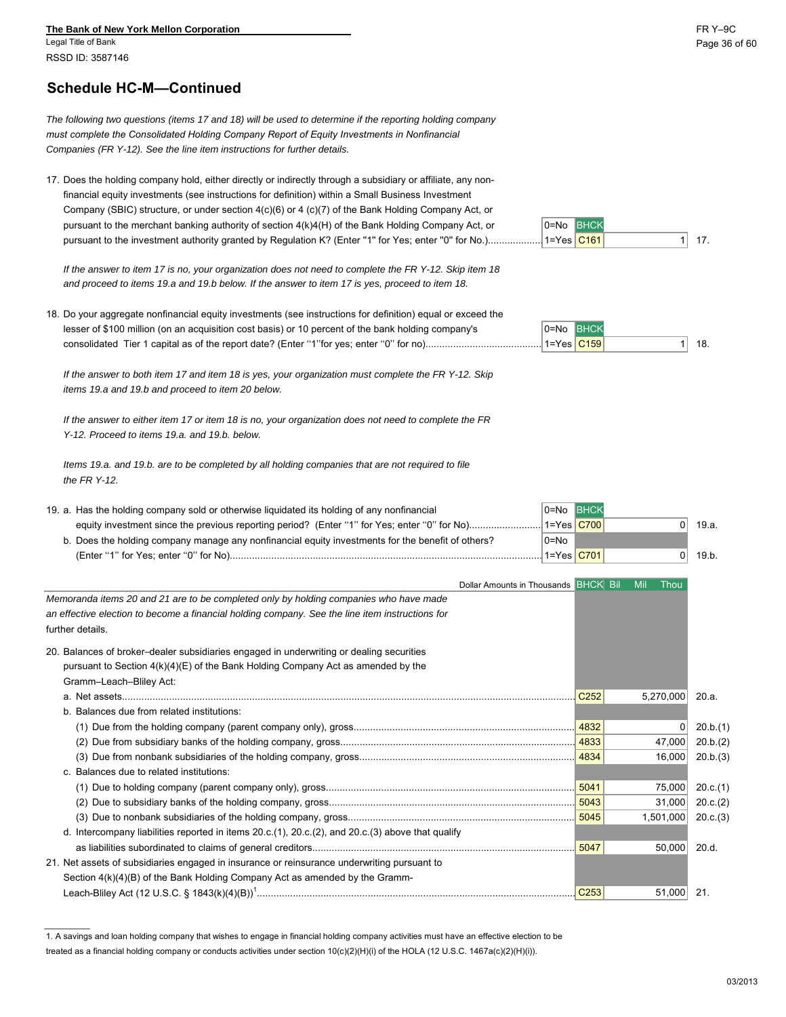Legal Title of Bank Page 36 of 60 RSSD ID: 3587146

### **Schedule HC-M—Continued**

*The following two questions (items 17 and 18) will be used to determine if the reporting holding company must complete the Consolidated Holding Company Report of Equity Investments in Nonfinancial Companies (FR Y-12). See the line item instructions for further details.*

17. Does the holding company hold, either directly or indirectly through a subsidiary or affiliate, any nonfinancial equity investments (see instructions for definition) within a Small Business Investment Company (SBIC) structure, or under section 4(c)(6) or 4 (c)(7) of the Bank Holding Company Act, or pursuant to the merchant banking authority of section  $4(k)4(H)$  of the Bank Holding Company Act, or  $0=$ No BHCK pursuant to the investment authority granted by Regulation K? (Enter ''1'' for Yes; enter ''0'' for No.)....................1=Yes C161 1 17.

*If the answer to item 17 is no, your organization does not need to complete the FR Y-12. Skip item 18 and proceed to items 19.a and 19.b below. If the answer to item 17 is yes, proceed to item 18.*

18. Do your aggregate nonfinancial equity investments (see instructions for definition) equal or exceed the lesser of \$100 million (on an acquisition cost basis) or 10 percent of the bank holding company's  $0=No$  BHCk consolidated Tier 1 capital as of the report date? (Enter ''1''for yes; enter ''0'' for no)...........................................1=Yes C159 1 18.

*If the answer to both item 17 and item 18 is yes, your organization must complete the FR Y-12. Skip items 19.a and 19.b and proceed to item 20 below.*

*If the answer to either item 17 or item 18 is no, your organization does not need to complete the FR Y-12. Proceed to items 19.a. and 19.b. below.*

*Items 19.a. and 19.b. are to be completed by all holding companies that are not required to file the FR Y-12.*

| 19. a. Has the holding company sold or otherwise liquidated its holding of any nonfinancial       | <b>IO=No BHCK</b> |      |       |
|---------------------------------------------------------------------------------------------------|-------------------|------|-------|
|                                                                                                   |                   | 71 L | 19.a. |
| b. Does the holding company manage any nonfinancial equity investments for the benefit of others? | l0=No             |      |       |
| (Enter "1" for Yes: enter "0" for No)                                                             | 1=Yes C701        |      | 19.b. |

| Dollar Amounts in Thousands BHCK Bil                                                                      |                  | Mil<br>Thou |          |
|-----------------------------------------------------------------------------------------------------------|------------------|-------------|----------|
| Memoranda items 20 and 21 are to be completed only by holding companies who have made                     |                  |             |          |
| an effective election to become a financial holding company. See the line item instructions for           |                  |             |          |
| further details.                                                                                          |                  |             |          |
| 20. Balances of broker-dealer subsidiaries engaged in underwriting or dealing securities                  |                  |             |          |
| pursuant to Section $4(k)(4)(E)$ of the Bank Holding Company Act as amended by the                        |                  |             |          |
| Gramm-Leach-Bliley Act:                                                                                   |                  |             |          |
|                                                                                                           | C <sub>252</sub> | 5,270,000   | 20.a.    |
| b. Balances due from related institutions:                                                                |                  |             |          |
|                                                                                                           | 4832             | 0           | 20.b.(1) |
|                                                                                                           |                  | 47,000      | 20.b.(2) |
|                                                                                                           | 4834             | 16,000      | 20.b.(3) |
| c. Balances due to related institutions:                                                                  |                  |             |          |
|                                                                                                           | 5041             | 75,000      | 20.c.(1) |
|                                                                                                           |                  | 31,000      | 20.c.(2) |
| (3)                                                                                                       | 5045             | 1,501,000   | 20.c.(3) |
| d. Intercompany liabilities reported in items $20.c.(1)$ , $20.c.(2)$ , and $20.c.(3)$ above that qualify |                  |             |          |
|                                                                                                           | 5047             | 50,000      | 20.d.    |
| 21. Net assets of subsidiaries engaged in insurance or reinsurance underwriting pursuant to               |                  |             |          |
| Section $4(k)(4)(B)$ of the Bank Holding Company Act as amended by the Gramm-                             |                  |             |          |
|                                                                                                           | C <sub>253</sub> | 51,000 21.  |          |

<sup>1.</sup> A savings and loan holding company that wishes to engage in financial holding company activities must have an effective election to be

1=Yes **C161** 



treated as a financial holding company or conducts activities under section 10(c)(2)(H)(i) of the HOLA (12 U.S.C. 1467a(c)(2)(H)(i)).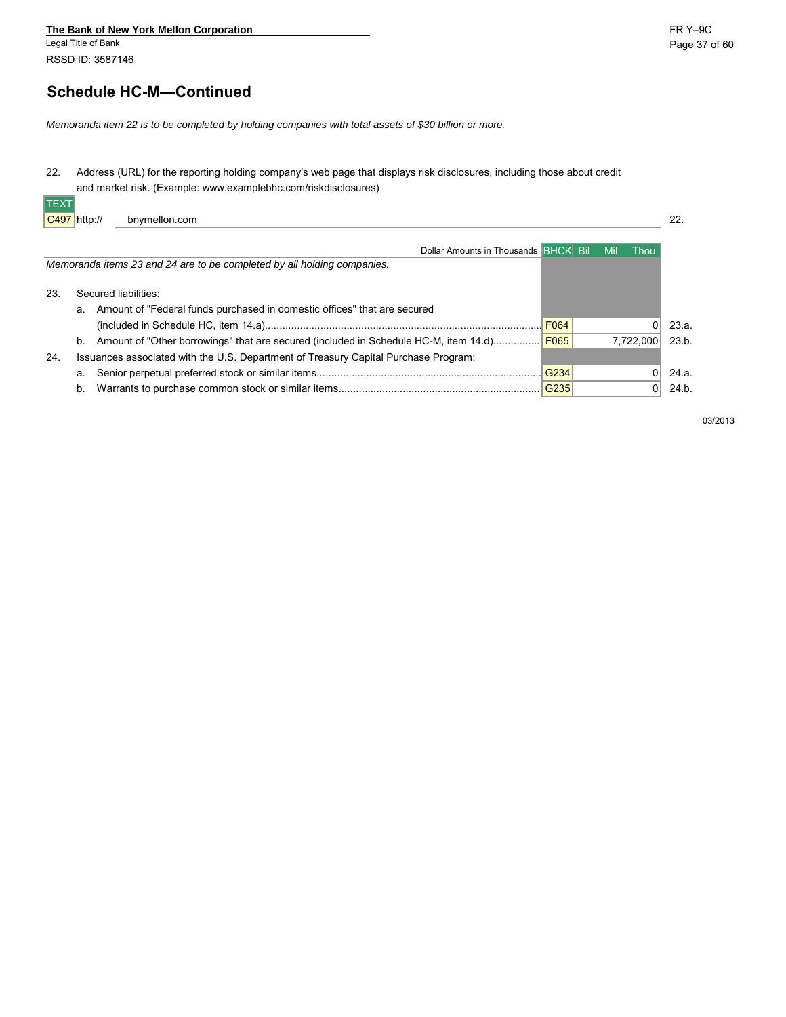#### **The Bank of New York Mellon Corporation**<br>
Legal Title of Bank<br>
Page 37 Legal Title of Bank Page 37 of 60

RSSD ID: 3587146

# **Schedule HC-M—Continued**

*Memoranda item 22 is to be completed by holding companies with total assets of \$30 billion or more.*

22. Address (URL) for the reporting holding company's web page that displays risk disclosures, including those about credit and market risk. (Example: www.examplebhc.com/riskdisclosures) TEXT

| Dollar Amounts in Thousands BHCK Bill<br><b>Mil</b><br>Thou<br>Memoranda items 23 and 24 are to be completed by all holding companies.<br>Secured liabilities:<br>-23.<br>Amount of "Federal funds purchased in domestic offices" that are secured<br>а.<br>F064<br>23.a.<br>Report of "Other borrowings" that are secured (included in Schedule HC-M, item 14.d) F065<br>7.722.000<br>23.b.<br>b.<br>Issuances associated with the U.S. Department of Treasury Capital Purchase Program:<br>24.<br>G234<br>24 a.<br>а.<br> G235 <br>24.b.<br>b. | $ C497 $ http://<br>bnymellon.com |  | 22. |
|--------------------------------------------------------------------------------------------------------------------------------------------------------------------------------------------------------------------------------------------------------------------------------------------------------------------------------------------------------------------------------------------------------------------------------------------------------------------------------------------------------------------------------------------------|-----------------------------------|--|-----|
|                                                                                                                                                                                                                                                                                                                                                                                                                                                                                                                                                  |                                   |  |     |
|                                                                                                                                                                                                                                                                                                                                                                                                                                                                                                                                                  |                                   |  |     |
|                                                                                                                                                                                                                                                                                                                                                                                                                                                                                                                                                  |                                   |  |     |
|                                                                                                                                                                                                                                                                                                                                                                                                                                                                                                                                                  |                                   |  |     |
|                                                                                                                                                                                                                                                                                                                                                                                                                                                                                                                                                  |                                   |  |     |
|                                                                                                                                                                                                                                                                                                                                                                                                                                                                                                                                                  |                                   |  |     |
|                                                                                                                                                                                                                                                                                                                                                                                                                                                                                                                                                  |                                   |  |     |
|                                                                                                                                                                                                                                                                                                                                                                                                                                                                                                                                                  |                                   |  |     |
|                                                                                                                                                                                                                                                                                                                                                                                                                                                                                                                                                  |                                   |  |     |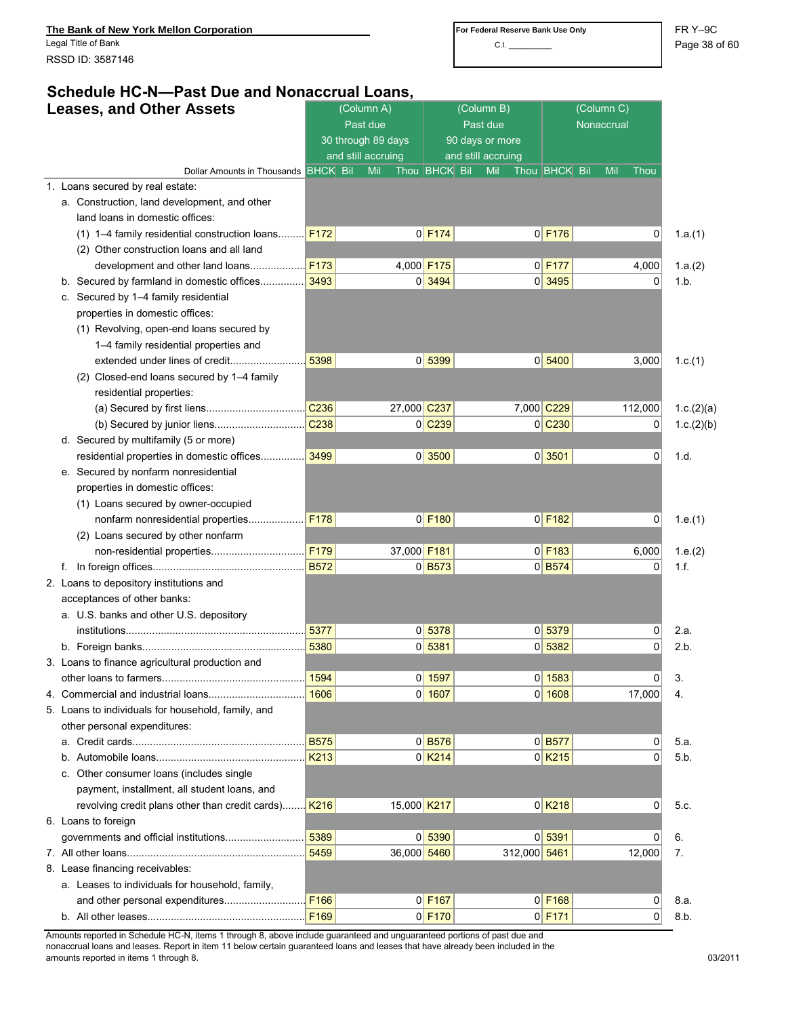Legal Title of Bank **Page 38 of 60** and the set of the contract of the contract of the contract of the contract of the contract of the contract of the contract of the contract of the contract of the contract of the contrac RSSD ID: 3587146

# **Schedule HC-N—Past Due and Nonaccrual Loans,**

| <b>Leases, and Other Assets</b> |                                                                          |                  | (Column A)<br>Past due |             |                       | (Column B)<br>Past due |                    |                      |     |                |            |
|---------------------------------|--------------------------------------------------------------------------|------------------|------------------------|-------------|-----------------------|------------------------|--------------------|----------------------|-----|----------------|------------|
|                                 |                                                                          |                  | 30 through 89 days     |             |                       | 90 days or more        |                    |                      |     |                |            |
|                                 |                                                                          |                  | and still accruing     |             |                       |                        | and still accruing |                      |     |                |            |
|                                 | Dollar Amounts in Thousands BHCK Bil<br>1. Loans secured by real estate: |                  | Mil                    |             | Thou <b>BHCK</b> Bil  |                        | Mil                | Thou <b>BHCK</b> Bil | Mil | Thou           |            |
|                                 | a. Construction, land development, and other                             |                  |                        |             |                       |                        |                    |                      |     |                |            |
|                                 | land loans in domestic offices:                                          |                  |                        |             |                       |                        |                    |                      |     |                |            |
|                                 | (1) 1-4 family residential construction loans                            | F172             |                        |             | $0$ F174              |                        |                    | $0$ F176             |     | 0              | 1.a.(1)    |
|                                 | (2) Other construction loans and all land                                |                  |                        |             |                       |                        |                    |                      |     |                |            |
|                                 | development and other land loans                                         | F173             |                        |             | 4,000 F175            |                        |                    | $0$ F177             |     | 4,000          | 1.a.(2)    |
|                                 | b. Secured by farmland in domestic offices                               | 3493             |                        |             | 0 3494                |                        |                    | 0 3495               |     | 0              | 1.b.       |
|                                 | c. Secured by 1-4 family residential                                     |                  |                        |             |                       |                        |                    |                      |     |                |            |
|                                 | properties in domestic offices:                                          |                  |                        |             |                       |                        |                    |                      |     |                |            |
|                                 | (1) Revolving, open-end loans secured by                                 |                  |                        |             |                       |                        |                    |                      |     |                |            |
|                                 | 1-4 family residential properties and                                    |                  |                        |             |                       |                        |                    |                      |     |                |            |
|                                 | extended under lines of credit                                           | 5398             |                        |             | 0 5399                |                        |                    | 0 5400               |     | 3,000          | 1.c.(1)    |
|                                 | (2) Closed-end loans secured by 1-4 family                               |                  |                        |             |                       |                        |                    |                      |     |                |            |
|                                 | residential properties:                                                  |                  |                        |             |                       |                        |                    |                      |     |                |            |
|                                 |                                                                          | C <sub>236</sub> |                        | 27,000 C237 |                       |                        | 7,000 C229         |                      |     | 112,000        | 1.c.(2)(a) |
|                                 |                                                                          | C238             |                        |             | $0$ $C239$            |                        |                    | $0$ $C230$           |     | 0              | 1.c.(2)(b) |
|                                 | d. Secured by multifamily (5 or more)                                    |                  |                        |             |                       |                        |                    |                      |     |                |            |
|                                 | residential properties in domestic offices                               | 3499             |                        |             | 0 3500                |                        |                    | 0 3501               |     | 0              | 1.d.       |
|                                 | e. Secured by nonfarm nonresidential                                     |                  |                        |             |                       |                        |                    |                      |     |                |            |
|                                 | properties in domestic offices:                                          |                  |                        |             |                       |                        |                    |                      |     |                |            |
|                                 | (1) Loans secured by owner-occupied                                      |                  |                        |             |                       |                        |                    |                      |     |                |            |
|                                 | nonfarm nonresidential properties                                        | F178             |                        |             | $0$ F <sub>180</sub>  |                        |                    | $0$ F <sub>182</sub> |     | $\overline{0}$ | 1.e.(1)    |
|                                 | (2) Loans secured by other nonfarm                                       |                  |                        |             |                       |                        |                    |                      |     |                |            |
|                                 |                                                                          | F <sub>179</sub> |                        | 37,000 F181 |                       |                        |                    | $0$ F <sub>183</sub> |     | 6,000          | 1.e. (2)   |
|                                 |                                                                          | <b>B572</b>      |                        |             | $0$ B573              |                        |                    | $0$ B574             |     | 0              | 1.f.       |
|                                 | 2. Loans to depository institutions and                                  |                  |                        |             |                       |                        |                    |                      |     |                |            |
|                                 | acceptances of other banks:                                              |                  |                        |             |                       |                        |                    |                      |     |                |            |
|                                 | a. U.S. banks and other U.S. depository                                  |                  |                        |             |                       |                        |                    |                      |     |                |            |
|                                 |                                                                          | 5377             |                        |             | 0 5378                |                        |                    | 0 5379               |     | 0              | 2.a.       |
|                                 |                                                                          | 5380             |                        |             | 0 5381                |                        |                    | 0 5382               |     | 0              | 2.b.       |
|                                 | 3. Loans to finance agricultural production and                          |                  |                        |             |                       |                        |                    |                      |     |                |            |
|                                 |                                                                          |                  |                        |             | 0   1597              |                        |                    | 0   1583             |     | 0              | 3.         |
|                                 |                                                                          | 1606             |                        |             | 0 1607                |                        |                    | 0 1608               |     | 17,000         | 4.         |
|                                 | 5. Loans to individuals for household, family, and                       |                  |                        |             |                       |                        |                    |                      |     |                |            |
|                                 | other personal expenditures:                                             |                  |                        |             |                       |                        |                    |                      |     |                |            |
|                                 |                                                                          | <b>B575</b>      |                        |             | $0$ B576              |                        |                    | $0$ B577             |     | 0              | 5.a.       |
|                                 | b.                                                                       | K213             |                        |             | $0$ K <sub>2</sub> 14 |                        |                    | $0$ K <sub>215</sub> |     | 0              | 5.b.       |
|                                 | c. Other consumer loans (includes single                                 |                  |                        |             |                       |                        |                    |                      |     |                |            |
|                                 | payment, installment, all student loans, and                             |                  |                        |             |                       |                        |                    |                      |     |                |            |
|                                 | revolving credit plans other than credit cards) K216                     |                  |                        | 15,000 K217 |                       |                        |                    | $0$ K <sub>218</sub> |     | 0              | 5.c.       |
|                                 | 6. Loans to foreign                                                      |                  |                        |             |                       |                        |                    |                      |     |                |            |
|                                 |                                                                          | 5389             |                        |             | 0 5390                |                        |                    | 0 5391               |     | 0              | 6.         |
|                                 |                                                                          | 5459             |                        | 36,000 5460 |                       |                        | 312,000 5461       |                      |     | 12,000         | 7.         |
|                                 | 8. Lease financing receivables:                                          |                  |                        |             |                       |                        |                    |                      |     |                |            |
|                                 | a. Leases to individuals for household, family,                          |                  |                        |             |                       |                        |                    |                      |     |                |            |
|                                 | and other personal expenditures                                          | F166             |                        |             | $0$ F <sub>167</sub>  |                        |                    | $0$ F <sub>168</sub> |     | $\overline{0}$ | 8.a.       |
|                                 |                                                                          | F169             |                        |             | $0$ F170              |                        |                    | $0$ F <sub>171</sub> |     | $\Omega$       | 8.b.       |

Amounts reported in Schedule HC-N, items 1 through 8, above include guaranteed and unguaranteed portions of past due and nonaccrual loans and leases. Report in item 11 below certain guaranteed loans and leases that have already been included in the amounts reported in items 1 through 8. 03/2011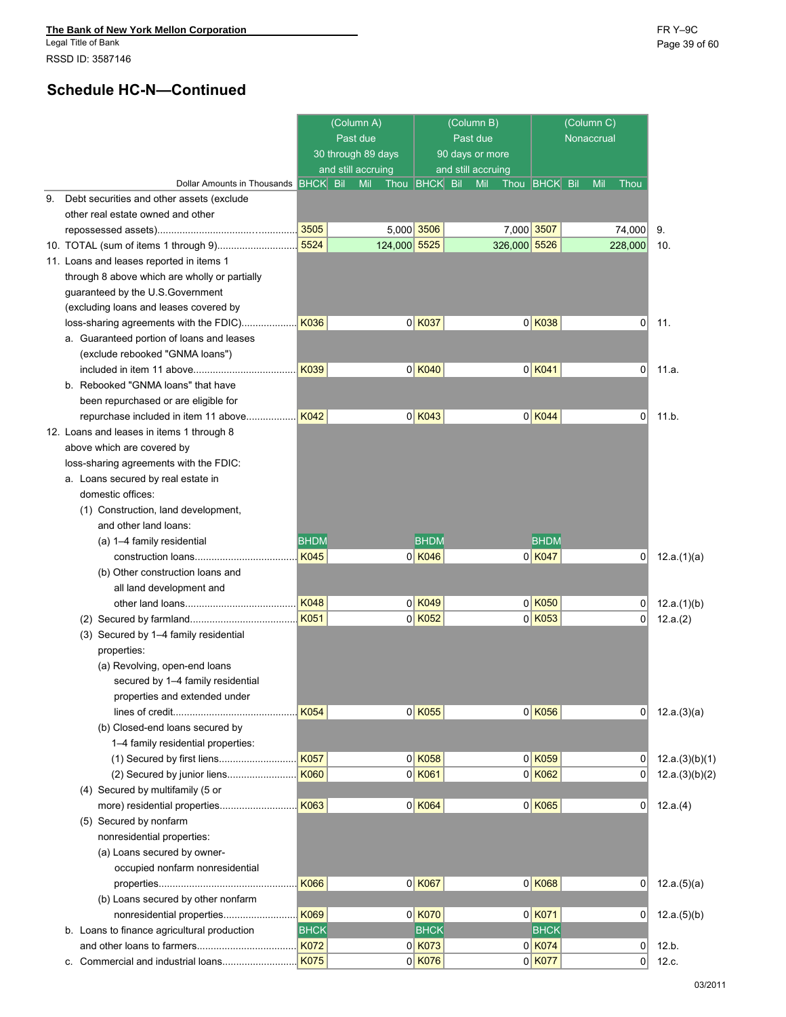Legal Title of Bank Page 39 of 60 RSSD ID: 3587146

# **Schedule HC-N—Continued**

|    |                                               |             | (Column A)<br>Past due<br>30 through 89 days |                      | (Column B)<br>Past due<br>90 days or more |                      | (Column C)<br>Nonaccrual |                |                |
|----|-----------------------------------------------|-------------|----------------------------------------------|----------------------|-------------------------------------------|----------------------|--------------------------|----------------|----------------|
|    | Dollar Amounts in Thousands BHCK Bill         |             | and still accruing<br>Mil                    | Thou <b>BHCK</b> Bil | and still accruing<br>Mil                 | Thou <b>BHCK</b> Bil | Mil                      | Thou           |                |
| 9. | Debt securities and other assets (exclude     |             |                                              |                      |                                           |                      |                          |                |                |
|    | other real estate owned and other             |             |                                              |                      |                                           |                      |                          |                |                |
|    |                                               | 3505        |                                              | 5,000 3506           | 7,000 3507                                |                      |                          | 74,000         | 9.             |
|    |                                               | 5524        | 124,000 5525                                 |                      | 326,000 5526                              |                      |                          | 228,000        | 10.            |
|    | 11. Loans and leases reported in items 1      |             |                                              |                      |                                           |                      |                          |                |                |
|    | through 8 above which are wholly or partially |             |                                              |                      |                                           |                      |                          |                |                |
|    | guaranteed by the U.S. Government             |             |                                              |                      |                                           |                      |                          |                |                |
|    | (excluding loans and leases covered by        |             |                                              |                      |                                           |                      |                          |                |                |
|    | loss-sharing agreements with the FDIC)        | K036        |                                              | $0$ K037             |                                           | $0$ K038             |                          | 0              | 11.            |
|    | a. Guaranteed portion of loans and leases     |             |                                              |                      |                                           |                      |                          |                |                |
|    | (exclude rebooked "GNMA loans")               |             |                                              |                      |                                           |                      |                          |                |                |
|    |                                               | K039        |                                              | $0$ K040             |                                           | $0$ K041             |                          | 0              | 11.a.          |
|    | b. Rebooked "GNMA loans" that have            |             |                                              |                      |                                           |                      |                          |                |                |
|    | been repurchased or are eligible for          |             |                                              |                      |                                           |                      |                          |                |                |
|    | repurchase included in item 11 above          | K042        |                                              | $0$ K043             |                                           | $0$ K044             |                          | 0              | 11.b.          |
|    | 12. Loans and leases in items 1 through 8     |             |                                              |                      |                                           |                      |                          |                |                |
|    | above which are covered by                    |             |                                              |                      |                                           |                      |                          |                |                |
|    | loss-sharing agreements with the FDIC:        |             |                                              |                      |                                           |                      |                          |                |                |
|    | a. Loans secured by real estate in            |             |                                              |                      |                                           |                      |                          |                |                |
|    | domestic offices:                             |             |                                              |                      |                                           |                      |                          |                |                |
|    | (1) Construction, land development,           |             |                                              |                      |                                           |                      |                          |                |                |
|    | and other land loans:                         |             |                                              |                      |                                           |                      |                          |                |                |
|    | (a) 1-4 family residential                    | <b>BHDM</b> |                                              | <b>BHDM</b>          |                                           | <b>BHDM</b>          |                          |                |                |
|    | construction loans                            | K045        |                                              | $0$ K046             |                                           | $0$ K047             |                          | 0              | 12.a.(1)(a)    |
|    | (b) Other construction loans and              |             |                                              |                      |                                           |                      |                          |                |                |
|    | all land development and                      |             |                                              |                      |                                           |                      |                          |                |                |
|    |                                               | K048        |                                              | 0 K049               |                                           | $0$ K050             |                          | 0              | 12.a.(1)(b)    |
|    |                                               | K051        |                                              | $0$ K052             |                                           | $0$ K053             |                          | 0              | 12.a.(2)       |
|    | (3) Secured by 1-4 family residential         |             |                                              |                      |                                           |                      |                          |                |                |
|    | properties:                                   |             |                                              |                      |                                           |                      |                          |                |                |
|    | (a) Revolving, open-end loans                 |             |                                              |                      |                                           |                      |                          |                |                |
|    | secured by 1-4 family residential             |             |                                              |                      |                                           |                      |                          |                |                |
|    | properties and extended under                 |             |                                              |                      |                                           |                      |                          |                |                |
|    |                                               | K054        |                                              | $0$ K055             |                                           | $0$ K056             |                          | 0              | 12.a.(3)(a)    |
|    | (b) Closed-end loans secured by               |             |                                              |                      |                                           |                      |                          |                |                |
|    | 1-4 family residential properties:            |             |                                              |                      |                                           |                      |                          |                |                |
|    |                                               | K057        |                                              | $0$ K058             |                                           | $0$ K059             |                          | 0              | 12.a.(3)(b)(1) |
|    |                                               | K060        |                                              | $0$ K061             |                                           | $0$ K062             |                          | 0              | 12.a.(3)(b)(2) |
|    | (4) Secured by multifamily (5 or              |             |                                              |                      |                                           |                      |                          |                |                |
|    |                                               | K063        |                                              | $0$ K064             |                                           | $0$ K065             |                          | 0              | 12.a.(4)       |
|    | (5) Secured by nonfarm                        |             |                                              |                      |                                           |                      |                          |                |                |
|    | nonresidential properties:                    |             |                                              |                      |                                           |                      |                          |                |                |
|    | (a) Loans secured by owner-                   |             |                                              |                      |                                           |                      |                          |                |                |
|    | occupied nonfarm nonresidential               |             |                                              |                      |                                           |                      |                          |                |                |
|    |                                               | K066        |                                              | $0$ K067             |                                           | $0$ K068             |                          | 0              | 12.a.(5)(a)    |
|    | (b) Loans secured by other nonfarm            |             |                                              |                      |                                           |                      |                          |                |                |
|    | nonresidential properties                     | K069        |                                              | $0$ K070             |                                           | $0$ K071             |                          | 0              | 12.a.(5)(b)    |
|    | b. Loans to finance agricultural production   | <b>BHCK</b> |                                              | <b>BHCK</b>          |                                           | <b>BHCK</b>          |                          |                |                |
|    |                                               | K072        |                                              | $0$ K073             |                                           | $0$ K074             |                          | 0              | 12.b.          |
|    |                                               | <b>K075</b> |                                              | $0$ K076             |                                           | $0$ K077             |                          | $\overline{0}$ | 12.c.          |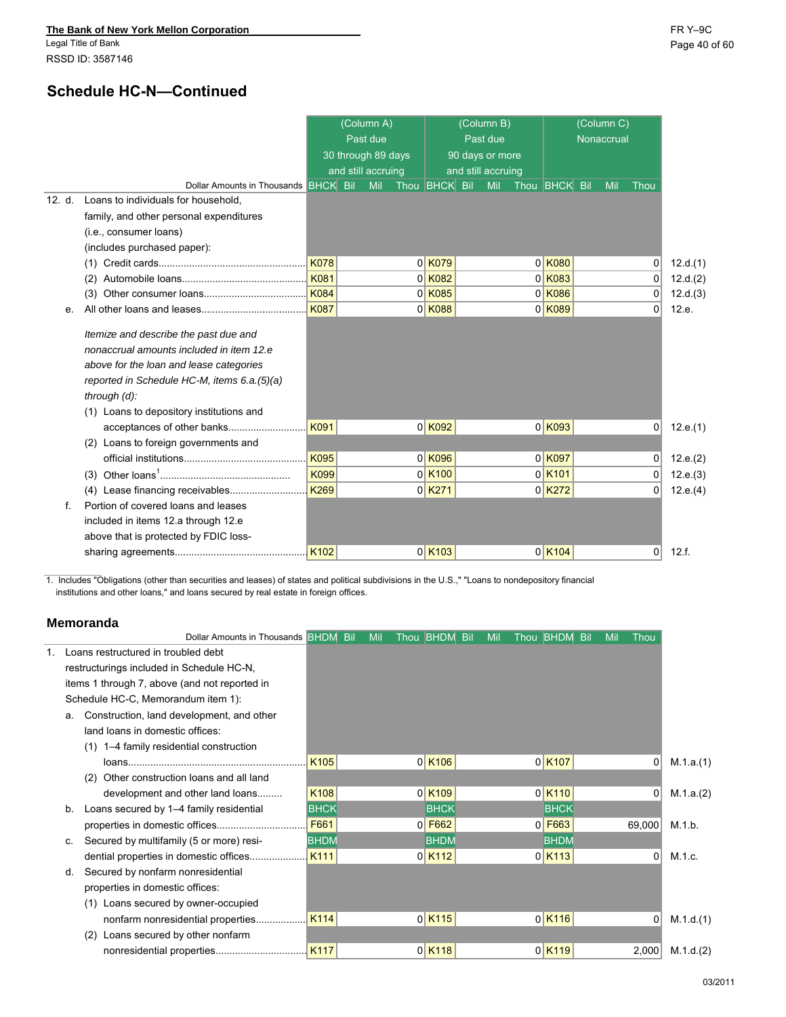## **Schedule HC-N—Continued**

|        |                                                                                                                                                                                                                                            |             | (Column A)         |                      | (Column B)         |                      | (Column C) |          |          |
|--------|--------------------------------------------------------------------------------------------------------------------------------------------------------------------------------------------------------------------------------------------|-------------|--------------------|----------------------|--------------------|----------------------|------------|----------|----------|
|        |                                                                                                                                                                                                                                            |             | Past due           |                      | Past due           |                      | Nonaccrual |          |          |
|        |                                                                                                                                                                                                                                            |             | 30 through 89 days |                      | 90 days or more    |                      |            |          |          |
|        |                                                                                                                                                                                                                                            |             | and still accruing |                      | and still accruing |                      |            |          |          |
|        | Dollar Amounts in Thousands BHCK Bil                                                                                                                                                                                                       |             | Mil                | Thou <b>BHCK</b> Bil | Mil                | Thou <b>BHCK</b> Bil | Mil        | Thou     |          |
| 12. d. | Loans to individuals for household,                                                                                                                                                                                                        |             |                    |                      |                    |                      |            |          |          |
|        | family, and other personal expenditures                                                                                                                                                                                                    |             |                    |                      |                    |                      |            |          |          |
|        | (i.e., consumer loans)                                                                                                                                                                                                                     |             |                    |                      |                    |                      |            |          |          |
|        | (includes purchased paper):                                                                                                                                                                                                                |             |                    |                      |                    |                      |            |          |          |
|        | (1)                                                                                                                                                                                                                                        | <b>K078</b> |                    | $0$ K079             |                    | $0$ K080             |            | 0        | 12.d.(1) |
|        |                                                                                                                                                                                                                                            | K081        |                    | $0$ K082             |                    | $0$ <sup>K083</sup>  |            | 0        | 12.d.(2) |
|        | (3)                                                                                                                                                                                                                                        | <b>K084</b> |                    | $0$ K085             |                    | $0$ K086             |            | $\Omega$ | 12.d.(3) |
| е.     |                                                                                                                                                                                                                                            | <b>K087</b> |                    | $0$ K088             |                    | $0$ K089             |            | 0        | 12.e.    |
|        | Itemize and describe the past due and<br>nonaccrual amounts included in item 12.e<br>above for the loan and lease categories<br>reported in Schedule HC-M, items 6.a.(5)(a)<br>through $(d)$ :<br>(1) Loans to depository institutions and |             |                    |                      |                    |                      |            |          |          |
|        | acceptances of other banks                                                                                                                                                                                                                 | K091        |                    | $0$ K092             |                    | $0$ K093             |            | 0        | 12.e.(1) |
|        | (2) Loans to foreign governments and                                                                                                                                                                                                       |             |                    |                      |                    |                      |            |          |          |
|        |                                                                                                                                                                                                                                            | K095        |                    | $0$ K096             |                    | $0$ K097             |            | 0        | 12.e.(2) |
|        |                                                                                                                                                                                                                                            | K099        |                    | $0$ K <sub>100</sub> |                    | $0$ K <sub>101</sub> |            | 0        | 12.e.(3) |
|        | (4) Lease financing receivables                                                                                                                                                                                                            | K269        |                    | $0$ K <sub>271</sub> |                    | $0$ K <sub>272</sub> |            | 0        | 12.e.(4) |
| f.     | Portion of covered loans and leases<br>included in items 12.a through 12.e<br>above that is protected by FDIC loss-                                                                                                                        |             |                    |                      |                    |                      |            |          |          |
|        |                                                                                                                                                                                                                                            | K102        |                    | $0$ K <sub>103</sub> |                    | $0$ K <sub>104</sub> |            | 0        | 12.f.    |

1. Includes "Obligations (other than securities and leases) of states and political subdivisions in the U.S.," "Loans to nondepository financial institutions and other loans," and loans secured by real estate in foreign offices.

### **Memoranda**

|    | Dollar Amounts in Thousands <b>BHDM</b> Bil   |             | Mil | Thou <b>BHDM</b> Bil | Mil | Thou <b>BHDM</b> Bil |                      | Mil | Thou   |           |
|----|-----------------------------------------------|-------------|-----|----------------------|-----|----------------------|----------------------|-----|--------|-----------|
|    | Loans restructured in troubled debt           |             |     |                      |     |                      |                      |     |        |           |
|    | restructurings included in Schedule HC-N,     |             |     |                      |     |                      |                      |     |        |           |
|    | items 1 through 7, above (and not reported in |             |     |                      |     |                      |                      |     |        |           |
|    | Schedule HC-C, Memorandum item 1):            |             |     |                      |     |                      |                      |     |        |           |
| a. | Construction, land development, and other     |             |     |                      |     |                      |                      |     |        |           |
|    | land loans in domestic offices:               |             |     |                      |     |                      |                      |     |        |           |
|    | (1) 1-4 family residential construction       |             |     |                      |     |                      |                      |     |        |           |
|    |                                               | K105        |     | $0$ K <sub>106</sub> |     |                      | $0$ K <sub>107</sub> |     | 0      | M.1.a.(1) |
|    | Other construction loans and all land<br>(2)  |             |     |                      |     |                      |                      |     |        |           |
|    | development and other land loans              | K108        |     | $0$ K <sub>109</sub> |     |                      | $0$ K <sub>110</sub> |     | 0      | M.1.a.(2) |
| b. | Loans secured by 1-4 family residential       | <b>BHCK</b> |     | <b>BHCK</b>          |     |                      | <b>BHCK</b>          |     |        |           |
|    |                                               | F661        |     | $0$ F662             |     |                      | $0$ F663             |     | 69,000 | M.1.b.    |
| С. | Secured by multifamily (5 or more) resi-      | <b>BHDM</b> |     | <b>BHDM</b>          |     |                      | <b>BHDM</b>          |     |        |           |
|    | dential properties in domestic offices        | K111        |     | $0$ K <sub>112</sub> |     |                      | $0$ K <sub>113</sub> |     | 0      | M.1.c.    |
| d. | Secured by nonfarm nonresidential             |             |     |                      |     |                      |                      |     |        |           |
|    | properties in domestic offices:               |             |     |                      |     |                      |                      |     |        |           |
|    | Loans secured by owner-occupied<br>(1)        |             |     |                      |     |                      |                      |     |        |           |
|    | nonfarm nonresidential properties             | K114        |     | $0$ K <sub>115</sub> |     |                      | $0$ K <sub>116</sub> |     | 0      | M.1.d.(1) |
|    | Loans secured by other nonfarm<br>(2)         |             |     |                      |     |                      |                      |     |        |           |
|    | nonresidential properties                     | K117        |     | $0$ K <sub>118</sub> |     |                      | $0$ K <sub>119</sub> |     | 2,000  | M.1.d.(2) |
|    |                                               |             |     |                      |     |                      |                      |     |        |           |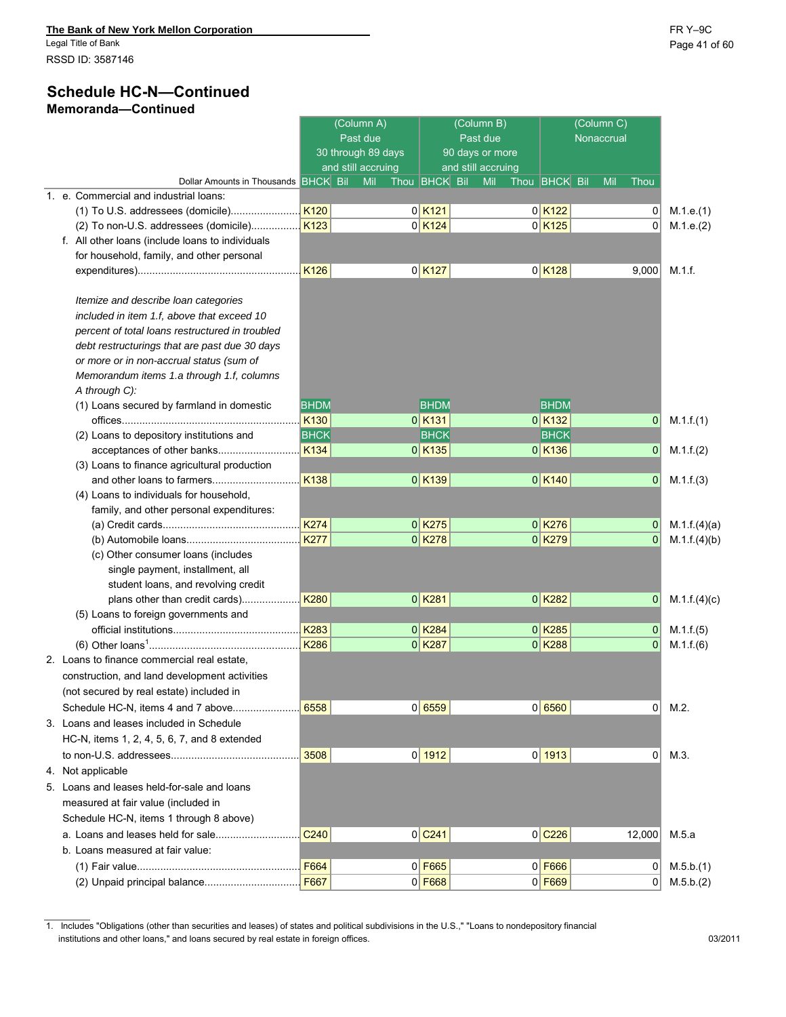### **Schedule HC-N—Continued Memoranda—Continued**

|                                                  |                  | (Column A)<br>Past due<br>30 through 89 days<br>and still accruing |                      | (Column B)<br>Past due<br>90 days or more<br>and still accruing |                      | (Column C)<br>Nonaccrual |              |              |
|--------------------------------------------------|------------------|--------------------------------------------------------------------|----------------------|-----------------------------------------------------------------|----------------------|--------------------------|--------------|--------------|
| Dollar Amounts in Thousands BHCK Bil             |                  | Mil                                                                | Thou BHCK Bil        | Mil                                                             | Thou <b>BHCK</b> Bil | Mil                      | Thou         |              |
| 1. e. Commercial and industrial loans:           |                  |                                                                    |                      |                                                                 |                      |                          |              |              |
|                                                  |                  |                                                                    | $0$ K <sub>121</sub> |                                                                 | $0$ K <sub>122</sub> |                          | 0            | M.1.e.(1)    |
| (2) To non-U.S. addressees (domicile)            | K123             |                                                                    | $0$ K <sub>124</sub> |                                                                 | $0$ K <sub>125</sub> |                          | $\Omega$     | M.1.e.(2)    |
| f. All other loans (include loans to individuals |                  |                                                                    |                      |                                                                 |                      |                          |              |              |
| for household, family, and other personal        |                  |                                                                    |                      |                                                                 |                      |                          |              |              |
|                                                  |                  |                                                                    | $0$ K <sub>127</sub> |                                                                 | $0$ K <sub>128</sub> |                          | 9,000        | M.1.f.       |
| Itemize and describe loan categories             |                  |                                                                    |                      |                                                                 |                      |                          |              |              |
| included in item 1.f, above that exceed 10       |                  |                                                                    |                      |                                                                 |                      |                          |              |              |
| percent of total loans restructured in troubled  |                  |                                                                    |                      |                                                                 |                      |                          |              |              |
| debt restructurings that are past due 30 days    |                  |                                                                    |                      |                                                                 |                      |                          |              |              |
| or more or in non-accrual status (sum of         |                  |                                                                    |                      |                                                                 |                      |                          |              |              |
| Memorandum items 1.a through 1.f, columns        |                  |                                                                    |                      |                                                                 |                      |                          |              |              |
| A through C):                                    |                  |                                                                    |                      |                                                                 |                      |                          |              |              |
| (1) Loans secured by farmland in domestic        | <b>BHDM</b>      |                                                                    | <b>BHDM</b>          |                                                                 | <b>BHDM</b>          |                          |              |              |
|                                                  | K130             |                                                                    | $0$ K <sub>131</sub> |                                                                 | $0$ K <sub>132</sub> |                          | 0            | M.1.f.(1)    |
| (2) Loans to depository institutions and         | <b>BHCK</b>      |                                                                    | <b>BHCK</b>          |                                                                 | <b>BHCK</b>          |                          |              |              |
|                                                  | K <sub>134</sub> |                                                                    | $0$ K <sub>135</sub> |                                                                 | $0$ K <sub>136</sub> |                          | $\mathbf{0}$ | M.1.f.(2)    |
| (3) Loans to finance agricultural production     |                  |                                                                    |                      |                                                                 |                      |                          |              |              |
|                                                  | <b>K138</b>      |                                                                    | $0$ K <sub>139</sub> |                                                                 | $0$ K <sub>140</sub> |                          | $\mathbf 0$  | M.1.f.(3)    |
| (4) Loans to individuals for household,          |                  |                                                                    |                      |                                                                 |                      |                          |              |              |
| family, and other personal expenditures:         |                  |                                                                    |                      |                                                                 |                      |                          |              |              |
|                                                  | <b>K274</b>      |                                                                    | $0$ K <sub>275</sub> |                                                                 | $0$ K <sub>276</sub> |                          | 0            | M.1.f.(4)(a) |
|                                                  | <b>K277</b>      |                                                                    | $0$ K <sub>278</sub> |                                                                 | $0$ K <sub>279</sub> |                          | $\Omega$     | M.1.f.(4)(b) |
| (c) Other consumer loans (includes               |                  |                                                                    |                      |                                                                 |                      |                          |              |              |
| single payment, installment, all                 |                  |                                                                    |                      |                                                                 |                      |                          |              |              |
| student loans, and revolving credit              |                  |                                                                    |                      |                                                                 |                      |                          |              |              |
| plans other than credit cards)                   | <b>K280</b>      |                                                                    | $0$ K <sub>281</sub> |                                                                 | $0$ K <sub>282</sub> |                          | $\mathbf 0$  | M.1.f.(4)(c) |
| (5) Loans to foreign governments and             |                  |                                                                    |                      |                                                                 |                      |                          |              |              |
|                                                  | K283             |                                                                    | $0$ K <sub>284</sub> |                                                                 | $0$ K <sub>285</sub> |                          | $\mathbf 0$  | M.1.f.(5)    |
|                                                  | K286             |                                                                    | $0$ K <sub>287</sub> |                                                                 | $0$ K <sub>288</sub> |                          | $\mathbf{0}$ | M.1.f(6)     |
| 2. Loans to finance commercial real estate,      |                  |                                                                    |                      |                                                                 |                      |                          |              |              |
| construction, and land development activities    |                  |                                                                    |                      |                                                                 |                      |                          |              |              |
| (not secured by real estate) included in         |                  |                                                                    |                      |                                                                 |                      |                          |              |              |
| Schedule HC-N, items 4 and 7 above               | 6558             |                                                                    | 0 6559               |                                                                 | 0 6560               |                          | 0            | M.2.         |
| 3. Loans and leases included in Schedule         |                  |                                                                    |                      |                                                                 |                      |                          |              |              |
| HC-N, items 1, 2, 4, 5, 6, 7, and 8 extended     |                  |                                                                    |                      |                                                                 |                      |                          |              |              |
|                                                  | 3508             |                                                                    | 0 1912               |                                                                 | 0 1913               |                          | 0            | M.3.         |
| 4. Not applicable                                |                  |                                                                    |                      |                                                                 |                      |                          |              |              |
| 5. Loans and leases held-for-sale and loans      |                  |                                                                    |                      |                                                                 |                      |                          |              |              |
| measured at fair value (included in              |                  |                                                                    |                      |                                                                 |                      |                          |              |              |
| Schedule HC-N, items 1 through 8 above)          |                  |                                                                    |                      |                                                                 |                      |                          |              |              |
|                                                  | C <sub>240</sub> |                                                                    | $0$ C <sub>241</sub> |                                                                 |                      |                          |              | M.5.a        |
|                                                  |                  |                                                                    |                      |                                                                 | $0$ $C226$           |                          | 12,000       |              |
| b. Loans measured at fair value:                 |                  |                                                                    |                      |                                                                 |                      |                          |              |              |
|                                                  | F664             |                                                                    | $0$ F665             |                                                                 | $0$ F666             |                          | 0            | M.5.b.(1)    |
| (2) Unpaid principal balance                     | F667             |                                                                    | $0$ F668             |                                                                 | $0$ F669             |                          | $\mathbf{0}$ | M.5.b.(2)    |

<sup>1.</sup> Includes "Obligations (other than securities and leases) of states and political subdivisions in the U.S.," "Loans to nondepository financial institutions and other loans," and loans secured by real estate in foreign offices. 03/2011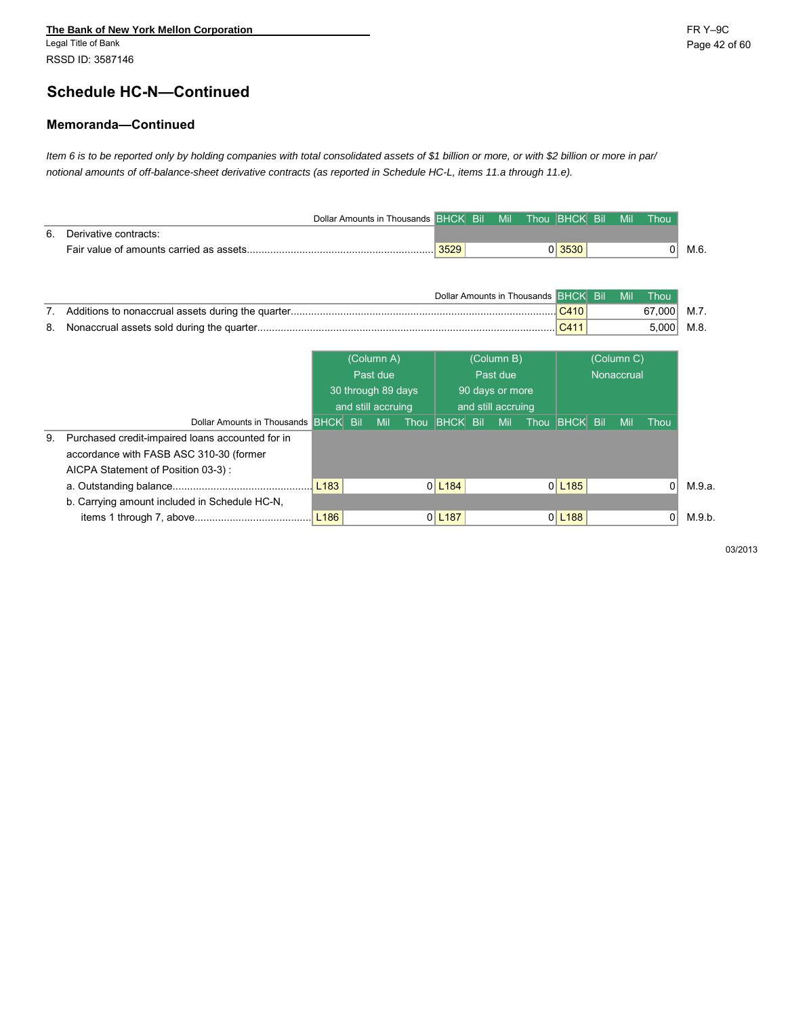# **Schedule HC-N—Continued**

#### **Memoranda—Continued**

*Item 6 is to be reported only by holding companies with total consolidated assets of \$1 billion or more, or with \$2 billion or more in par/ notional amounts of off-balance-sheet derivative contracts (as reported in Schedule HC-L, items 11.a through 11.e).*

|    |                                                  |                  | Dollar Amounts in Thousands BHCK Bil |                          | Mil                |                                      | Thou <b>BHCK</b> Bil   | Mil        | Thou   |
|----|--------------------------------------------------|------------------|--------------------------------------|--------------------------|--------------------|--------------------------------------|------------------------|------------|--------|
| 6. | Derivative contracts:                            |                  |                                      |                          |                    |                                      |                        |            |        |
|    |                                                  |                  |                                      | 3529                     |                    |                                      | 0 3530                 |            | 0      |
|    |                                                  |                  |                                      |                          |                    |                                      |                        |            |        |
|    |                                                  |                  |                                      |                          |                    |                                      |                        |            |        |
|    |                                                  |                  |                                      |                          |                    | Dollar Amounts in Thousands BHCK Bil |                        | Mil        | Thou   |
| 7. |                                                  |                  |                                      |                          |                    |                                      | C410                   |            | 67,000 |
| 8. |                                                  |                  |                                      |                          |                    |                                      | C411                   |            | 5,000  |
|    |                                                  |                  |                                      |                          |                    |                                      |                        |            |        |
|    |                                                  |                  | (Column A)                           |                          | (Column B)         |                                      |                        | (Column C) |        |
|    |                                                  |                  | Past due                             |                          | Past due           |                                      |                        | Nonaccrual |        |
|    |                                                  |                  | 30 through 89 days                   |                          | 90 days or more    |                                      |                        |            |        |
|    |                                                  |                  | and still accruing                   |                          | and still accruing |                                      |                        |            |        |
|    | Dollar Amounts in Thousands BHCK Bil             |                  | <b>Mil</b>                           | Thou <b>BHCK</b> Bil Mil |                    |                                      | Thou <b>BHCK</b> Bil   | Mil        | Thou   |
| 9. | Purchased credit-impaired loans accounted for in |                  |                                      |                          |                    |                                      |                        |            |        |
|    | accordance with FASB ASC 310-30 (former          |                  |                                      |                          |                    |                                      |                        |            |        |
|    | AICPA Statement of Position 03-3):               |                  |                                      |                          |                    |                                      |                        |            |        |
|    |                                                  | L <sub>183</sub> |                                      | $0$ L <sub>184</sub>     |                    |                                      | $0$   L <sub>185</sub> |            |        |
|    | b. Carrying amount included in Schedule HC-N,    |                  |                                      |                          |                    |                                      |                        |            |        |
|    |                                                  | L <sub>186</sub> |                                      | $0$ L <sub>187</sub>     |                    |                                      | $0$   L <sub>188</sub> |            | 01     |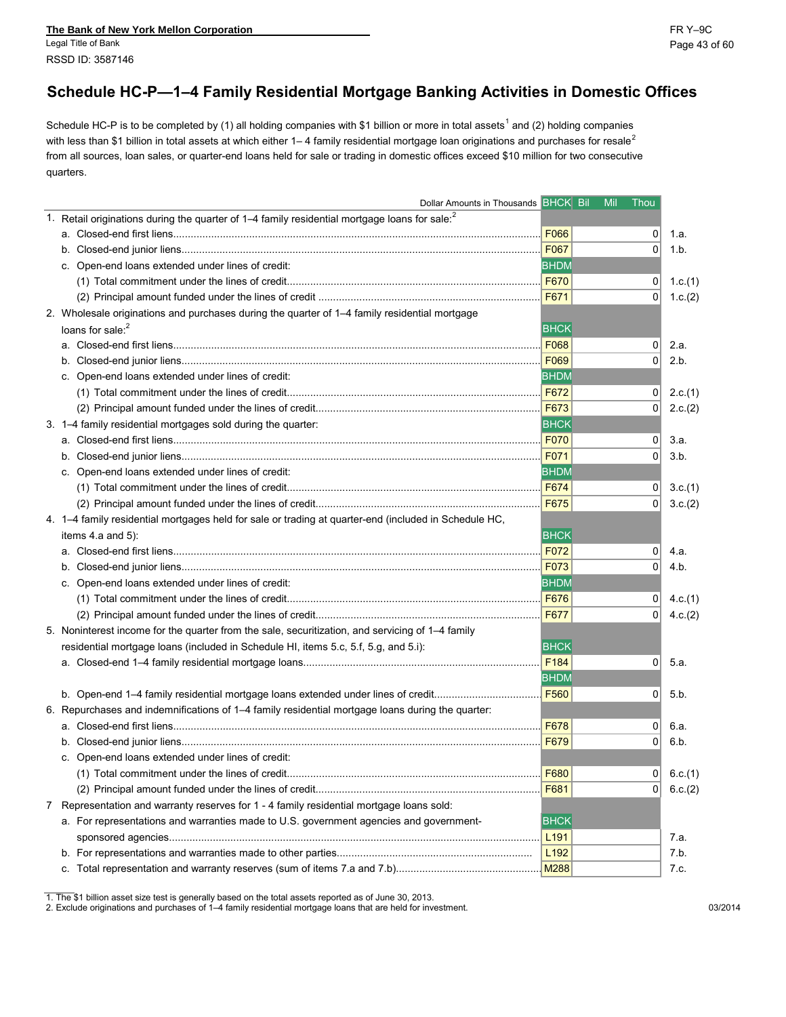**The Bank of New York Mellon Corporation** FR Y–9C Legal Title of Bank Page 43 of 60 RSSD ID: 3587146

## **Schedule HC-P—1–4 Family Residential Mortgage Banking Activities in Domestic Offices**

Schedule HC-P is to be completed by (1) all holding companies with \$1 billion or more in total assets<sup>1</sup> and (2) holding companies with less than \$1 billion in total assets at which either  $1-4$  family residential mortgage loan originations and purchases for resale<sup>2</sup> from all sources, loan sales, or quarter-end loans held for sale or trading in domestic offices exceed \$10 million for two consecutive quarters.

|                                                                                     | Dollar Amounts in Thousands BHCK Bil                                                                      | Mil              | Thou           |
|-------------------------------------------------------------------------------------|-----------------------------------------------------------------------------------------------------------|------------------|----------------|
|                                                                                     | 1. Retail originations during the quarter of 1-4 family residential mortgage loans for sale: <sup>2</sup> |                  |                |
|                                                                                     |                                                                                                           | <b>F066</b>      | 0              |
|                                                                                     |                                                                                                           | F067             | 0              |
| c. Open-end loans extended under lines of credit:                                   |                                                                                                           | <b>BHDM</b>      |                |
|                                                                                     |                                                                                                           | F670             | 0              |
|                                                                                     |                                                                                                           | F671             | 0              |
|                                                                                     | 2. Wholesale originations and purchases during the quarter of 1-4 family residential mortgage             |                  |                |
| loans for sale: <sup>2</sup>                                                        |                                                                                                           | <b>BHCK</b>      |                |
|                                                                                     |                                                                                                           | F068             | 0              |
|                                                                                     |                                                                                                           | F069             | $\Omega$       |
| c. Open-end loans extended under lines of credit:                                   |                                                                                                           | <b>BHDM</b>      |                |
|                                                                                     |                                                                                                           | F672             | 0              |
|                                                                                     |                                                                                                           | F673             | 0              |
| 3. 1-4 family residential mortgages sold during the quarter:                        |                                                                                                           | <b>BHCK</b>      |                |
|                                                                                     |                                                                                                           | F070             | 0              |
| b.                                                                                  |                                                                                                           | F071             | 0              |
| c. Open-end loans extended under lines of credit:                                   |                                                                                                           | <b>BHDM</b>      |                |
|                                                                                     |                                                                                                           |                  | 0              |
|                                                                                     |                                                                                                           | F675             | 0 <sup>1</sup> |
|                                                                                     | 4. 1-4 family residential mortgages held for sale or trading at quarter-end (included in Schedule HC,     |                  |                |
| items 4.a and 5):                                                                   |                                                                                                           | <b>BHCK</b>      |                |
| а.                                                                                  |                                                                                                           | F072             | 0              |
|                                                                                     |                                                                                                           | F073             | 0              |
| c. Open-end loans extended under lines of credit:                                   |                                                                                                           | <b>BHDM</b>      |                |
|                                                                                     |                                                                                                           |                  | 01             |
|                                                                                     |                                                                                                           | F677             | $\Omega$       |
|                                                                                     | 5. Noninterest income for the quarter from the sale, securitization, and servicing of 1–4 family          |                  |                |
| residential mortgage loans (included in Schedule HI, items 5.c, 5.f, 5.g, and 5.i): |                                                                                                           | <b>BHCK</b>      |                |
|                                                                                     |                                                                                                           | F <sub>184</sub> | 0              |
|                                                                                     |                                                                                                           | <b>BHDM</b>      |                |
|                                                                                     | b. Open-end 1-4 family residential mortgage loans extended under lines of credit                          | F <sub>560</sub> | 0              |
|                                                                                     | 6. Repurchases and indemnifications of 1–4 family residential mortgage loans during the quarter:          |                  |                |
|                                                                                     |                                                                                                           | F678             | 01             |
|                                                                                     |                                                                                                           | F679             | 0              |
| c. Open-end loans extended under lines of credit:                                   |                                                                                                           |                  |                |
|                                                                                     |                                                                                                           |                  | 0  6.c.(1)     |
|                                                                                     |                                                                                                           | F681             | 0              |
|                                                                                     | 7 Representation and warranty reserves for 1 - 4 family residential mortgage loans sold:                  |                  |                |
|                                                                                     | a. For representations and warranties made to U.S. government agencies and government-                    | <b>BHCK</b>      |                |
|                                                                                     |                                                                                                           | L <sub>191</sub> |                |
|                                                                                     |                                                                                                           | L <sub>192</sub> |                |
|                                                                                     |                                                                                                           |                  |                |

<sup>1.</sup> The \$1 billion asset size test is generally based on the total assets reported as of June 30, 2013.

<sup>2.</sup> Exclude originations and purchases of 1–4 family residential mortgage loans that are held for investment. 03/2014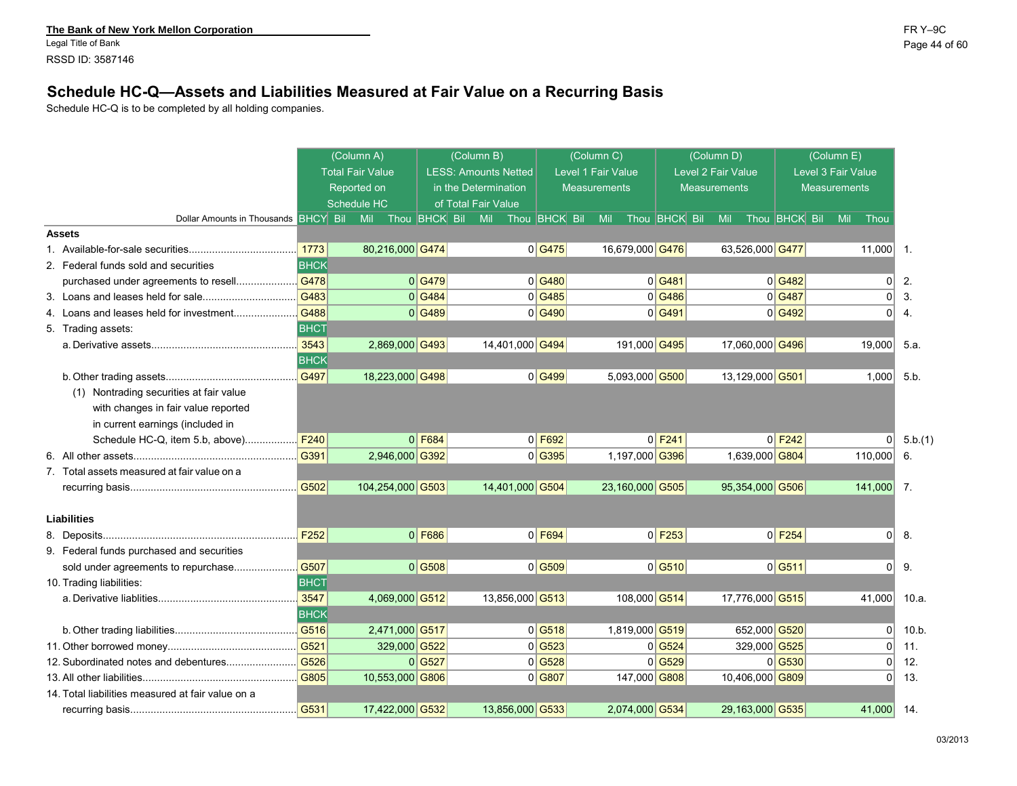Legal Title of Bank Page 44 of 60 RSSD ID: 3587146

### **Schedule HC-Q—Assets and Liabilities Measured at Fair Value on a Recurring Basis**

Schedule HC-Q is to be completed by all holding companies.

|                                                   |                  | (Column A)              |                      | (Column B)                  |                                  | (Column C)          |                    |                      | (Column D)          |                 |                      | (Column E)          |                |                  |
|---------------------------------------------------|------------------|-------------------------|----------------------|-----------------------------|----------------------------------|---------------------|--------------------|----------------------|---------------------|-----------------|----------------------|---------------------|----------------|------------------|
|                                                   |                  | <b>Total Fair Value</b> |                      | <b>LESS: Amounts Netted</b> |                                  |                     | Level 1 Fair Value |                      | Level 2 Fair Value  |                 |                      | Level 3 Fair Value  |                |                  |
|                                                   |                  | Reported on             |                      | in the Determination        |                                  | <b>Measurements</b> |                    |                      | <b>Measurements</b> |                 |                      | <b>Measurements</b> |                |                  |
|                                                   |                  | Schedule HC             |                      | of Total Fair Value         |                                  |                     |                    |                      |                     |                 |                      |                     |                |                  |
| Dollar Amounts in Thousands BHCY Bil              |                  | Mil                     | Thou <b>BHCK</b> Bil | Thou <b>BHCK</b> Bil<br>Mil |                                  |                     | Mil                | Thou <b>BHCK</b> Bil | Mil                 |                 | Thou <b>BHCK</b> Bil | Mil                 | Thou           |                  |
| <b>Assets</b>                                     |                  |                         |                      |                             |                                  |                     |                    |                      |                     |                 |                      |                     |                |                  |
|                                                   | 1773             | 80,216,000 G474         |                      |                             | 0 G475                           |                     | 16,679,000 G476    |                      |                     | 63,526,000 G477 |                      |                     | 11,000         | $\overline{1}$ . |
| 2. Federal funds sold and securities              | ВНСК             |                         |                      |                             |                                  |                     |                    |                      |                     |                 |                      |                     |                |                  |
| purchased under agreements to resell              | G478             |                         | 0 G479               |                             | 0 G480                           |                     |                    | $0$ G481             |                     |                 | $0$ G482             |                     | $\Omega$       | 2.               |
|                                                   | G483             |                         | 0 G484               |                             | 0 G485                           |                     |                    | $0$ G486             |                     |                 | 0 G487               |                     | 0              | 3.               |
| 4. Loans and leases held for investment           | G488             |                         | 0 G489               |                             | 0 G490                           |                     |                    | $0$ G491             |                     |                 | 0 G492               |                     | $\overline{0}$ | 4.               |
| 5. Trading assets:                                | <b>BHCT</b>      |                         |                      |                             |                                  |                     |                    |                      |                     |                 |                      |                     |                |                  |
|                                                   | 3543             | 2,869,000 G493          |                      | 14,401,000 G494             |                                  |                     | 191,000 G495       |                      |                     | 17,060,000 G496 |                      |                     | 19,000         | 5.a.             |
|                                                   | <b>BHCK</b>      |                         |                      |                             |                                  |                     |                    |                      |                     |                 |                      |                     |                |                  |
|                                                   | G497             | 18,223,000 G498         |                      |                             | 0 G499                           |                     | 5,093,000 G500     |                      |                     | 13,129,000 G501 |                      |                     | 1,000          | 5.b              |
| (1) Nontrading securities at fair value           |                  |                         |                      |                             |                                  |                     |                    |                      |                     |                 |                      |                     |                |                  |
| with changes in fair value reported               |                  |                         |                      |                             |                                  |                     |                    |                      |                     |                 |                      |                     |                |                  |
| in current earnings (included in                  |                  |                         |                      |                             |                                  |                     |                    |                      |                     |                 |                      |                     |                |                  |
| Schedule HC-Q, item 5.b, above)                   | F240             |                         | $0$ F684             |                             | $0$ F692                         |                     |                    | $0$ F <sub>241</sub> |                     |                 | $0$ F <sub>242</sub> |                     | $\Omega$       | 5.b.(1)          |
| 6.                                                | G391             | 2,946,000 G392          |                      |                             | 0 G395                           |                     | 1,197,000 G396     |                      |                     | 1,639,000 G804  |                      |                     | 110,000        | 6.               |
| 7. Total assets measured at fair value on a       |                  |                         |                      |                             |                                  |                     |                    |                      |                     |                 |                      |                     |                |                  |
|                                                   | G502             | 104,254,000 G503        |                      | 14,401,000 G504             |                                  |                     | 23,160,000 G505    |                      |                     | 95,354,000 G506 |                      |                     | 141,000        | $\overline{7}$ . |
|                                                   |                  |                         |                      |                             |                                  |                     |                    |                      |                     |                 |                      |                     |                |                  |
| <b>Liabilities</b>                                |                  |                         |                      |                             |                                  |                     |                    |                      |                     |                 |                      |                     |                |                  |
|                                                   | F <sub>252</sub> |                         | $0$ F686             |                             | $0$ F694                         |                     |                    | $0$ F <sub>253</sub> |                     |                 | $0$ F <sub>254</sub> |                     | $\Omega$       | 8.               |
| 9. Federal funds purchased and securities         |                  |                         |                      |                             |                                  |                     |                    |                      |                     |                 |                      |                     |                |                  |
|                                                   |                  |                         | 0 G508               |                             | 0 G509                           |                     |                    | 0 G510               |                     |                 | $0$ G511             |                     | $\Omega$       | 9.               |
| 10. Trading liabilities:                          | <b>BHCT</b>      |                         |                      |                             |                                  |                     |                    |                      |                     |                 |                      |                     |                |                  |
|                                                   | 3547             | 4,069,000 G512          |                      | 13,856,000 G513             |                                  |                     | 108,000 G514       |                      |                     | 17,776,000 G515 |                      |                     | 41,000         | 10.a.            |
|                                                   | <b>BHCK</b>      |                         |                      |                             |                                  |                     |                    |                      |                     |                 |                      |                     |                |                  |
|                                                   | G516             | 2,471,000 G517          |                      |                             | 0 G518                           |                     | 1,819,000 G519     |                      |                     | 652,000 G520    |                      |                     | $\Omega$       | $10 b$ .         |
|                                                   | G521             | 329,000 G522            |                      |                             | 0 G523                           |                     |                    | $0$ G524             |                     | 329,000 G525    |                      |                     | $\Omega$       | 11.              |
| 12. Subordinated notes and debentures             | G526             |                         | 0 G527               |                             | $0$ <sup><math>G528</math></sup> |                     |                    | $0$ <sup>G529</sup>  |                     |                 | $0$ <sup>G530</sup>  |                     | $\Omega$       | 12.              |
|                                                   | G805             | 10,553,000 G806         |                      |                             | $0$ G807                         |                     | 147,000 G808       |                      |                     | 10,406,000 G809 |                      |                     | $\Omega$       | 13.              |
| 14. Total liabilities measured at fair value on a |                  |                         |                      |                             |                                  |                     |                    |                      |                     |                 |                      |                     |                |                  |
|                                                   | G531             | 17,422,000 G532         |                      | 13,856,000 G533             |                                  |                     | 2,074,000 G534     |                      |                     | 29,163,000 G535 |                      |                     | 41,000         | 14.              |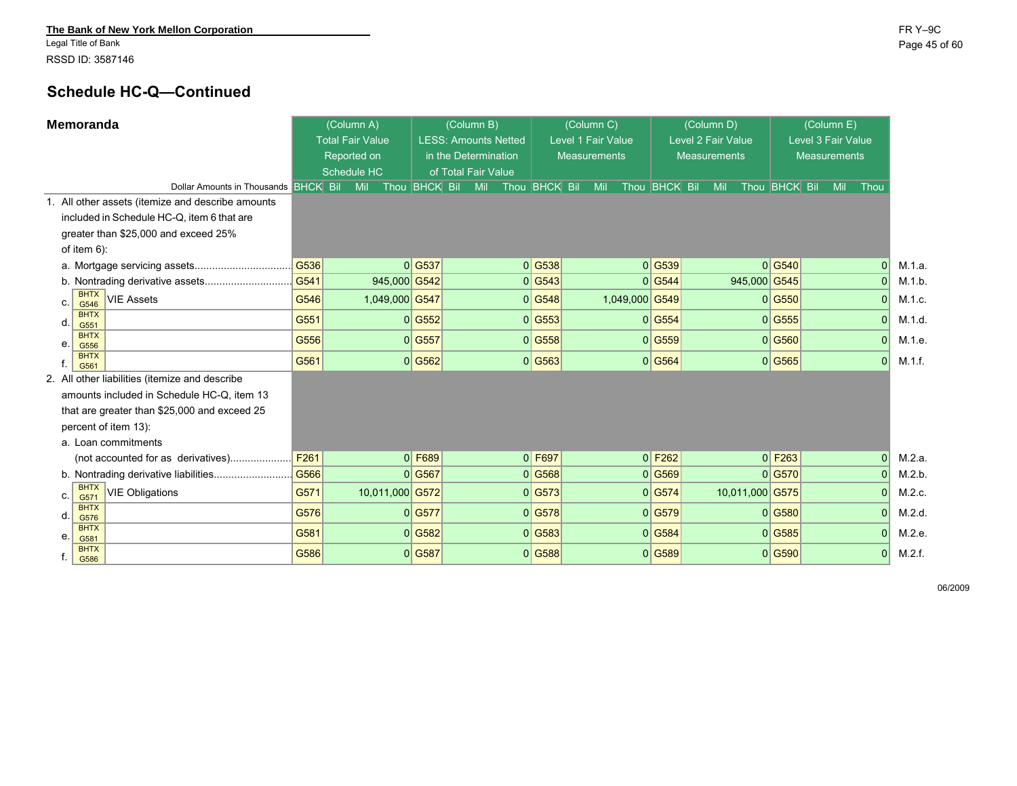Legal Title of Bank Page 45 of 60 RSSD ID: 3587146

# **Schedule HC-Q—Continued**

|    | Memoranda                 |                                                   |      | (Column A)              |                 |                          | (Column B)                  |                      | (Column C)          |                |                      | (Column D)          |                 |                      | (Column E)          |                    |                          |
|----|---------------------------|---------------------------------------------------|------|-------------------------|-----------------|--------------------------|-----------------------------|----------------------|---------------------|----------------|----------------------|---------------------|-----------------|----------------------|---------------------|--------------------|--------------------------|
|    |                           |                                                   |      | <b>Total Fair Value</b> |                 |                          | <b>LESS: Amounts Netted</b> |                      | Level 1 Fair Value  |                |                      | Level 2 Fair Value  |                 |                      |                     | Level 3 Fair Value |                          |
|    |                           |                                                   |      | Reported on             |                 |                          | in the Determination        |                      | <b>Measurements</b> |                |                      | <b>Measurements</b> |                 |                      | <b>Measurements</b> |                    |                          |
|    |                           |                                                   |      | Schedule HC             |                 |                          | of Total Fair Value         |                      |                     |                |                      |                     |                 |                      |                     |                    |                          |
|    |                           | Dollar Amounts in Thousands BHCK Bil              |      | Mil                     |                 | Thou <b>BHCK</b> Bil Mil |                             | Thou <b>BHCK</b> Bil | Mil                 |                | Thou <b>BHCK</b> Bil | Mil                 |                 | Thou <b>BHCK</b> Bil |                     | Mil<br>Thou        |                          |
|    |                           | 1. All other assets (itemize and describe amounts |      |                         |                 |                          |                             |                      |                     |                |                      |                     |                 |                      |                     |                    |                          |
|    |                           | included in Schedule HC-Q, item 6 that are        |      |                         |                 |                          |                             |                      |                     |                |                      |                     |                 |                      |                     |                    |                          |
|    |                           | greater than \$25,000 and exceed 25%              |      |                         |                 |                          |                             |                      |                     |                |                      |                     |                 |                      |                     |                    |                          |
|    | of item $6$ ):            |                                                   |      |                         |                 |                          |                             |                      |                     |                |                      |                     |                 |                      |                     |                    |                          |
|    |                           |                                                   | G536 |                         |                 | 0 G537                   |                             | 0 G538               |                     |                | $0$ G539             |                     |                 | 0 G540               |                     |                    | $\overline{0}$<br>M.1.a. |
|    |                           |                                                   | G541 |                         | 945,000 G542    |                          |                             | 0 G543               |                     |                | $0$ G <sub>544</sub> |                     | 945,000 G545    |                      |                     | $\Omega$           | M.1.b                    |
|    | <b>BHTX</b><br>C.<br>G546 | <b>VIE Assets</b>                                 | G546 |                         | 1,049,000 G547  |                          |                             | 0 G548               |                     | 1,049,000 G549 |                      |                     |                 | $0$ G550             |                     |                    | $\Omega$<br>M.1.c.       |
|    | <b>BHTX</b><br>d.<br>G551 |                                                   | G551 |                         |                 | 0 G552                   |                             | 0 G553               |                     |                | $0$ G554             |                     |                 | $0$ G555             |                     |                    | 0 <br>M.1.d              |
|    | <b>BHTX</b><br>е.<br>G556 |                                                   | G556 |                         |                 | 0 G557                   |                             | 0 G558               |                     |                | 0 G559               |                     |                 | 0 G560               |                     |                    | $\mathbf 0$<br>M.1.e.    |
|    | <b>BHTX</b><br>G561       |                                                   | G561 |                         |                 | 0 G562                   |                             | 0 G563               |                     |                | 0 G564               |                     |                 | 0 G565               |                     |                    | 0 <br>M.1.f.             |
| 2. |                           | All other liabilities (itemize and describe       |      |                         |                 |                          |                             |                      |                     |                |                      |                     |                 |                      |                     |                    |                          |
|    |                           | amounts included in Schedule HC-Q, item 13        |      |                         |                 |                          |                             |                      |                     |                |                      |                     |                 |                      |                     |                    |                          |
|    |                           | that are greater than \$25,000 and exceed 25      |      |                         |                 |                          |                             |                      |                     |                |                      |                     |                 |                      |                     |                    |                          |
|    | percent of item 13):      |                                                   |      |                         |                 |                          |                             |                      |                     |                |                      |                     |                 |                      |                     |                    |                          |
|    |                           | a. Loan commitments                               |      |                         |                 |                          |                             |                      |                     |                |                      |                     |                 |                      |                     |                    |                          |
|    |                           | (not accounted for as derivatives)                | F261 |                         |                 | $0$ F689                 |                             | $0$ F697             |                     |                | $0$ F <sub>262</sub> |                     |                 | $0$ F <sub>263</sub> |                     |                    | $\Omega$<br>M.2.a.       |
|    |                           |                                                   | G566 |                         |                 | 0 G567                   |                             | 0 G568               |                     |                | 0 G569               |                     |                 | 0 G570               |                     | $\Omega$           | M.2.b.                   |
|    | <b>BHTX</b><br>C.<br>G571 | <b>VIE Obligations</b>                            | G571 |                         | 10,011,000 G572 |                          |                             | 0 G573               |                     |                | 0 G574               |                     | 10,011,000 G575 |                      |                     |                    | $\overline{0}$<br>M.2.c. |
|    | <b>BHTX</b><br>d.<br>G576 |                                                   | G576 |                         |                 | 0 G577                   |                             | 0 G578               |                     |                | 0 G579               |                     |                 | 0 G580               |                     |                    | $\Omega$<br>M.2.d.       |
|    | <b>BHTX</b><br>е.<br>G581 |                                                   | G581 |                         |                 | 0 G582                   |                             | 0 G583               |                     |                | $0$ G584             |                     |                 | 0 G585               |                     |                    | 0 <br>M.2.e.             |
|    | <b>BHTX</b><br>t.<br>G586 |                                                   | G586 |                         |                 | 0 G587                   |                             | 0 G588               |                     |                | 0 G589               |                     |                 | 0 G590               |                     |                    | 0 <br>M.2.f.             |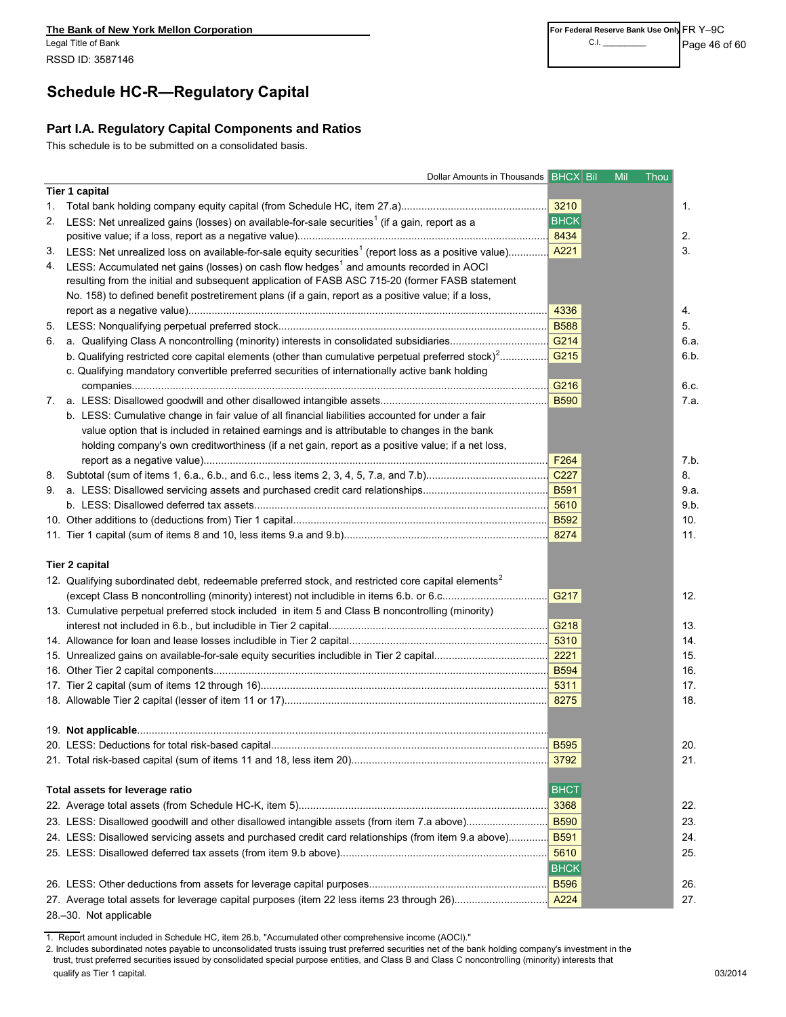# **Schedule HC-R—Regulatory Capital**

#### **Part I.A. Regulatory Capital Components and Ratios**

This schedule is to be submitted on a consolidated basis.

|    | Dollar Amounts in Thousands BHCX Bil                                                                                                                                                                             | Mil<br>Thou      |      |
|----|------------------------------------------------------------------------------------------------------------------------------------------------------------------------------------------------------------------|------------------|------|
|    | Tier 1 capital                                                                                                                                                                                                   |                  |      |
|    |                                                                                                                                                                                                                  |                  | 1.   |
|    | 2. LESS: Net unrealized gains (losses) on available-for-sale securities <sup>1</sup> (if a gain, report as a                                                                                                     | <b>BHCK</b>      |      |
|    |                                                                                                                                                                                                                  | 8434             |      |
|    | 3. LESS: Net unrealized loss on available-for-sale equity securities <sup>1</sup> (report loss as a positive value) <mark>A221</mark>                                                                            |                  | 2.   |
|    | 4. LESS: Accumulated net gains (losses) on cash flow hedges <sup>1</sup> and amounts recorded in AOCI                                                                                                            |                  | 3.   |
|    | resulting from the initial and subsequent application of FASB ASC 715-20 (former FASB statement                                                                                                                  |                  |      |
|    | No. 158) to defined benefit postretirement plans (if a gain, report as a positive value; if a loss,                                                                                                              |                  |      |
|    |                                                                                                                                                                                                                  | 4336             | 4.   |
| 5. |                                                                                                                                                                                                                  | <b>B588</b>      | 5.   |
| 6. |                                                                                                                                                                                                                  | G214             | 6.a. |
|    | b. Qualifying restricted core capital elements (other than cumulative perpetual preferred stock) <sup>2</sup><br>c. Qualifying mandatory convertible preferred securities of internationally active bank holding | G <sub>215</sub> | 6.b. |
|    |                                                                                                                                                                                                                  | G <sub>216</sub> | 6.c. |
|    |                                                                                                                                                                                                                  | <b>B590</b>      | 7.a. |
|    | b. LESS: Cumulative change in fair value of all financial liabilities accounted for under a fair                                                                                                                 |                  |      |
|    | value option that is included in retained earnings and is attributable to changes in the bank                                                                                                                    |                  |      |
|    | holding company's own creditworthiness (if a net gain, report as a positive value; if a net loss,                                                                                                                |                  |      |
|    |                                                                                                                                                                                                                  | F264             | 7.b. |
|    |                                                                                                                                                                                                                  |                  | 8.   |
|    |                                                                                                                                                                                                                  | <b>B591</b>      | 9.a. |
|    |                                                                                                                                                                                                                  | 5610             | 9.b. |
|    |                                                                                                                                                                                                                  |                  | 10.  |
|    |                                                                                                                                                                                                                  | 8274             | 11.  |
|    |                                                                                                                                                                                                                  |                  |      |
|    | <b>Tier 2 capital</b>                                                                                                                                                                                            |                  |      |
|    | 12. Qualifying subordinated debt, redeemable preferred stock, and restricted core capital elements <sup>2</sup>                                                                                                  |                  |      |
|    |                                                                                                                                                                                                                  | G217             | 12.  |
|    | 13. Cumulative perpetual preferred stock included in item 5 and Class B noncontrolling (minority)                                                                                                                |                  |      |
|    |                                                                                                                                                                                                                  | G218             | 13.  |
|    |                                                                                                                                                                                                                  | 5310             | 14.  |
|    |                                                                                                                                                                                                                  | 2221             | 15.  |
|    |                                                                                                                                                                                                                  | <b>B594</b>      | 16.  |
|    |                                                                                                                                                                                                                  |                  | 17.  |
|    |                                                                                                                                                                                                                  |                  | 18.  |
|    |                                                                                                                                                                                                                  |                  |      |
|    |                                                                                                                                                                                                                  |                  |      |
|    |                                                                                                                                                                                                                  |                  | 20.  |
|    |                                                                                                                                                                                                                  |                  | 21.  |
|    |                                                                                                                                                                                                                  |                  |      |
|    | Total assets for leverage ratio                                                                                                                                                                                  | <b>BHCT</b>      |      |
|    |                                                                                                                                                                                                                  | 3368             | 22.  |
|    | 23. LESS: Disallowed goodwill and other disallowed intangible assets (from item 7.a above)                                                                                                                       | <b>B590</b>      | 23.  |
|    | 24. LESS: Disallowed servicing assets and purchased credit card relationships (from item 9.a above)                                                                                                              | <b>B591</b>      | 24.  |
|    |                                                                                                                                                                                                                  | 5610             | 25.  |
|    |                                                                                                                                                                                                                  | <b>BHCK</b>      |      |
|    |                                                                                                                                                                                                                  |                  | 26.  |
|    |                                                                                                                                                                                                                  | A224             | 27.  |
|    |                                                                                                                                                                                                                  |                  |      |

28.–30. Not applicable

1. Report amount included in Schedule HC, item 26.b, "Accumulated other comprehensive income (AOCI)."

2. Includes subordinated notes payable to unconsolidated trusts issuing trust preferred securities net of the bank holding company's investment in the trust, trust preferred securities issued by consolidated special purpose entities, and Class B and Class C noncontrolling (minority) interests that qualify as Tier 1 capital. **23/2014 CONSERVING THE CONSERVING OBSERVING THE CONSERVING OBSERVING OBSERVING**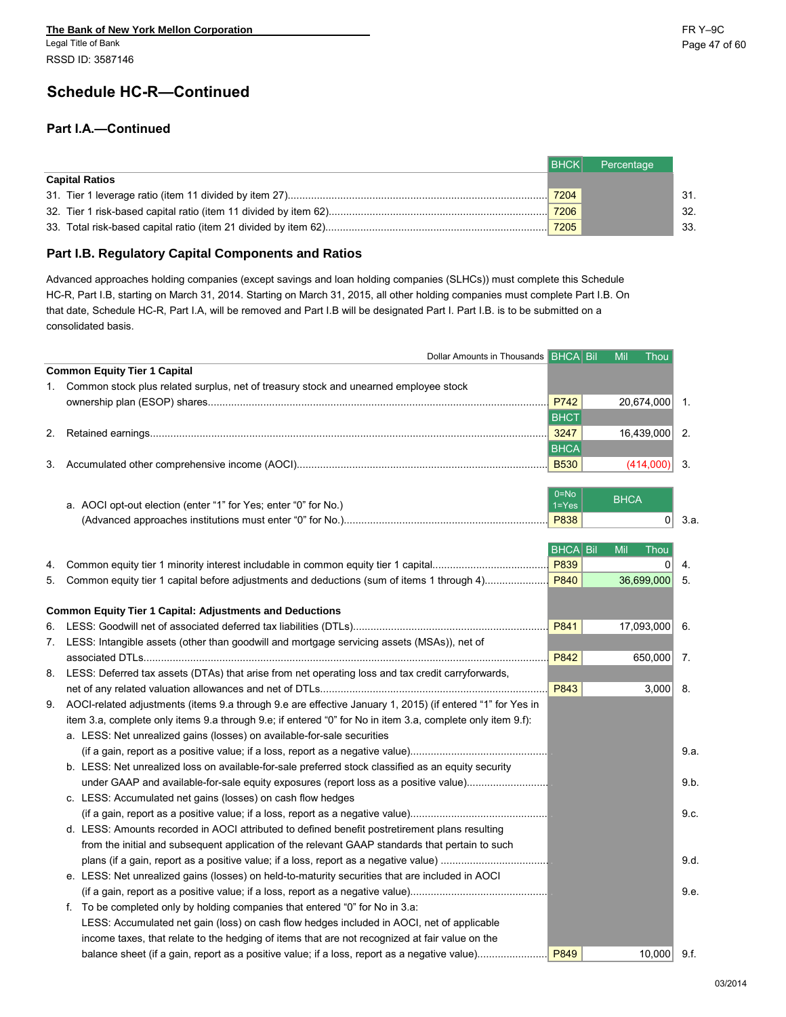# **Schedule HC-R—Continued**

#### **Part I.A.—Continued**

|                       | I BHCKI | Percentage |     |
|-----------------------|---------|------------|-----|
| <b>Capital Ratios</b> |         |            |     |
|                       | 7204    |            | 31. |
|                       |         |            | 32. |
|                       | 7205    |            | 33. |

#### **Part I.B. Regulatory Capital Components and Ratios**

Advanced approaches holding companies (except savings and loan holding companies (SLHCs)) must complete this Schedule HC-R, Part I.B, starting on March 31, 2014. Starting on March 31, 2015, all other holding companies must complete Part I.B. On that date, Schedule HC-R, Part I.A, will be removed and Part I.B will be designated Part I. Part I.B. is to be submitted on a consolidated basis.

| Dollar Amounts in Thousands BHCA Bil                                                                         |                 | Mil<br>Thou    |                |
|--------------------------------------------------------------------------------------------------------------|-----------------|----------------|----------------|
| <b>Common Equity Tier 1 Capital</b>                                                                          |                 |                |                |
| 1. Common stock plus related surplus, net of treasury stock and unearned employee stock                      |                 |                |                |
|                                                                                                              | P742            | 20,674,000     | $\mathbf{1}$ . |
|                                                                                                              | <b>BHCT</b>     |                |                |
|                                                                                                              | 3247            | 16,439,000     | 2.             |
|                                                                                                              | <b>BHCA</b>     |                |                |
|                                                                                                              |                 | (414,000)      | 3.             |
|                                                                                                              |                 |                |                |
|                                                                                                              | $0 = No$        | <b>BHCA</b>    |                |
| a. AOCI opt-out election (enter "1" for Yes; enter "0" for No.)                                              | $1 = Yes$       |                |                |
|                                                                                                              | P838            | $\overline{0}$ | 3.a.           |
|                                                                                                              | <b>BHCA Bil</b> | Mil<br>Thou    |                |
|                                                                                                              | P839            |                | 4.             |
| 5. Common equity tier 1 capital before adjustments and deductions (sum of items 1 through 4)                 | P840            | 36,699,000     | 5.             |
|                                                                                                              |                 |                |                |
| <b>Common Equity Tier 1 Capital: Adjustments and Deductions</b>                                              |                 |                |                |
|                                                                                                              | P841            | 17,093,000     | 6.             |
| 7. LESS: Intangible assets (other than goodwill and mortgage servicing assets (MSAs)), net of                |                 |                |                |
|                                                                                                              | P842            | 650,000        | 7.             |
| 8. LESS: Deferred tax assets (DTAs) that arise from net operating loss and tax credit carryforwards,         |                 |                |                |
|                                                                                                              | P843            | 3,000          | 8.             |
| 9. AOCI-related adjustments (items 9.a through 9.e are effective January 1, 2015) (if entered "1" for Yes in |                 |                |                |
| item 3.a, complete only items 9.a through 9.e; if entered "0" for No in item 3.a, complete only item 9.f):   |                 |                |                |
| a. LESS: Net unrealized gains (losses) on available-for-sale securities                                      |                 |                |                |
|                                                                                                              |                 |                |                |
| b. LESS: Net unrealized loss on available-for-sale preferred stock classified as an equity security          |                 |                | 9.a.           |
|                                                                                                              |                 |                |                |
| under GAAP and available-for-sale equity exposures (report loss as a positive value)                         |                 |                | 9.b.           |
| c. LESS: Accumulated net gains (losses) on cash flow hedges                                                  |                 |                |                |
|                                                                                                              |                 |                | 9.c.           |
| d. LESS: Amounts recorded in AOCI attributed to defined benefit postretirement plans resulting               |                 |                |                |
| from the initial and subsequent application of the relevant GAAP standards that pertain to such              |                 |                |                |
|                                                                                                              |                 |                | 9.d.           |
| e. LESS: Net unrealized gains (losses) on held-to-maturity securities that are included in AOCI              |                 |                |                |
|                                                                                                              |                 |                | 9.e.           |
| f. To be completed only by holding companies that entered "0" for No in 3.a:                                 |                 |                |                |
| LESS: Accumulated net gain (loss) on cash flow hedges included in AOCI, net of applicable                    |                 |                |                |
| income taxes, that relate to the hedging of items that are not recognized at fair value on the               |                 |                |                |
| balance sheet (if a gain, report as a positive value; if a loss, report as a negative value)                 | P849            | $10,000$ 9.f.  |                |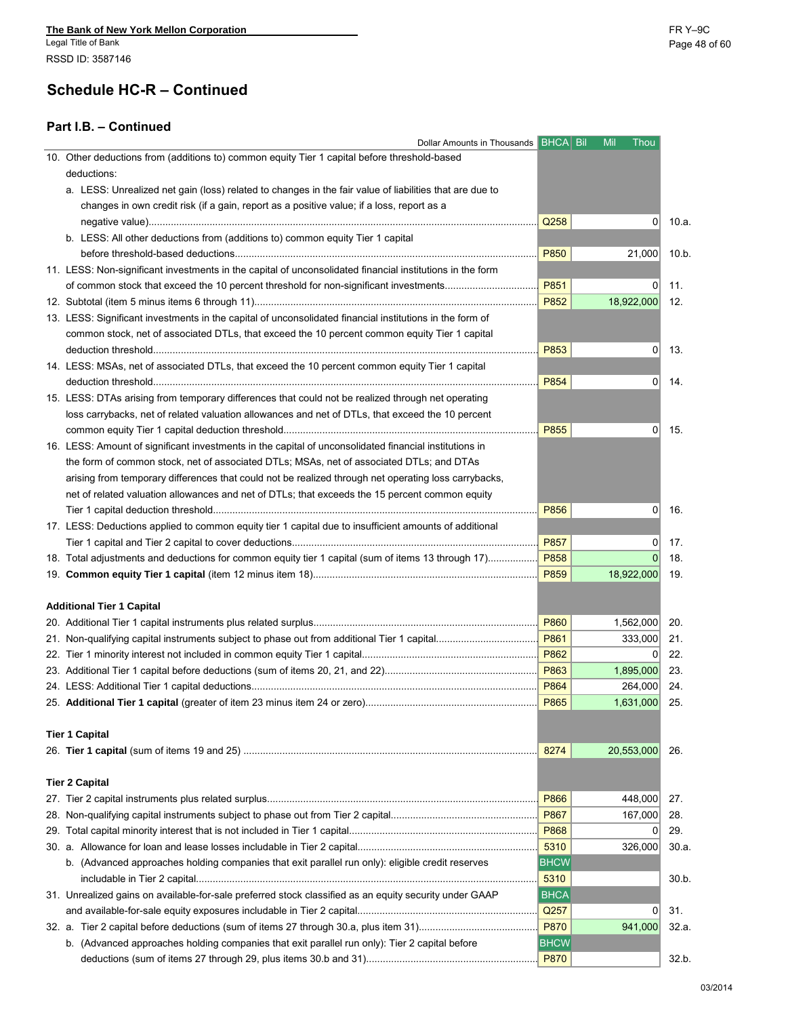#### **Part I.B. – Continued**

| Dollar Amounts in Thousands BHCA Bil                                                                      |               | Mil<br>Thou    |       |
|-----------------------------------------------------------------------------------------------------------|---------------|----------------|-------|
| 10. Other deductions from (additions to) common equity Tier 1 capital before threshold-based              |               |                |       |
| deductions:                                                                                               |               |                |       |
| a. LESS: Unrealized net gain (loss) related to changes in the fair value of liabilities that are due to   |               |                |       |
| changes in own credit risk (if a gain, report as a positive value; if a loss, report as a                 |               |                |       |
|                                                                                                           | Q258          | $\Omega$       |       |
| b. LESS: All other deductions from (additions to) common equity Tier 1 capital                            |               |                |       |
|                                                                                                           | P850          | 21,000         | 10.b. |
| 11. LESS: Non-significant investments in the capital of unconsolidated financial institutions in the form |               |                |       |
| of common stock that exceed the 10 percent threshold for non-significant investments                      | P851          | $\Omega$       | 11.   |
|                                                                                                           | P852          | 18,922,000     | 12.   |
| 13. LESS: Significant investments in the capital of unconsolidated financial institutions in the form of  |               |                |       |
| common stock, net of associated DTLs, that exceed the 10 percent common equity Tier 1 capital             |               |                |       |
|                                                                                                           |               |                |       |
|                                                                                                           | P853          | 0              | 13.   |
| 14. LESS: MSAs, net of associated DTLs, that exceed the 10 percent common equity Tier 1 capital           |               |                |       |
|                                                                                                           | P854          | $\overline{0}$ | 14.   |
| 15. LESS: DTAs arising from temporary differences that could not be realized through net operating        |               |                |       |
| loss carrybacks, net of related valuation allowances and net of DTLs, that exceed the 10 percent          |               |                |       |
|                                                                                                           | P855          | 0              |       |
| 16. LESS: Amount of significant investments in the capital of unconsolidated financial institutions in    |               |                |       |
| the form of common stock, net of associated DTLs; MSAs, net of associated DTLs; and DTAs                  |               |                |       |
| arising from temporary differences that could not be realized through net operating loss carrybacks,      |               |                |       |
| net of related valuation allowances and net of DTLs; that exceeds the 15 percent common equity            |               |                |       |
|                                                                                                           | P856          | 0              |       |
| 17. LESS: Deductions applied to common equity tier 1 capital due to insufficient amounts of additional    |               |                |       |
|                                                                                                           | P857          | 0              |       |
|                                                                                                           |               | $\Omega$       |       |
|                                                                                                           |               | 18,922,000     |       |
|                                                                                                           |               |                |       |
| <b>Additional Tier 1 Capital</b>                                                                          |               |                |       |
|                                                                                                           | P860          | 1,562,000      | 20.   |
|                                                                                                           | P861          | 333,000        | 21.   |
|                                                                                                           | P862          | 0              | 22.   |
|                                                                                                           | P863          | 1,895,000      | 23.   |
|                                                                                                           | P864          | 264,000        | -24.  |
|                                                                                                           |               |                | -25.  |
|                                                                                                           |               | 1,631,000      |       |
|                                                                                                           |               |                |       |
| <b>Tier 1 Capital</b>                                                                                     |               |                |       |
|                                                                                                           | 8274          | 20,553,000     |       |
|                                                                                                           |               |                |       |
| <b>Tier 2 Capital</b>                                                                                     |               |                |       |
|                                                                                                           | P866          | 448,000        | 27.   |
|                                                                                                           | P867          | 167,000        | 28.   |
|                                                                                                           | P868          | 0              | 29.   |
|                                                                                                           | 5310          | 326,000        | 30.a. |
| b. (Advanced approaches holding companies that exit parallel run only): eligible credit reserves          | <b>BHCW</b>   |                |       |
|                                                                                                           | 5310          |                |       |
| 31. Unrealized gains on available-for-sale preferred stock classified as an equity security under GAAP    | <b>BHCA</b>   |                |       |
|                                                                                                           | $\sqrt{Q}257$ | 0              | 31.   |
|                                                                                                           | <b>P870</b>   | 941,000        | 32.a. |
| b. (Advanced approaches holding companies that exit parallel run only): Tier 2 capital before             | <b>BHCW</b>   |                |       |
|                                                                                                           | <b>P870</b>   |                |       |
|                                                                                                           |               |                | 32.b. |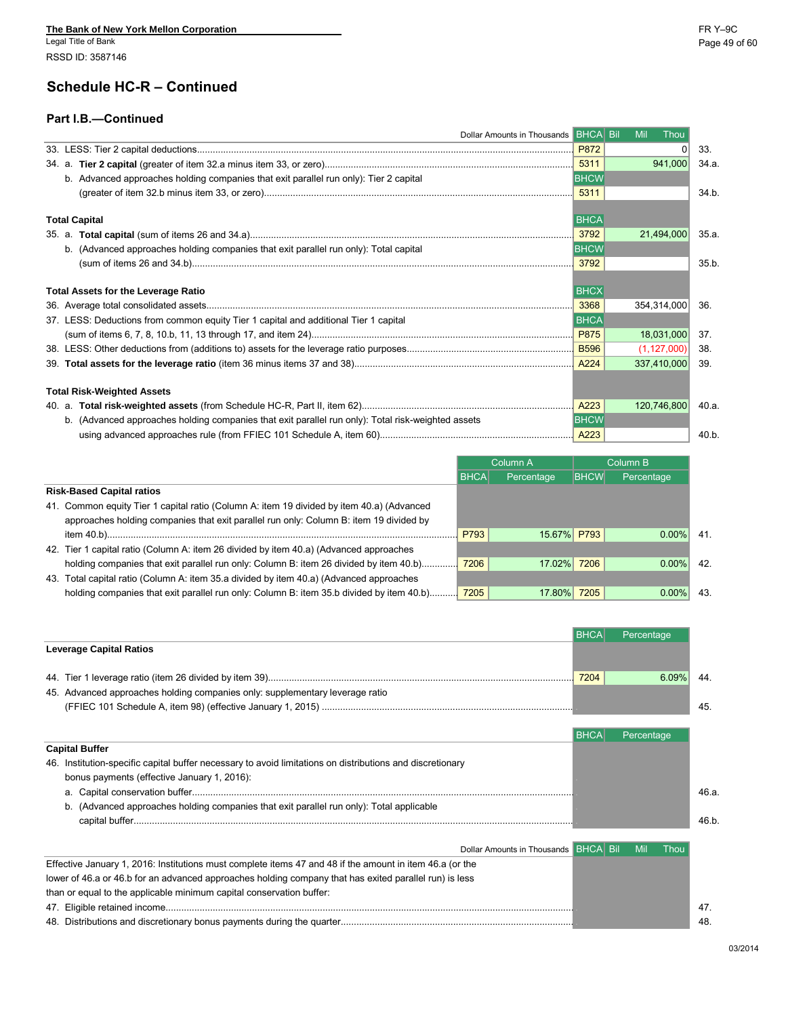Legal Title of Bank Page 49 of 60 RSSD ID: 3587146

### **Schedule HC-R – Continued**

#### **Part I.B.—Continued**

| Dollar Amounts in Thousands BHCA Bil                                                                                                                                                                                               |             | Mil<br>Thou   |       |
|------------------------------------------------------------------------------------------------------------------------------------------------------------------------------------------------------------------------------------|-------------|---------------|-------|
|                                                                                                                                                                                                                                    | P872        |               | 33.   |
|                                                                                                                                                                                                                                    |             | 941,000       | 34.a. |
| b. Advanced approaches holding companies that exit parallel run only): Tier 2 capital                                                                                                                                              | <b>BHCW</b> |               |       |
|                                                                                                                                                                                                                                    |             |               | 34.b. |
| <b>Total Capital</b>                                                                                                                                                                                                               | <b>BHCA</b> |               |       |
| 35. a.                                                                                                                                                                                                                             | 3792        | 21,494,000    | 35.a. |
| b. (Advanced approaches holding companies that exit parallel run only): Total capital                                                                                                                                              | <b>BHCW</b> |               |       |
|                                                                                                                                                                                                                                    | 3792        |               | 35.b. |
|                                                                                                                                                                                                                                    |             |               |       |
| <b>Total Assets for the Leverage Ratio</b>                                                                                                                                                                                         | <b>BHCX</b> |               |       |
|                                                                                                                                                                                                                                    | 3368        | 354,314,000   | 36.   |
| 37. LESS: Deductions from common equity Tier 1 capital and additional Tier 1 capital                                                                                                                                               | <b>BHCA</b> |               |       |
|                                                                                                                                                                                                                                    |             | 18,031,000    | 37.   |
|                                                                                                                                                                                                                                    |             | (1, 127, 000) | -38.  |
|                                                                                                                                                                                                                                    |             | 337,410,000   | -39.  |
| <b>Total Risk-Weighted Assets</b>                                                                                                                                                                                                  |             |               |       |
| 4223 <b>A223 Example 23 and 7 and 7 and 7 and 7 and 7 and 7 and 7 and 7 and 7 and 7 and 7 and 7 and 7 and 7 and 7 and 7 and 7 and 7 and 7 and 7 and 7 and 7 and 7 and 7 and 7 and 7 and 7 and 7 and 7 and 7 and 7 and 7 and 7 </b> |             | 120,746,800   | 40.a. |
| b. (Advanced approaches holding companies that exit parallel run only): Total risk-weighted assets                                                                                                                                 | <b>BHCW</b> |               |       |
|                                                                                                                                                                                                                                    |             |               | 40.b. |

|                                                                                           |             | Column A    |             | Column B   |
|-------------------------------------------------------------------------------------------|-------------|-------------|-------------|------------|
|                                                                                           | <b>BHCA</b> | Percentage  | <b>BHCW</b> | Percentage |
| <b>Risk-Based Capital ratios</b>                                                          |             |             |             |            |
| 41. Common equity Tier 1 capital ratio (Column A: item 19 divided by item 40.a) (Advanced |             |             |             |            |
| approaches holding companies that exit parallel run only: Column B: item 19 divided by    |             |             |             |            |
|                                                                                           | P793        | 15.67% P793 |             | $0.00\%$   |
| 42. Tier 1 capital ratio (Column A: item 26 divided by item 40.a) (Advanced approaches    |             |             |             |            |
|                                                                                           |             | 17.02% 7206 |             | $0.00\%$   |
| 43. Total capital ratio (Column A: item 35.a divided by item 40.a) (Advanced approaches   |             |             |             |            |
| holding companies that exit parallel run only: Column B: item 35.b divided by item 40.b)  | 7205        | 17.80% 7205 |             | $0.00\%$   |

|      | Percentage |
|------|------------|
|      |            |
| 7204 | $6.09\%$   |
|      |            |
|      |            |
|      | Percentage |
|      |            |
|      |            |
|      |            |
|      |            |

| Dollar Amounts in Thousands <b>BHCA Bil</b> Mil                                                          |  | <b>Thou</b> |
|----------------------------------------------------------------------------------------------------------|--|-------------|
| Effective January 1, 2016: Institutions must complete items 47 and 48 if the amount in item 46.a (or the |  |             |
| lower of 46.a or 46.b for an advanced approaches holding company that has exited parallel run) is less   |  |             |
| than or equal to the applicable minimum capital conservation buffer:                                     |  |             |
|                                                                                                          |  |             |
|                                                                                                          |  |             |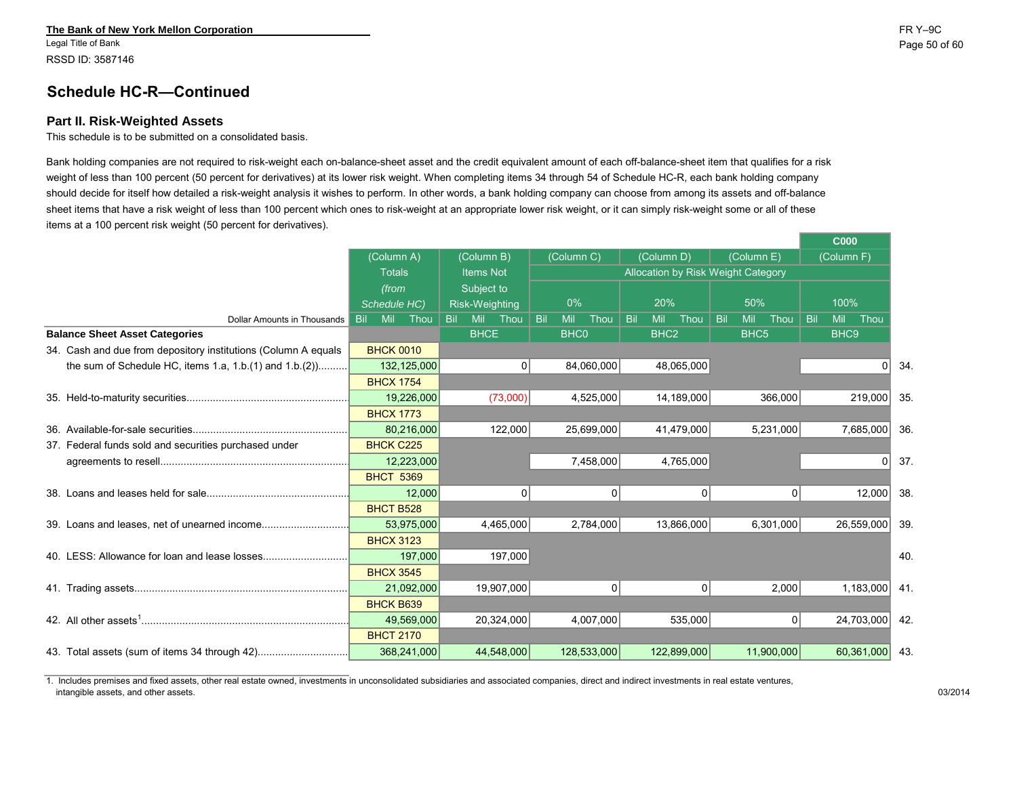Legal Title of Bank Page 50 of 60 RSSD ID: 3587146

### **Schedule HC-R—Continued**

#### **Part II. Risk-Weighted Assets**

This schedule is to be submitted on a consolidated basis.

Bank holding companies are not required to risk-weight each on-balance-sheet asset and the credit equivalent amount of each off-balance-sheet item that qualifies for a risk weight of less than 100 percent (50 percent for derivatives) at its lower risk weight. When completing items 34 through 54 of Schedule HC-R, each bank holding company should decide for itself how detailed a risk-weight analysis it wishes to perform. In other words, a bank holding company can choose from among its assets and off-balance sheet items that have a risk weight of less than 100 percent which ones to risk-weight at an appropriate lower risk weight, or it can simply risk-weight some or all of these items at a 100 percent risk weight (50 percent for derivatives).

|                                                                |                  |              |      |                  |            |     |             |             |     |                  |                                    |            |                  |            |     | <b>UUU</b>            |                |     |
|----------------------------------------------------------------|------------------|--------------|------|------------------|------------|-----|-------------|-------------|-----|------------------|------------------------------------|------------|------------------|------------|-----|-----------------------|----------------|-----|
|                                                                | (Column A)       |              |      | (Column B)       |            |     | (Column C)  |             |     | (Column D)       |                                    |            | (Column E)       |            |     | (Column <sub>F)</sub> |                |     |
|                                                                | <b>Totals</b>    |              |      | <b>Items Not</b> |            |     |             |             |     |                  | Allocation by Risk Weight Category |            |                  |            |     |                       |                |     |
|                                                                | (from            |              |      | Subject to       |            |     |             |             |     |                  |                                    |            |                  |            |     |                       |                |     |
|                                                                |                  | Schedule HC) |      | Risk-Weighting   |            |     | $0\%$       |             | 20% |                  |                                    |            | 50%              |            |     | 100%                  |                |     |
| Dollar Amounts in Thousands                                    | Bil.             | Mil Thou     | Bil. | Mil Thou         |            | Bil | Mil         | Thou        | Bil | Mil              | Thou                               | <b>Bil</b> | Mil              | Thou       | Bil | Mil                   | Thou           |     |
| <b>Balance Sheet Asset Categories</b>                          |                  |              |      | <b>BHCE</b>      |            |     | <b>BHC0</b> |             |     | BHC <sub>2</sub> |                                    |            | BHC <sub>5</sub> |            |     | BHC <sub>9</sub>      |                |     |
| 34. Cash and due from depository institutions (Column A equals | <b>BHCK 0010</b> |              |      |                  |            |     |             |             |     |                  |                                    |            |                  |            |     |                       |                |     |
| the sum of Schedule HC, items 1.a, $1.b.(1)$ and $1.b.(2)$     |                  | 132,125,000  |      |                  | 0          |     |             | 84,060,000  |     |                  | 48,065,000                         |            |                  |            |     |                       | 0 <sup>1</sup> | 34. |
|                                                                | <b>BHCX 1754</b> |              |      |                  |            |     |             |             |     |                  |                                    |            |                  |            |     |                       |                |     |
|                                                                |                  | 19,226,000   |      |                  | (73,000)   |     |             | 4,525,000   |     |                  | 14,189,000                         |            |                  | 366,000    |     |                       | 219,000        | 35. |
|                                                                | <b>BHCX 1773</b> |              |      |                  |            |     |             |             |     |                  |                                    |            |                  |            |     |                       |                |     |
|                                                                |                  | 80,216,000   |      |                  | 122,000    |     |             | 25,699,000  |     |                  | 41,479,000                         |            |                  | 5,231,000  |     |                       | 7,685,000      | 36. |
| 37. Federal funds sold and securities purchased under          | <b>BHCK C225</b> |              |      |                  |            |     |             |             |     |                  |                                    |            |                  |            |     |                       |                |     |
|                                                                |                  | 12,223,000   |      |                  |            |     |             | 7,458,000   |     |                  | 4,765,000                          |            |                  |            |     |                       | $\overline{0}$ | 37. |
|                                                                | <b>BHCT 5369</b> |              |      |                  |            |     |             |             |     |                  |                                    |            |                  |            |     |                       |                |     |
|                                                                |                  | 12,000       |      |                  | 0          |     |             | 0           |     |                  | 0                                  |            |                  | 0          |     |                       | 12,000         | 38. |
|                                                                | <b>BHCT B528</b> |              |      |                  |            |     |             |             |     |                  |                                    |            |                  |            |     |                       |                |     |
|                                                                |                  | 53,975,000   |      |                  | 4,465,000  |     |             | 2,784,000   |     |                  | 13,866,000                         |            |                  | 6,301,000  |     |                       | 26,559,000     | 39. |
|                                                                | <b>BHCX 3123</b> |              |      |                  |            |     |             |             |     |                  |                                    |            |                  |            |     |                       |                |     |
|                                                                |                  | 197,000      |      |                  | 197,000    |     |             |             |     |                  |                                    |            |                  |            |     |                       |                | 40. |
|                                                                | <b>BHCX 3545</b> |              |      |                  |            |     |             |             |     |                  |                                    |            |                  |            |     |                       |                |     |
|                                                                |                  | 21,092,000   |      |                  | 19,907,000 |     |             | 0           |     |                  | 0                                  |            |                  | 2,000      |     |                       | 1,183,000      | 41. |
|                                                                | <b>BHCK B639</b> |              |      |                  |            |     |             |             |     |                  |                                    |            |                  |            |     |                       |                |     |
|                                                                |                  | 49,569,000   |      |                  | 20,324,000 |     |             | 4,007,000   |     |                  | 535,000                            |            |                  | 0          |     |                       | 24,703,000     | 42. |
|                                                                | <b>BHCT 2170</b> |              |      |                  |            |     |             |             |     |                  |                                    |            |                  |            |     |                       |                |     |
| 43. Total assets (sum of items 34 through 42)                  |                  | 368,241,000  |      |                  | 44,548,000 |     |             | 128,533,000 |     |                  | 122,899,000                        |            |                  | 11,900,000 |     |                       | 60,361,000 43. |     |

1. Includes premises and fixed assets, other real estate owned, investments in unconsolidated subsidiaries and associated companies, direct and indirect investments in real estate ventures, intangible assets, and other assets. 03/2014

**C000**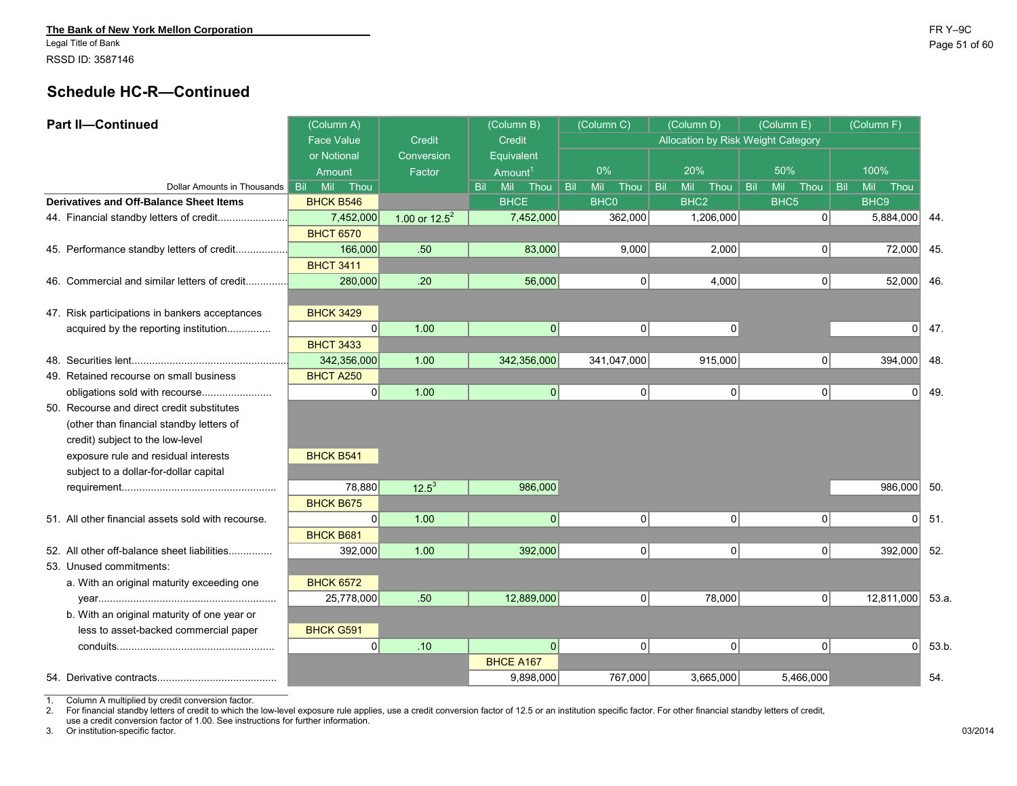Legal Title of Bank Page 51 of 60 RSSD ID: 3587146

### **Schedule HC-R—Continued**

| <b>Part II-Continued</b>                           | (Column A)           |                  | (Column B)          | (Column C)         | (Column D)                | (Column E)                         | (Column F)             |      |
|----------------------------------------------------|----------------------|------------------|---------------------|--------------------|---------------------------|------------------------------------|------------------------|------|
|                                                    | <b>Face Value</b>    | <b>Credit</b>    | Credit              |                    |                           | Allocation by Risk Weight Category |                        |      |
|                                                    | or Notional          | Conversion       | Equivalent          |                    |                           |                                    |                        |      |
|                                                    | Amount               | Factor           | Amount <sup>1</sup> | 0%                 | 20%                       | 50%                                | 100%                   |      |
| Dollar Amounts in Thousands                        | Bil -<br>Mil<br>Thou |                  | Bil Mil<br>Thou     | Mil<br>Bil<br>Thou | Bil<br><b>Mil</b><br>Thou | Mil<br>Thou<br><b>Bil</b>          | Mil Thou<br><b>Bil</b> |      |
| Derivatives and Off-Balance Sheet Items            | <b>BHCK B546</b>     |                  | <b>BHCE</b>         | <b>BHC0</b>        | BHC <sub>2</sub>          | BHC <sub>5</sub>                   | BHC9                   |      |
| 44. Financial standby letters of credit            | 7,452,000            | 1.00 or $12.5^2$ | 7,452,000           | 362,000            | 1,206,000                 | οl                                 | 5,884,000              | 44.  |
|                                                    | <b>BHCT 6570</b>     |                  |                     |                    |                           |                                    |                        |      |
| 45. Performance standby letters of credit          | 166,000              | .50              | 83,000              | 9,000              | 2,000                     | 0                                  | 72,000                 | 45.  |
|                                                    | <b>BHCT 3411</b>     |                  |                     |                    |                           |                                    |                        |      |
| 46. Commercial and similar letters of credit       | 280,000              | .20              | 56,000              |                    | 0 <br>4,000               | 0                                  | 52,000                 | 46.  |
|                                                    |                      |                  |                     |                    |                           |                                    |                        |      |
| 47. Risk participations in bankers acceptances     | <b>BHCK 3429</b>     |                  |                     |                    |                           |                                    |                        |      |
| acquired by the reporting institution              | 0                    | 1.00             | 0                   |                    | $\overline{0}$<br> 0      |                                    | $\Omega$               | 47.  |
|                                                    | <b>BHCT 3433</b>     |                  |                     |                    |                           |                                    |                        |      |
|                                                    | 342,356,000          | 1.00             | 342,356,000         | 341,047,000        | 915,000                   | 0                                  | 394,000                | 48.  |
| 49. Retained recourse on small business            | <b>BHCT A250</b>     |                  |                     |                    |                           |                                    |                        |      |
| obligations sold with recourse                     | 0                    | 1.00             | 0                   |                    | 0 <br> 0                  | 0                                  | $\Omega$               | 49.  |
| 50. Recourse and direct credit substitutes         |                      |                  |                     |                    |                           |                                    |                        |      |
| (other than financial standby letters of           |                      |                  |                     |                    |                           |                                    |                        |      |
| credit) subject to the low-level                   |                      |                  |                     |                    |                           |                                    |                        |      |
| exposure rule and residual interests               | <b>BHCK B541</b>     |                  |                     |                    |                           |                                    |                        |      |
| subject to a dollar-for-dollar capital             |                      |                  |                     |                    |                           |                                    |                        |      |
|                                                    | 78,880               | $12.5^3$         | 986,000             |                    |                           |                                    | 986,000                | 50.  |
|                                                    | <b>BHCK B675</b>     |                  |                     |                    |                           |                                    |                        |      |
| 51. All other financial assets sold with recourse. | $\Omega$             | 1.00             | 0                   |                    | $\overline{0}$<br>0       | $\overline{0}$                     | $\Omega$               | 51.  |
|                                                    | <b>BHCK B681</b>     |                  |                     |                    |                           |                                    |                        |      |
| 52. All other off-balance sheet liabilities        | 392,000              | 1.00             | 392,000             |                    | 0 <br>$\overline{0}$      | 0                                  | 392,000                | 52.  |
| 53. Unused commitments:                            |                      |                  |                     |                    |                           |                                    |                        |      |
| a. With an original maturity exceeding one         | <b>BHCK 6572</b>     |                  |                     |                    |                           |                                    |                        |      |
|                                                    | 25,778,000           | .50              | 12,889,000          |                    | 0 <br>78,000              | 0                                  | 12,811,000             | 53.a |
| b. With an original maturity of one year or        |                      |                  |                     |                    |                           |                                    |                        |      |
| less to asset-backed commercial paper              | <b>BHCK G591</b>     |                  |                     |                    |                           |                                    |                        |      |
|                                                    | 0                    | .10              | 0                   |                    | 0 <br> 0                  | 0                                  | $\overline{0}$         | 53.b |
|                                                    |                      |                  | <b>BHCE A167</b>    |                    |                           |                                    |                        |      |
|                                                    |                      |                  | 9,898,000           | 767,000            | 3,665,000                 | 5,466,000                          |                        | 54.  |
|                                                    |                      |                  |                     |                    |                           |                                    |                        |      |

1. Column A multiplied by credit conversion factor.

2. For financial standby letters of credit to which the low-level exposure rule applies, use a credit conversion factor of 12.5 or an institution specific factor. For other financial standby letters of credit,

use a credit conversion factor of 1.00. See instructions for further information.

3. Or institution-specific factor. 03/2014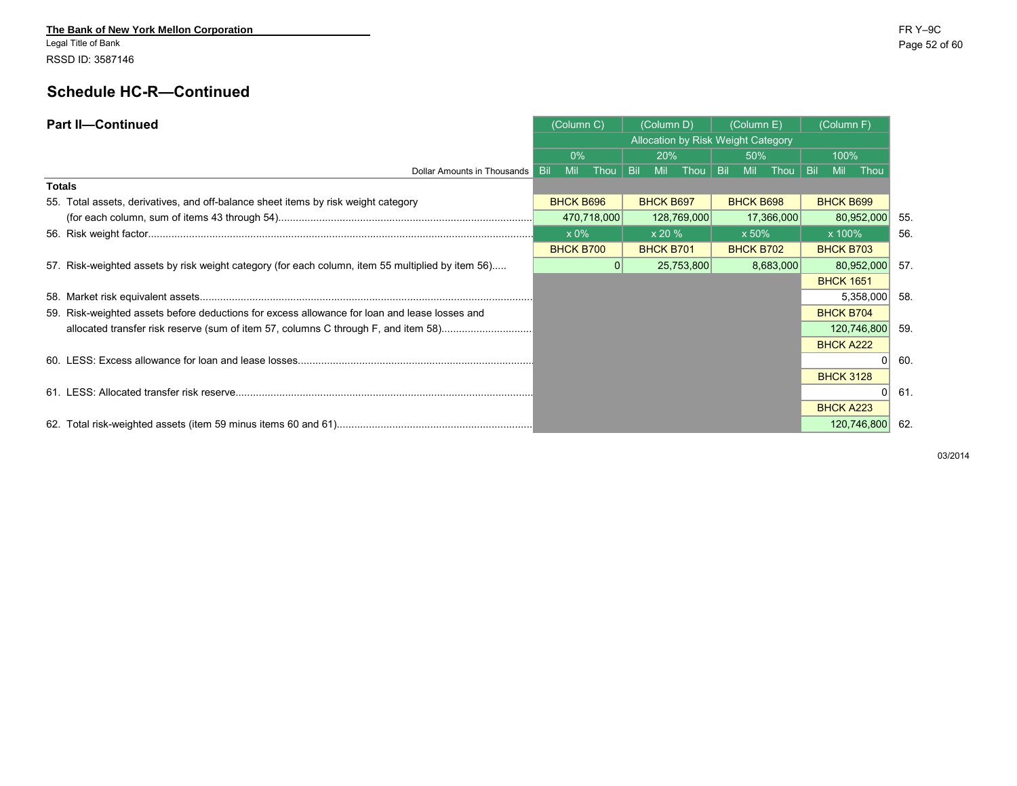Legal Title of Bank Page 52 of 60 RSSD ID: 3587146

# **Schedule HC-R—Continued**

| <b>Part II-Continued</b>                                                                          | (Column C)        |              | (Column D)                         |            | (Column E)       |            | (Column F)       |             |      |
|---------------------------------------------------------------------------------------------------|-------------------|--------------|------------------------------------|------------|------------------|------------|------------------|-------------|------|
|                                                                                                   |                   |              | Allocation by Risk Weight Category |            |                  |            |                  |             |      |
|                                                                                                   | 0%                |              | 20%                                |            | 50%              |            | 100%             |             |      |
| Dollar Amounts in Thousands                                                                       | Mil<br><b>Bil</b> | Thou $ $ Bil | <b>Mil</b>                         | Thou   Bil | Mil              | Thou   Bil | <b>Mil</b>       | Thou        |      |
| <b>Totals</b>                                                                                     |                   |              |                                    |            |                  |            |                  |             |      |
| 55. Total assets, derivatives, and off-balance sheet items by risk weight category                | <b>BHCK B696</b>  |              | <b>BHCK B697</b>                   |            | <b>BHCK B698</b> |            | <b>BHCK B699</b> |             |      |
|                                                                                                   |                   | 470,718,000  | 128,769,000                        |            |                  | 17,366,000 |                  | 80,952,000  | 55.  |
|                                                                                                   | x 0%              |              | x 20 %                             |            | $\times$ 50%     |            | x 100%           |             | -56. |
|                                                                                                   | <b>BHCK B700</b>  |              | <b>BHCK B701</b>                   |            | <b>BHCK B702</b> |            | <b>BHCK B703</b> |             |      |
| 57. Risk-weighted assets by risk weight category (for each column, item 55 multiplied by item 56) |                   | 0            | 25,753,800                         |            |                  | 8,683,000  |                  | 80,952,000  | 57.  |
|                                                                                                   |                   |              |                                    |            |                  |            | <b>BHCK 1651</b> |             |      |
|                                                                                                   |                   |              |                                    |            |                  |            |                  | 5,358,000   | -58. |
| 59. Risk-weighted assets before deductions for excess allowance for loan and lease losses and     |                   |              |                                    |            |                  |            | <b>BHCK B704</b> |             |      |
| allocated transfer risk reserve (sum of item 57, columns C through F, and item 58)                |                   |              |                                    |            |                  |            |                  | 120,746,800 | -59. |
|                                                                                                   |                   |              |                                    |            |                  |            | <b>BHCK A222</b> |             |      |
|                                                                                                   |                   |              |                                    |            |                  |            |                  |             | 60.  |
|                                                                                                   |                   |              |                                    |            |                  |            | <b>BHCK 3128</b> |             |      |
|                                                                                                   |                   |              |                                    |            |                  |            |                  |             | 61.  |
|                                                                                                   |                   |              |                                    |            |                  |            | <b>BHCK A223</b> |             |      |
|                                                                                                   |                   |              |                                    |            |                  |            |                  | 120,746,800 | 62.  |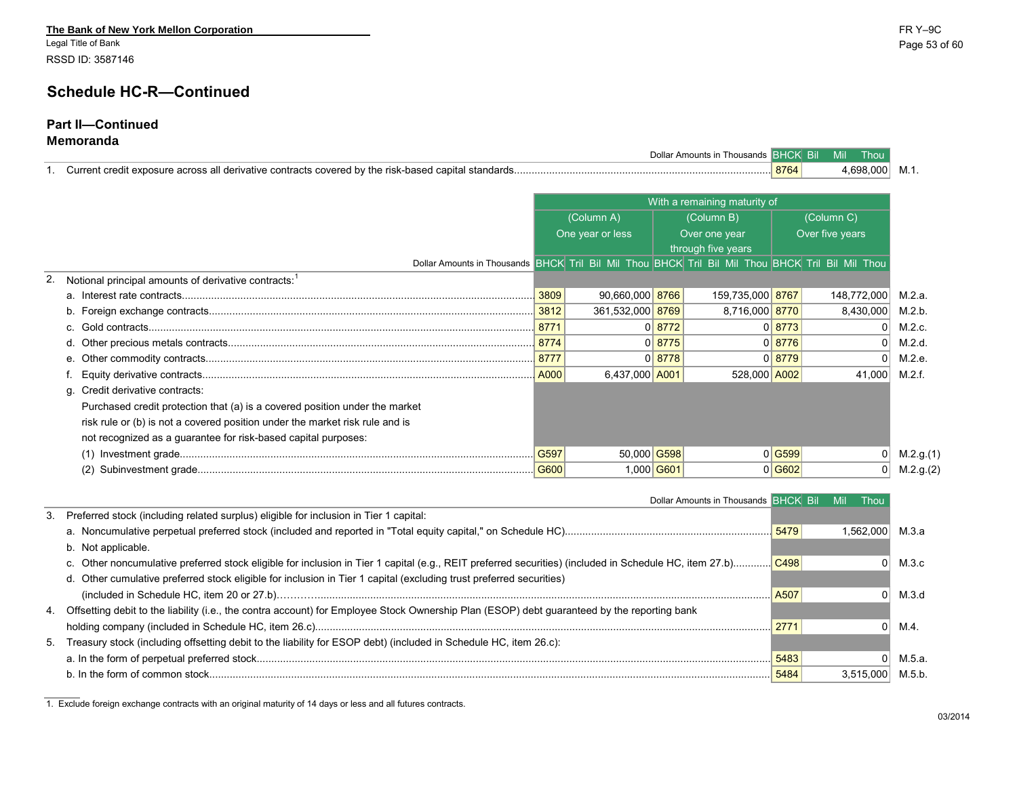Legal Title of Bank Page 53 of 60 RSSD ID: 3587146

### **Schedule HC-R—Continued**

#### **Part II—Continued Memoranda**

| r)olla<br>Amounts in<br><b>Thousands</b>                                                                  |      | Mil<br>Bil<br>mou. |  |
|-----------------------------------------------------------------------------------------------------------|------|--------------------|--|
| it exposure across all derivative contracts covered b<br>v the risk-based capital standards.<br>∴urrent ∶ | 8764 | 698<br>⊩∩∩         |  |

|                                                                              |                                                                                                                                                                                                     |             | With a remaining maturity of |                    |          |                 |           |  |
|------------------------------------------------------------------------------|-----------------------------------------------------------------------------------------------------------------------------------------------------------------------------------------------------|-------------|------------------------------|--------------------|----------|-----------------|-----------|--|
|                                                                              | (Column A)<br>One year or less<br>Dollar Amounts in Thousands BHCK Tril Bil Mil Thou BHCK Tril Bil Mil Thou BHCK Tril Bil Mil Thou<br>90,660,000 8766<br>3809<br>361,532,000 8769<br>6,437,000 A001 |             |                              | (Column B)         |          | (Column C)      |           |  |
|                                                                              |                                                                                                                                                                                                     |             |                              | Over one year      |          | Over five years |           |  |
|                                                                              |                                                                                                                                                                                                     |             |                              | through five years |          |                 |           |  |
|                                                                              |                                                                                                                                                                                                     |             |                              |                    |          |                 |           |  |
| Notional principal amounts of derivative contracts: <sup>1</sup>             |                                                                                                                                                                                                     |             |                              |                    |          |                 |           |  |
|                                                                              |                                                                                                                                                                                                     |             |                              | 159,735,000 8767   |          | 148,772,000     | M.2.a.    |  |
|                                                                              | 3812                                                                                                                                                                                                |             |                              | 8,716,000 8770     |          | 8,430,000       | M.2.b.    |  |
|                                                                              | 8771                                                                                                                                                                                                |             | 0 8772                       |                    | 0 8773   | $\Omega$        | M.2.c.    |  |
|                                                                              | 8774                                                                                                                                                                                                |             | $0$ 8775                     |                    | 0 8776   | $\Omega$        | M.2.d.    |  |
|                                                                              | 8777                                                                                                                                                                                                |             | 0 8778                       |                    | 0 8779   |                 | M.2.e.    |  |
|                                                                              | A000                                                                                                                                                                                                |             |                              | 528,000 A002       |          | 41,000          | M.2.f.    |  |
| g. Credit derivative contracts:                                              |                                                                                                                                                                                                     |             |                              |                    |          |                 |           |  |
| Purchased credit protection that (a) is a covered position under the market  |                                                                                                                                                                                                     |             |                              |                    |          |                 |           |  |
| risk rule or (b) is not a covered position under the market risk rule and is |                                                                                                                                                                                                     |             |                              |                    |          |                 |           |  |
| not recognized as a guarantee for risk-based capital purposes:               |                                                                                                                                                                                                     |             |                              |                    |          |                 |           |  |
|                                                                              | G597                                                                                                                                                                                                | 50,000 G598 |                              |                    | $0$ G599 |                 | M.2.g.(1) |  |
| (2)                                                                          |                                                                                                                                                                                                     | 1,000 G601  |                              |                    | 0 G602   |                 | M.2.g.(2) |  |

| Dollar Amounts in Thousands BHCK Bil                                                                                                           |      | Mil<br>Thou      |        |
|------------------------------------------------------------------------------------------------------------------------------------------------|------|------------------|--------|
| 3. Preferred stock (including related surplus) eligible for inclusion in Tier 1 capital:                                                       |      |                  |        |
|                                                                                                                                                |      | 1.562.000 M.3.a  |        |
| b. Not applicable.                                                                                                                             |      |                  |        |
|                                                                                                                                                |      |                  | M.3.c  |
| d. Other cumulative preferred stock eligible for inclusion in Tier 1 capital (excluding trust preferred securities)                            |      |                  |        |
|                                                                                                                                                |      |                  | M.3.d  |
| 4. Offsetting debit to the liability (i.e., the contra account) for Employee Stock Ownership Plan (ESOP) debt guaranteed by the reporting bank |      |                  |        |
|                                                                                                                                                | 2771 |                  | M.4.   |
| 5. Treasury stock (including offsetting debit to the liability for ESOP debt) (included in Schedule HC, item 26.c):                            |      |                  |        |
|                                                                                                                                                | 5483 |                  | M.5.a. |
|                                                                                                                                                | 5484 | 3.515.000 M.5.b. |        |

1. Exclude foreign exchange contracts with an original maturity of 14 days or less and all futures contracts.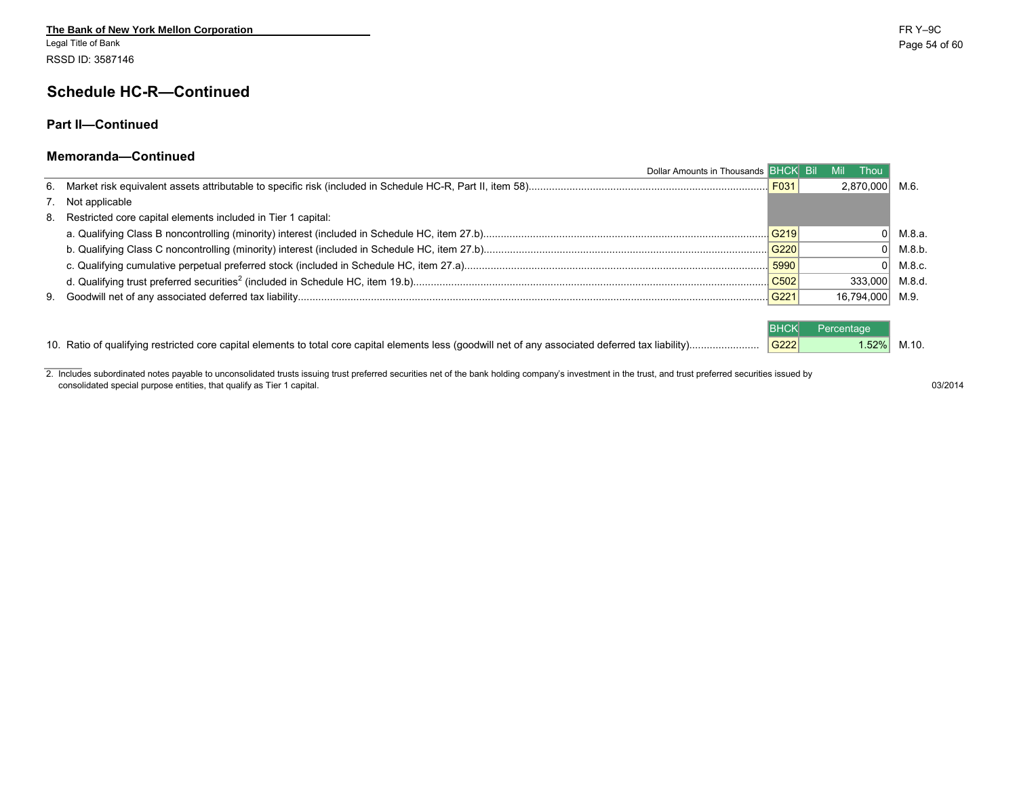Legal Title of Bank Page 54 of 60 RSSD ID: 3587146

### **Schedule HC-R—Continued**

#### **Part II—Continued**

#### **Memoranda—Continued**

| Dollar Amounts in Thousands BHCK Bil                            |                  | Mil<br><b>Thou</b> |        |
|-----------------------------------------------------------------|------------------|--------------------|--------|
|                                                                 | F031             | 2,870,000 M.6.     |        |
| 7. Not applicable                                               |                  |                    |        |
| 8. Restricted core capital elements included in Tier 1 capital: |                  |                    |        |
|                                                                 | G219             |                    | М.8.а. |
|                                                                 | G220             |                    | M.8.b. |
|                                                                 | 5990             |                    | M.8.c. |
|                                                                 | C <sub>502</sub> | 333.000            | M.8.d. |
|                                                                 | G221             | 16,794,000 M.9.    |        |
|                                                                 |                  |                    |        |
|                                                                 |                  | Percentage         |        |
|                                                                 | G222             | 1.52%              | M.10.  |

2. Includes subordinated notes payable to unconsolidated trusts issuing trust preferred securities net of the bank holding company's investment in the trust, and trust preferred securities issued by consolidated special purpose entities, that qualify as Tier 1 capital. 03/2014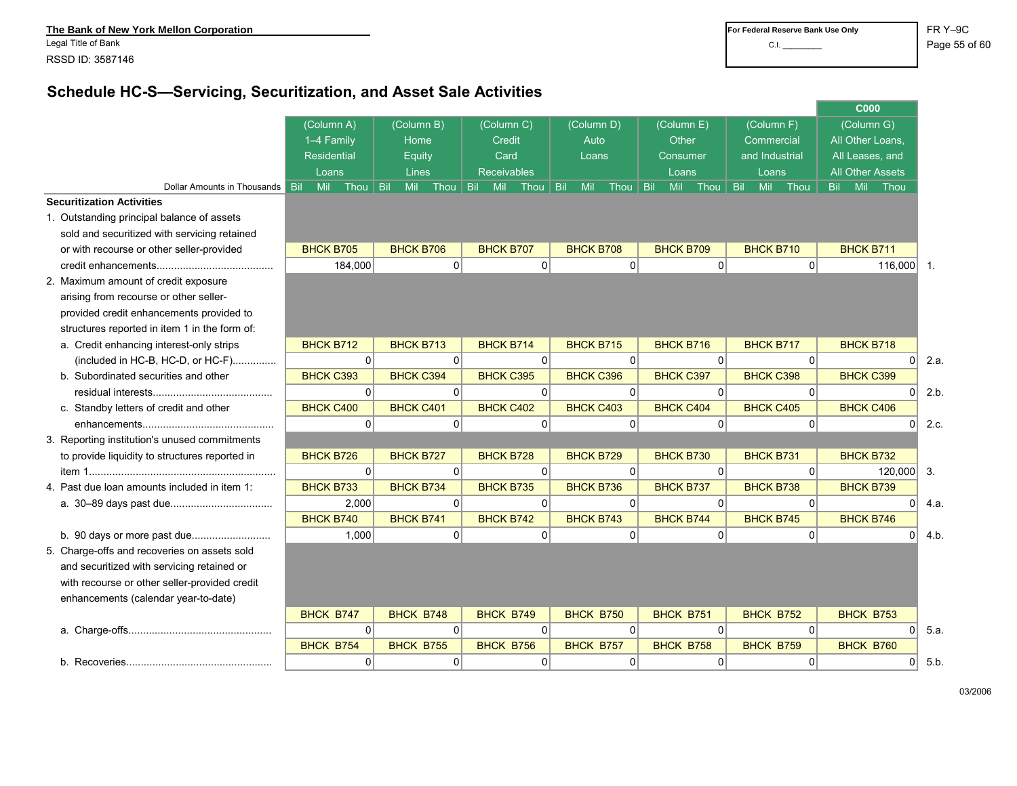**The Bank of New York Mellon Corporation <b>***FR Y–9C*<br>
Legal Title of Bank **and Structure Corporation Page 55 of Frank Page 195 of Frank Corporation Page 55 of Page 195 of Page 195 of Page 195 of Page 195 of Page 195** 

# **Schedule HC-S—Servicing, Securitization, and Asset Sale Activities**

|                                                |                   |             |                  |                    |                |                   |             |            |                    |                |                  |          |            | <b>C000</b>             |          |                  |
|------------------------------------------------|-------------------|-------------|------------------|--------------------|----------------|-------------------|-------------|------------|--------------------|----------------|------------------|----------|------------|-------------------------|----------|------------------|
|                                                | (Column A)        |             | (Column B)       | (Column C)         |                | (Column D)        |             |            | (Column E)         |                | (Column F)       |          |            | (Column G)              |          |                  |
|                                                | 1-4 Family        |             | Home             | Credit             |                | Auto              |             |            | Other              |                | Commercial       |          |            | All Other Loans,        |          |                  |
|                                                | Residential       |             | Equity           | Card               |                | Loans             |             |            | Consumer           |                | and Industrial   |          |            | All Leases, and         |          |                  |
|                                                | Loans             |             | Lines            | <b>Receivables</b> |                |                   |             |            | Loans              |                | Loans            |          |            | <b>All Other Assets</b> |          |                  |
| Dollar Amounts in Thousands                    | <b>Bil</b><br>Mil | Thou   Bil  | Mil<br>Thou      | Bil<br>Mil         | Thou           | <b>Bil</b><br>Mil | Thou        | <b>Bil</b> | <b>Mil</b><br>Thou | <b>Bil</b>     | Mil              | Thou     | <b>Bil</b> | Mil                     | Thou     |                  |
| <b>Securitization Activities</b>               |                   |             |                  |                    |                |                   |             |            |                    |                |                  |          |            |                         |          |                  |
| 1. Outstanding principal balance of assets     |                   |             |                  |                    |                |                   |             |            |                    |                |                  |          |            |                         |          |                  |
| sold and securitized with servicing retained   |                   |             |                  |                    |                |                   |             |            |                    |                |                  |          |            |                         |          |                  |
| or with recourse or other seller-provided      | <b>BHCK B705</b>  |             | <b>BHCK B706</b> | <b>BHCK B707</b>   |                | <b>BHCK B708</b>  |             |            | <b>BHCK B709</b>   |                | <b>BHCK B710</b> |          |            | <b>BHCK B711</b>        |          |                  |
|                                                | 184,000           |             | 0 <sup>1</sup>   |                    | 0              |                   | 0           |            |                    | 0              |                  | $\Omega$ |            |                         | 116,000  | $\overline{1}$ . |
| 2. Maximum amount of credit exposure           |                   |             |                  |                    |                |                   |             |            |                    |                |                  |          |            |                         |          |                  |
| arising from recourse or other seller-         |                   |             |                  |                    |                |                   |             |            |                    |                |                  |          |            |                         |          |                  |
| provided credit enhancements provided to       |                   |             |                  |                    |                |                   |             |            |                    |                |                  |          |            |                         |          |                  |
| structures reported in item 1 in the form of:  |                   |             |                  |                    |                |                   |             |            |                    |                |                  |          |            |                         |          |                  |
| a. Credit enhancing interest-only strips       | <b>BHCK B712</b>  |             | <b>BHCK B713</b> | <b>BHCK B714</b>   |                | <b>BHCK B715</b>  |             |            | <b>BHCK B716</b>   |                | <b>BHCK B717</b> |          |            | <b>BHCK B718</b>        |          |                  |
| (included in HC-B, HC-D, or HC-F)              |                   | $\Omega$    | $\Omega$         |                    | $\Omega$       |                   | $\Omega$    |            |                    | 0              |                  | $\Omega$ |            |                         | $\Omega$ | 2.a.             |
| b. Subordinated securities and other           | <b>BHCK C393</b>  |             | <b>BHCK C394</b> | <b>BHCK C395</b>   |                | <b>BHCK C396</b>  |             |            | <b>BHCK C397</b>   |                | <b>BHCK C398</b> |          |            | <b>BHCK C399</b>        |          |                  |
|                                                |                   | $\mathbf 0$ | $\Omega$         |                    | $\Omega$       |                   | $\Omega$    |            |                    | $\Omega$       |                  | $\Omega$ |            |                         | $\Omega$ | 2.b              |
| c. Standby letters of credit and other         | <b>BHCK C400</b>  |             | <b>BHCK C401</b> | <b>BHCK C402</b>   |                | <b>BHCK C403</b>  |             |            | <b>BHCK C404</b>   |                | <b>BHCK C405</b> |          |            | <b>BHCK C406</b>        |          |                  |
|                                                |                   | $\mathbf 0$ | $\overline{0}$   |                    | $\overline{0}$ |                   | $\mathbf 0$ |            |                    | $\overline{0}$ |                  | 0        |            |                         | $\Omega$ | 2.c.             |
| 3. Reporting institution's unused commitments  |                   |             |                  |                    |                |                   |             |            |                    |                |                  |          |            |                         |          |                  |
| to provide liquidity to structures reported in | <b>BHCK B726</b>  |             | <b>BHCK B727</b> | <b>BHCK B728</b>   |                | <b>BHCK B729</b>  |             |            | <b>BHCK B730</b>   |                | <b>BHCK B731</b> |          |            | <b>BHCK B732</b>        |          |                  |
|                                                |                   | 0           | 0                |                    | 0              |                   | 0           |            |                    | 0              |                  | $\Omega$ |            |                         | 120,000  | 3.               |
| 4. Past due loan amounts included in item 1:   | <b>BHCK B733</b>  |             | <b>BHCK B734</b> | <b>BHCK B735</b>   |                | <b>BHCK B736</b>  |             |            | <b>BHCK B737</b>   |                | <b>BHCK B738</b> |          |            | <b>BHCK B739</b>        |          |                  |
|                                                | 2,000             |             | 0                |                    | 0              |                   | 0           |            |                    | 0              |                  | $\Omega$ |            |                         | $\Omega$ | 4.a              |
|                                                | <b>BHCK B740</b>  |             | <b>BHCK B741</b> | <b>BHCK B742</b>   |                | <b>BHCK B743</b>  |             |            | <b>BHCK B744</b>   |                | <b>BHCK B745</b> |          |            | <b>BHCK B746</b>        |          |                  |
|                                                |                   | 1,000       | 0                |                    | $\Omega$       |                   | 0           |            |                    | 0              |                  | 0        |            |                         | $\Omega$ | 4.b.             |
| 5. Charge-offs and recoveries on assets sold   |                   |             |                  |                    |                |                   |             |            |                    |                |                  |          |            |                         |          |                  |
| and securitized with servicing retained or     |                   |             |                  |                    |                |                   |             |            |                    |                |                  |          |            |                         |          |                  |
| with recourse or other seller-provided credit  |                   |             |                  |                    |                |                   |             |            |                    |                |                  |          |            |                         |          |                  |
| enhancements (calendar year-to-date)           |                   |             |                  |                    |                |                   |             |            |                    |                |                  |          |            |                         |          |                  |
|                                                | <b>BHCK B747</b>  |             | <b>BHCK B748</b> | BHCK B749          |                | <b>BHCK B750</b>  |             |            | <b>BHCK B751</b>   |                | <b>BHCK B752</b> |          |            | <b>BHCK B753</b>        |          |                  |
|                                                |                   | $\Omega$    | $\Omega$         |                    | $\Omega$       |                   | 0           |            |                    | 0              |                  | $\Omega$ |            |                         | $\Omega$ | 5.a.             |
|                                                | <b>BHCK B754</b>  |             | <b>BHCK B755</b> | BHCK B756          |                | <b>BHCK B757</b>  |             |            | BHCK B758          |                | <b>BHCK B759</b> |          |            | BHCK B760               |          |                  |
|                                                |                   | $\mathbf 0$ | 0                |                    | $\Omega$       |                   | 0           |            |                    | 0              |                  | $\Omega$ |            |                         | 0        | 5.b              |
|                                                |                   |             |                  |                    |                |                   |             |            |                    |                |                  |          |            |                         |          |                  |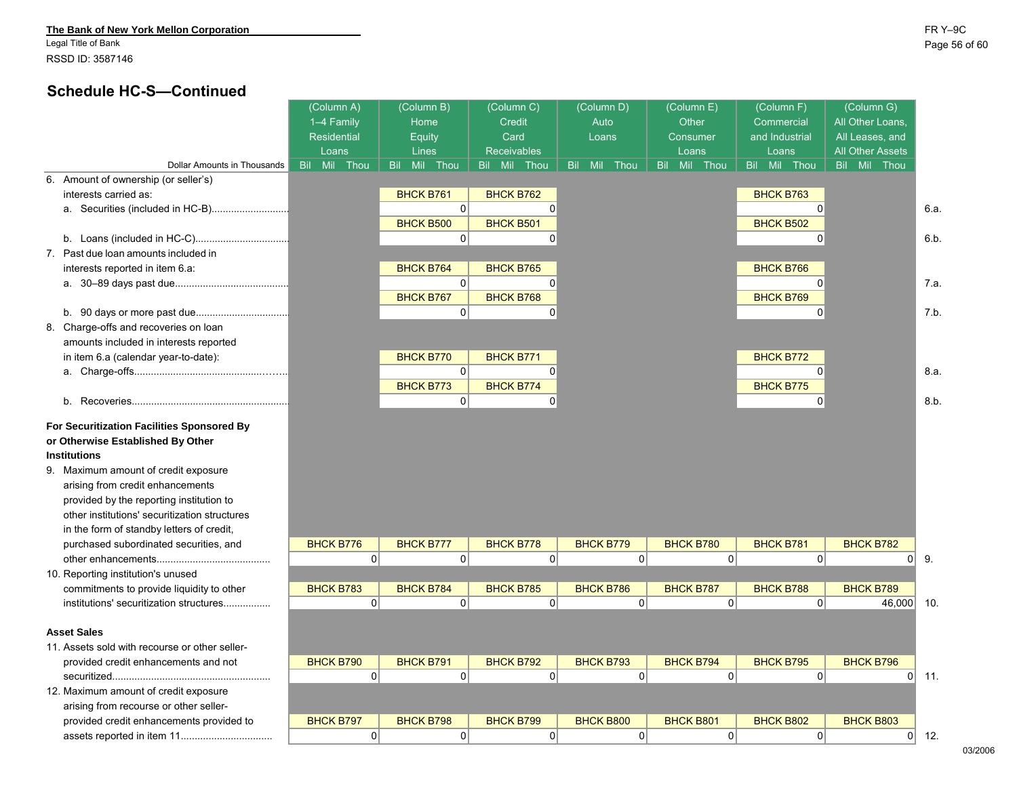#### **The Bank of New York Mellon Corporation** FR Y–9C

Legal Title of Bank Page 56 of 60 RSSD ID: 3587146

## **Schedule HC-S—Continued**

|                                                | (Column A)         | (Column B)             | (Column C)         | (Column D)                | (Column E)       | (Column F)       | (Column G)              |              |
|------------------------------------------------|--------------------|------------------------|--------------------|---------------------------|------------------|------------------|-------------------------|--------------|
|                                                | 1-4 Family         | Home                   | <b>Credit</b>      | Auto                      | Other            | Commercial       | All Other Loans.        |              |
|                                                | <b>Residential</b> | Equity                 | Card               | Loans                     | Consumer         | and Industrial   | All Leases, and         |              |
|                                                | Loans              | Lines                  | <b>Receivables</b> |                           | Loans            | Loans            | <b>All Other Assets</b> |              |
| Dollar Amounts in Thousands                    | Bil Mil<br>Thou    | Mil Thou<br><b>Bil</b> | Bil Mil<br>Thou    | Mil<br>Thou<br><b>Bil</b> | Bil Mil Thou     | Bil Mil Thou     | Bil Mil Thou            |              |
| 6. Amount of ownership (or seller's)           |                    |                        |                    |                           |                  |                  |                         |              |
| interests carried as:                          |                    | <b>BHCK B761</b>       | <b>BHCK B762</b>   |                           |                  | <b>BHCK B763</b> |                         |              |
|                                                |                    | $\Omega$               | 0                  |                           |                  | $\mathbf 0$      |                         | 6.a.         |
|                                                |                    | <b>BHCK B500</b>       | <b>BHCK B501</b>   |                           |                  | <b>BHCK B502</b> |                         |              |
|                                                |                    | 0                      | 0                  |                           |                  | 0                |                         | 6.b.         |
| 7. Past due loan amounts included in           |                    |                        |                    |                           |                  |                  |                         |              |
| interests reported in item 6.a:                |                    | <b>BHCK B764</b>       | <b>BHCK B765</b>   |                           |                  | <b>BHCK B766</b> |                         |              |
|                                                |                    | 0                      | 0                  |                           |                  | $\Omega$         |                         | 7.a          |
|                                                |                    | <b>BHCK B767</b>       | <b>BHCK B768</b>   |                           |                  | <b>BHCK B769</b> |                         |              |
|                                                |                    | 0                      | 0                  |                           |                  | $\Omega$         |                         | 7.b.         |
| 8. Charge-offs and recoveries on loan          |                    |                        |                    |                           |                  |                  |                         |              |
| amounts included in interests reported         |                    |                        |                    |                           |                  |                  |                         |              |
| in item 6.a (calendar year-to-date):           |                    | <b>BHCK B770</b>       | <b>BHCK B771</b>   |                           |                  | <b>BHCK B772</b> |                         |              |
|                                                |                    | 0                      | $\Omega$           |                           |                  | $\Omega$         |                         | 8.a.         |
|                                                |                    | <b>BHCK B773</b>       | <b>BHCK B774</b>   |                           |                  | <b>BHCK B775</b> |                         |              |
|                                                |                    | 0                      | 0                  |                           |                  | $\Omega$         |                         | 8.b.         |
| For Securitization Facilities Sponsored By     |                    |                        |                    |                           |                  |                  |                         |              |
| or Otherwise Established By Other              |                    |                        |                    |                           |                  |                  |                         |              |
| <b>Institutions</b>                            |                    |                        |                    |                           |                  |                  |                         |              |
| 9. Maximum amount of credit exposure           |                    |                        |                    |                           |                  |                  |                         |              |
| arising from credit enhancements               |                    |                        |                    |                           |                  |                  |                         |              |
| provided by the reporting institution to       |                    |                        |                    |                           |                  |                  |                         |              |
| other institutions' securitization structures  |                    |                        |                    |                           |                  |                  |                         |              |
| in the form of standby letters of credit,      |                    |                        |                    |                           |                  |                  |                         |              |
| purchased subordinated securities, and         | <b>BHCK B776</b>   | <b>BHCK B777</b>       | <b>BHCK B778</b>   | <b>BHCK B779</b>          | <b>BHCK B780</b> | <b>BHCK B781</b> | <b>BHCK B782</b>        |              |
|                                                | $\overline{0}$     | 0                      | 0                  | 0                         | 0                | $\mathbf 0$      |                         | $0 \vert 9.$ |
| 10. Reporting institution's unused             |                    |                        |                    |                           |                  |                  |                         |              |
| commitments to provide liquidity to other      | <b>BHCK B783</b>   | <b>BHCK B784</b>       | <b>BHCK B785</b>   | <b>BHCK B786</b>          | <b>BHCK B787</b> | <b>BHCK B788</b> | <b>BHCK B789</b>        |              |
| institutions' securitization structures        | 0                  | 0                      | 0                  | $\overline{0}$            | 0                | 0                | 46,000                  | 10.          |
|                                                |                    |                        |                    |                           |                  |                  |                         |              |
| <b>Asset Sales</b>                             |                    |                        |                    |                           |                  |                  |                         |              |
| 11. Assets sold with recourse or other seller- |                    |                        |                    |                           |                  |                  |                         |              |
| provided credit enhancements and not           | <b>BHCK B790</b>   | <b>BHCK B791</b>       | <b>BHCK B792</b>   | <b>BHCK B793</b>          | <b>BHCK B794</b> | <b>BHCK B795</b> | <b>BHCK B796</b>        |              |
|                                                | $\Omega$           | $\Omega$               | 0                  | $\Omega$                  | $\Omega$         | $\Omega$         | 0                       | 11.          |
| 12. Maximum amount of credit exposure          |                    |                        |                    |                           |                  |                  |                         |              |
| arising from recourse or other seller-         |                    |                        |                    |                           |                  |                  |                         |              |
| provided credit enhancements provided to       | <b>BHCK B797</b>   | <b>BHCK B798</b>       | <b>BHCK B799</b>   | <b>BHCK B800</b>          | <b>BHCK B801</b> | <b>BHCK B802</b> | <b>BHCK B803</b>        |              |
|                                                | $\overline{0}$     | 0                      | 0                  | $\Omega$                  | 0                | 0                |                         | $0$ 12.      |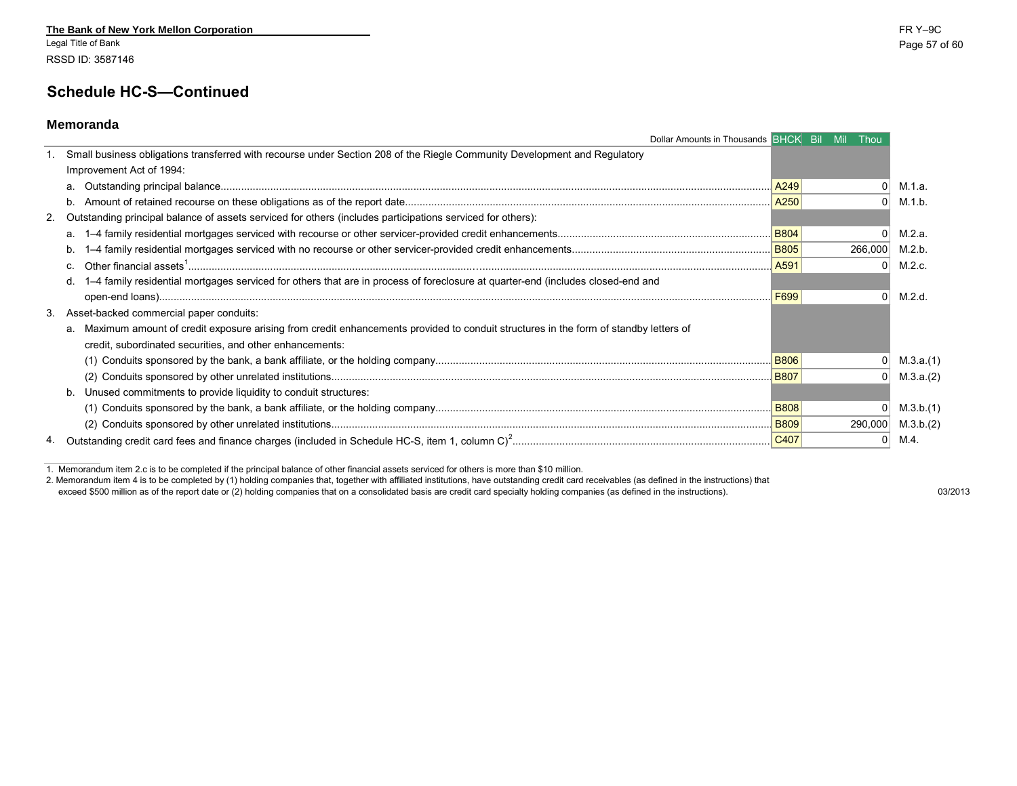Legal Title of Bank Page 57 of 60 RSSD ID: 3587146

### **Schedule HC-S—Continued**

#### **Memoranda**

| Dollar Amounts in Thousands BHCK Bil Mil Thou                                                                                          |             |          |           |
|----------------------------------------------------------------------------------------------------------------------------------------|-------------|----------|-----------|
| Small business obligations transferred with recourse under Section 208 of the Riegle Community Development and Regulatory              |             |          |           |
| Improvement Act of 1994:                                                                                                               |             |          |           |
|                                                                                                                                        | A249        |          | M.1.a.    |
|                                                                                                                                        | A250        | $\Omega$ | M.1.b.    |
| 2. Outstanding principal balance of assets serviced for others (includes participations serviced for others):                          |             |          |           |
| а.                                                                                                                                     | <b>B804</b> | U        | M.2.a.    |
| b.                                                                                                                                     | <b>B805</b> | 266,000  | M.2.b.    |
| $c_{\cdot}$                                                                                                                            | A591        | $\Omega$ | M.2.c.    |
| 1-4 family residential mortgages serviced for others that are in process of foreclosure at quarter-end (includes closed-end and<br>d.  |             |          |           |
|                                                                                                                                        | F699        | U        | M.2.d.    |
| 3. Asset-backed commercial paper conduits:                                                                                             |             |          |           |
| a. Maximum amount of credit exposure arising from credit enhancements provided to conduit structures in the form of standby letters of |             |          |           |
| credit, subordinated securities, and other enhancements:                                                                               |             |          |           |
|                                                                                                                                        | <b>B806</b> | 01       | M.3.a.(1) |
|                                                                                                                                        | <b>B807</b> |          | M.3.a.(2) |
| b. Unused commitments to provide liquidity to conduit structures:                                                                      |             |          |           |
|                                                                                                                                        | <b>B808</b> |          | M.3.b.(1) |
|                                                                                                                                        | <b>B809</b> | 290,000  | M.3.b.(2) |
|                                                                                                                                        |             |          | M.4.      |

1. Memorandum item 2.c is to be completed if the principal balance of other financial assets serviced for others is more than \$10 million.

2. Memorandum item 4 is to be completed by (1) holding companies that, together with affiliated institutions, have outstanding credit card receivables (as defined in the instructions) that

exceed \$500 million as of the report date or (2) holding companies that on a consolidated basis are credit card specialty holding companies (as defined in the instructions). 03/2013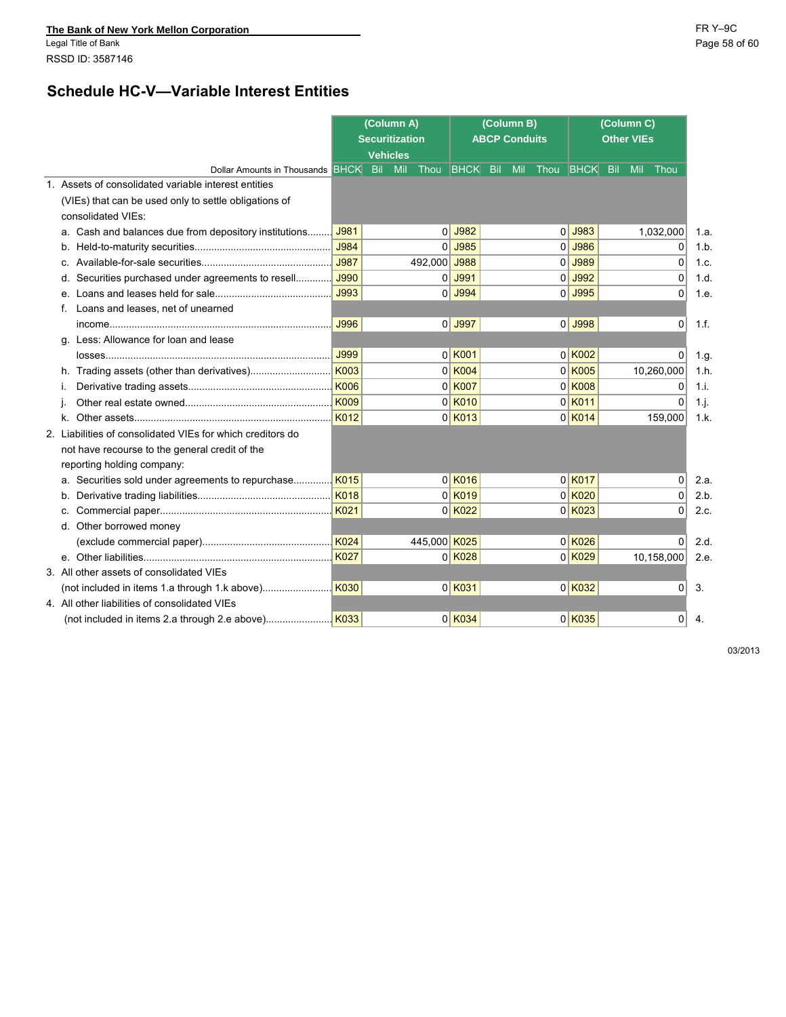Legal Title of Bank Page 58 of 60 RSSD ID: 3587146

## **Schedule HC-V—Variable Interest Entities**

|                                                            |             | (Column A)            |                     | (Column B)           |                     |                           |           |
|------------------------------------------------------------|-------------|-----------------------|---------------------|----------------------|---------------------|---------------------------|-----------|
|                                                            |             | <b>Securitization</b> |                     | <b>ABCP Conduits</b> |                     |                           |           |
|                                                            |             | <b>Vehicles</b>       |                     |                      |                     |                           |           |
| Dollar Amounts in Thousands BHCK Bil Mil                   |             | Thou BHCK Bil         |                     | <b>Mil</b>           | Thou BHCK           | <b>Bil</b><br>Mil<br>Thou |           |
| 1. Assets of consolidated variable interest entities       |             |                       |                     |                      |                     |                           |           |
| (VIEs) that can be used only to settle obligations of      |             |                       |                     |                      |                     |                           |           |
| consolidated VIEs:                                         |             |                       |                     |                      |                     |                           |           |
| a. Cash and balances due from depository institutions      | J981        |                       | $0$ J982            |                      | $0$ J983            | 1,032,000                 | 1.a.      |
|                                                            | J984        |                       | $0$ J985            |                      | $0$ J986            | 0                         | 1.b       |
| C.                                                         | J987        | 492,000 J988          |                     |                      | $0$ J989            | $\Omega$                  | 1.c.      |
| Securities purchased under agreements to resell<br>d.      | J990        |                       | $0$ J991            |                      | $0$ J992            | $\mathbf{0}$              | 1.d.      |
| e.                                                         | J993        |                       | $0$ J994            |                      | $0$ J995            | 0                         | 1.e.      |
| Loans and leases, net of unearned<br>f.                    |             |                       |                     |                      |                     |                           |           |
|                                                            | J996        |                       | $0$ J997            |                      | $0$ J998            | $\Omega$                  | 1.f.      |
| Less: Allowance for loan and lease<br>α.                   |             |                       |                     |                      |                     |                           |           |
|                                                            | J999        |                       | $0$ K001            |                      | $0$ K002            | 0                         | 1.g.      |
| h. Trading assets (other than derivatives)                 | <b>K003</b> |                       | $0$ K004            |                      | $0$ K005            | 10,260,000                | 1.h.      |
| Ť.                                                         | <b>K006</b> |                       | $0$ K007            |                      | $0$ $K$ 008         | 0                         | 1.i.      |
|                                                            | <b>K009</b> |                       | $0$ K010            |                      | $0$ <sup>K011</sup> | $\Omega$                  | $1 \cdot$ |
| k.                                                         | K012        |                       | $0$ K013            |                      | $0$ K014            | 159,000                   | 1.k.      |
| 2. Liabilities of consolidated VIEs for which creditors do |             |                       |                     |                      |                     |                           |           |
| not have recourse to the general credit of the             |             |                       |                     |                      |                     |                           |           |
| reporting holding company:                                 |             |                       |                     |                      |                     |                           |           |
| a. Securities sold under agreements to repurchase          | K015        |                       | $0$ K016            |                      | $0$ K017            | 0                         | 2.a.      |
| b.                                                         | <b>K018</b> |                       | $0$ <sup>K019</sup> |                      | $0$ K020            | $\mathbf 0$               | 2.b.      |
| C.                                                         | K021        |                       | $0$ K022            |                      | $0$ K023            | $\Omega$                  | 2.c.      |
| d. Other borrowed money                                    |             |                       |                     |                      |                     |                           |           |
|                                                            | <b>K024</b> | 445,000 K025          |                     |                      | $0$ K026            | 0                         | 2.d.      |
|                                                            | K027        |                       | $0$ K028            |                      | $0$ K029            | 10,158,000                | 2.e.      |
| 3. All other assets of consolidated VIEs                   |             |                       |                     |                      |                     |                           |           |
|                                                            |             |                       | $0$ K031            |                      | $0$ K032            | $\overline{0}$            | 3.        |
| 4. All other liabilities of consolidated VIEs              |             |                       |                     |                      |                     |                           |           |
|                                                            | K033        |                       | $0$ K034            |                      | $0$ K035            | 0                         | 4.        |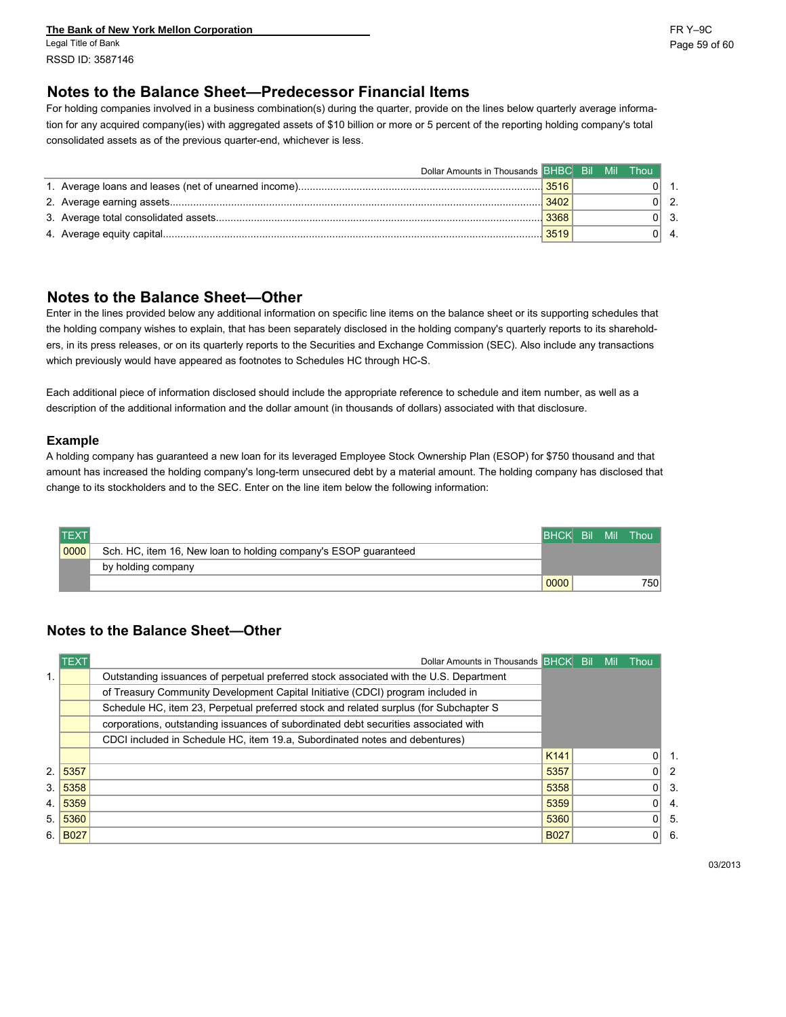**The Bank of New York Mellon Corporation** FR Y–9C Legal Title of Bank Page 59 of 60 RSSD ID: 3587146

## **Notes to the Balance Sheet—Predecessor Financial Items**

For holding companies involved in a business combination(s) during the quarter, provide on the lines below quarterly average information for any acquired company(ies) with aggregated assets of \$10 billion or more or 5 percent of the reporting holding company's total consolidated assets as of the previous quarter-end, whichever is less.

| Dollar Amounts in Thousands BHBC Bil |      | - Mil | Thou |               |
|--------------------------------------|------|-------|------|---------------|
|                                      |      |       | ∩⊩   |               |
|                                      | 3402 |       |      | $0\vert 2$ .  |
|                                      | 3368 |       |      | $0 \vert 3$ . |
|                                      | 3519 |       |      | $0 \mid 4$ .  |

### **Notes to the Balance Sheet—Other**

Enter in the lines provided below any additional information on specific line items on the balance sheet or its supporting schedules that the holding company wishes to explain, that has been separately disclosed in the holding company's quarterly reports to its shareholders, in its press releases, or on its quarterly reports to the Securities and Exchange Commission (SEC). Also include any transactions which previously would have appeared as footnotes to Schedules HC through HC-S.

Each additional piece of information disclosed should include the appropriate reference to schedule and item number, as well as a description of the additional information and the dollar amount (in thousands of dollars) associated with that disclosure.

#### **Example**

A holding company has guaranteed a new loan for its leveraged Employee Stock Ownership Plan (ESOP) for \$750 thousand and that amount has increased the holding company's long-term unsecured debt by a material amount. The holding company has disclosed that change to its stockholders and to the SEC. Enter on the line item below the following information:

| <b>TEXT</b> |                                                                 | <b>BHCK Bil Mil</b> |  | Thou I |
|-------------|-----------------------------------------------------------------|---------------------|--|--------|
| 0000        | Sch. HC, item 16, New loan to holding company's ESOP guaranteed |                     |  |        |
|             | by holding company                                              |                     |  |        |
|             |                                                                 | 0000                |  | 750    |

### **Notes to the Balance Sheet—Other**

|    | <b>TEXT</b> | Dollar Amounts in Thousands BHCK Bill                                                  |             | Mil | Thou           |     |
|----|-------------|----------------------------------------------------------------------------------------|-------------|-----|----------------|-----|
|    |             | Outstanding issuances of perpetual preferred stock associated with the U.S. Department |             |     |                |     |
|    |             | of Treasury Community Development Capital Initiative (CDCI) program included in        |             |     |                |     |
|    |             | Schedule HC, item 23, Perpetual preferred stock and related surplus (for Subchapter S  |             |     |                |     |
|    |             | corporations, outstanding issuances of subordinated debt securities associated with    |             |     |                |     |
|    |             | CDCI included in Schedule HC, item 19.a. Subordinated notes and debentures)            |             |     |                |     |
|    |             |                                                                                        | K141        |     | 01             | -1. |
| 2. | 5357        |                                                                                        | 5357        |     | 01             | 2   |
| 3. | 5358        |                                                                                        | 5358        |     | $\overline{0}$ | 3.  |
| 4. | 5359        |                                                                                        | 5359        |     | $\Omega$       | -4. |
| 5. | 5360        |                                                                                        | 5360        |     | 0 <sup>1</sup> | -5. |
| 6. | <b>B027</b> |                                                                                        | <b>B027</b> |     | 0 <sup>1</sup> | 6.  |